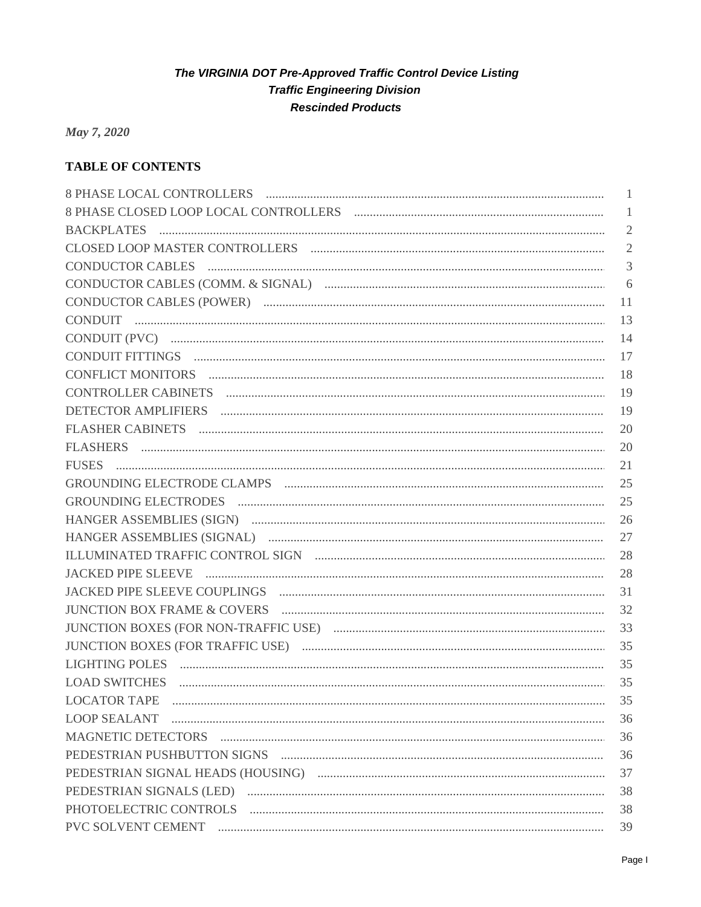May 7, 2020

# **TABLE OF CONTENTS**

|                                                                                                                                                                                                                                | 1              |
|--------------------------------------------------------------------------------------------------------------------------------------------------------------------------------------------------------------------------------|----------------|
|                                                                                                                                                                                                                                | 1              |
|                                                                                                                                                                                                                                | $\mathbf{2}$   |
|                                                                                                                                                                                                                                | $\mathfrak{2}$ |
| CONDUCTOR CABLES And All CONDUCTOR CABLES                                                                                                                                                                                      | 3              |
|                                                                                                                                                                                                                                | 6              |
|                                                                                                                                                                                                                                | 11             |
|                                                                                                                                                                                                                                | 13             |
|                                                                                                                                                                                                                                | 14             |
|                                                                                                                                                                                                                                | 17             |
| CONFLICT MONITORS EXECUTIVE CONFLICT MONITORS                                                                                                                                                                                  | 18             |
|                                                                                                                                                                                                                                | 19             |
|                                                                                                                                                                                                                                | 19             |
|                                                                                                                                                                                                                                | 20             |
|                                                                                                                                                                                                                                | 20             |
|                                                                                                                                                                                                                                | 21             |
|                                                                                                                                                                                                                                | 25             |
|                                                                                                                                                                                                                                | 25             |
|                                                                                                                                                                                                                                | 26             |
|                                                                                                                                                                                                                                | 27             |
|                                                                                                                                                                                                                                | 28             |
|                                                                                                                                                                                                                                | 28             |
|                                                                                                                                                                                                                                | 31             |
|                                                                                                                                                                                                                                | 32             |
|                                                                                                                                                                                                                                | 33             |
|                                                                                                                                                                                                                                | 35             |
| LIGHTING POLES And All Contains and All Contains and All Contains and All Contains and All Contains and All Contains and All Contains and All Contains and All Contains and All Contains and All Contains and All Contains and | 35             |
|                                                                                                                                                                                                                                | 35             |
| <b>LOCATOR TAPE</b>                                                                                                                                                                                                            | 35             |
|                                                                                                                                                                                                                                | 36             |
|                                                                                                                                                                                                                                | 36             |
|                                                                                                                                                                                                                                | 36             |
|                                                                                                                                                                                                                                | 37             |
|                                                                                                                                                                                                                                | 38             |
|                                                                                                                                                                                                                                | 38             |
|                                                                                                                                                                                                                                | 39             |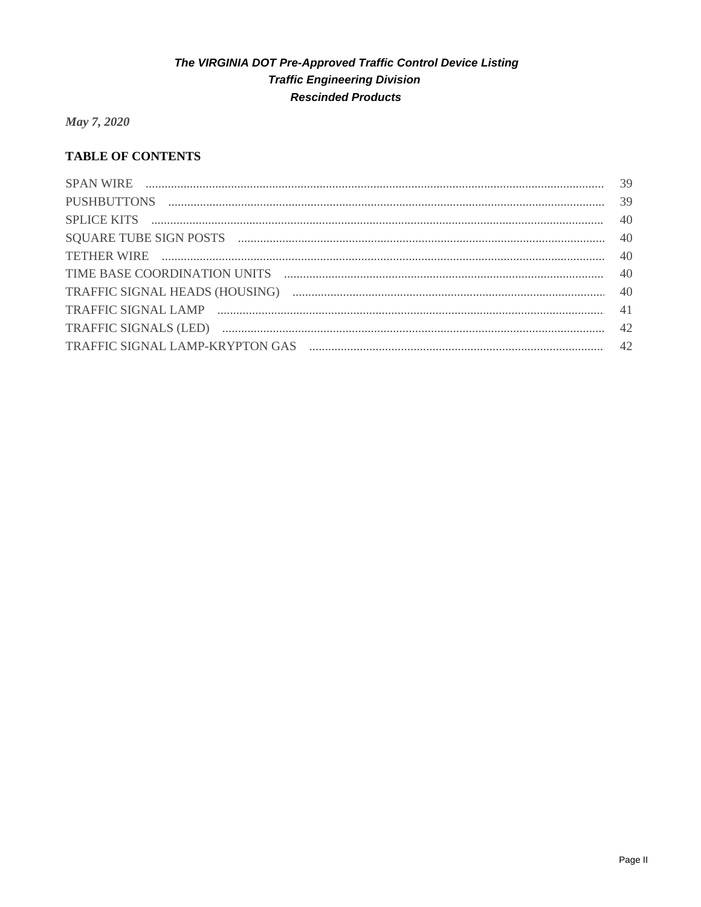May 7, 2020

# **TABLE OF CONTENTS**

| TETHER WIRE  140 |  |
|------------------|--|
|                  |  |
|                  |  |
|                  |  |
|                  |  |
|                  |  |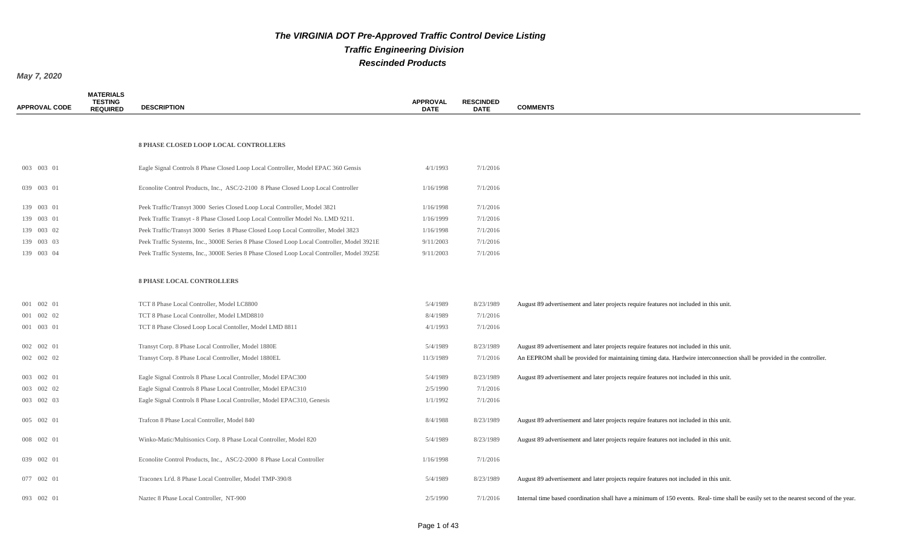*May 7, 2020*

**MATERIALS** 

| <b>APPROVAL CODE</b> | <b>TESTING</b><br><b>REQUIRED</b> | <b>DESCRIPTION</b>                                                                         | <b>APPROVAL</b><br><b>DATE</b> | <b>RESCINDED</b><br><b>DATE</b> | <b>COMMENTS</b>                                                                                                                       |
|----------------------|-----------------------------------|--------------------------------------------------------------------------------------------|--------------------------------|---------------------------------|---------------------------------------------------------------------------------------------------------------------------------------|
|                      |                                   |                                                                                            |                                |                                 |                                                                                                                                       |
|                      |                                   | <b>8 PHASE CLOSED LOOP LOCAL CONTROLLERS</b>                                               |                                |                                 |                                                                                                                                       |
| 003 003 01           |                                   | Eagle Signal Controls 8 Phase Closed Loop Local Controller, Model EPAC 360 Gensis          | 4/1/1993                       | 7/1/2016                        |                                                                                                                                       |
| 039 003 01           |                                   | Econolite Control Products, Inc., ASC/2-2100 8 Phase Closed Loop Local Controller          | 1/16/1998                      | 7/1/2016                        |                                                                                                                                       |
| 139 003 01           |                                   | Peek Traffic/Transyt 3000 Series Closed Loop Local Controller, Model 3821                  | 1/16/1998                      | 7/1/2016                        |                                                                                                                                       |
| 139 003 01           |                                   | Peek Traffic Transyt - 8 Phase Closed Loop Local Controller Model No. LMD 9211.            | 1/16/1999                      | 7/1/2016                        |                                                                                                                                       |
| 139 003 02           |                                   | Peek Traffic/Transyt 3000 Series 8 Phase Closed Loop Local Controller, Model 3823          | 1/16/1998                      | 7/1/2016                        |                                                                                                                                       |
| 139 003 03           |                                   | Peek Traffic Systems, Inc., 3000E Series 8 Phase Closed Loop Local Controller, Model 3921E | 9/11/2003                      | 7/1/2016                        |                                                                                                                                       |
| 139 003 04           |                                   | Peek Traffic Systems, Inc., 3000E Series 8 Phase Closed Loop Local Controller, Model 3925E | 9/11/2003                      | 7/1/2016                        |                                                                                                                                       |
|                      |                                   |                                                                                            |                                |                                 |                                                                                                                                       |
|                      |                                   | <b>8 PHASE LOCAL CONTROLLERS</b>                                                           |                                |                                 |                                                                                                                                       |
| 001 002 01           |                                   | TCT 8 Phase Local Controller, Model LC8800                                                 | 5/4/1989                       | 8/23/1989                       | August 89 advertisement and later projects require features not included in this unit.                                                |
| 001 002 02           |                                   | TCT 8 Phase Local Controller, Model LMD8810                                                | 8/4/1989                       | 7/1/2016                        |                                                                                                                                       |
| 001 003 01           |                                   | TCT 8 Phase Closed Loop Local Contoller, Model LMD 8811                                    | 4/1/1993                       | 7/1/2016                        |                                                                                                                                       |
| 002 002 01           |                                   | Transyt Corp. 8 Phase Local Controller, Model 1880E                                        | 5/4/1989                       | 8/23/1989                       | August 89 advertisement and later projects require features not included in this unit.                                                |
| 002 002 02           |                                   | Transyt Corp. 8 Phase Local Controller, Model 1880EL                                       | 11/3/1989                      | 7/1/2016                        | An EEPROM shall be provided for maintaining timing data. Hardwire interconnection shall be provided in the controller.                |
|                      |                                   |                                                                                            |                                |                                 |                                                                                                                                       |
| 003 002 01           |                                   | Eagle Signal Controls 8 Phase Local Controller, Model EPAC300                              | 5/4/1989                       | 8/23/1989                       | August 89 advertisement and later projects require features not included in this unit.                                                |
| 003 002 02           |                                   | Eagle Signal Controls 8 Phase Local Controller, Model EPAC310                              | 2/5/1990                       | 7/1/2016                        |                                                                                                                                       |
| 003 002 03           |                                   | Eagle Signal Controls 8 Phase Local Controller, Model EPAC310, Genesis                     | 1/1/1992                       | 7/1/2016                        |                                                                                                                                       |
| 005 002 01           |                                   | Trafcon 8 Phase Local Controller, Model 840                                                | 8/4/1988                       | 8/23/1989                       | August 89 advertisement and later projects require features not included in this unit.                                                |
| 008 002 01           |                                   | Winko-Matic/Multisonics Corp. 8 Phase Local Controller, Model 820                          | 5/4/1989                       | 8/23/1989                       | August 89 advertisement and later projects require features not included in this unit.                                                |
| 039 002 01           |                                   | Econolite Control Products, Inc., ASC/2-2000 8 Phase Local Controller                      | 1/16/1998                      | 7/1/2016                        |                                                                                                                                       |
| 077 002 01           |                                   | Traconex Lt'd. 8 Phase Local Controller, Model TMP-390/8                                   | 5/4/1989                       | 8/23/1989                       | August 89 advertisement and later projects require features not included in this unit.                                                |
| 093 002 01           |                                   | Naztec 8 Phase Local Controller, NT-900                                                    | 2/5/1990                       | 7/1/2016                        | Internal time based coordination shall have a minimum of 150 events. Real-time shall be easily set to the nearest second of the year. |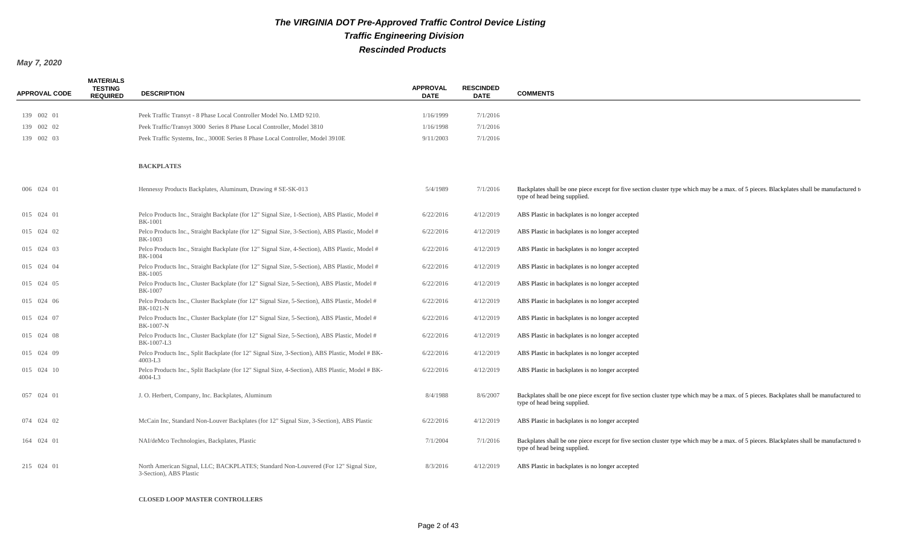#### *May 7, 2020*

| <b>APPROVAL CODE</b> | <b>MATERIALS</b><br><b>TESTING</b><br><b>REQUIRED</b> | <b>DESCRIPTION</b>                                                                                              | <b>APPROVAL</b><br><b>DATE</b> | <b>RESCINDED</b><br><b>DATE</b> | <b>COMMENTS</b>                                                                                                                                                          |
|----------------------|-------------------------------------------------------|-----------------------------------------------------------------------------------------------------------------|--------------------------------|---------------------------------|--------------------------------------------------------------------------------------------------------------------------------------------------------------------------|
| 139 002 01           |                                                       | Peek Traffic Transyt - 8 Phase Local Controller Model No. LMD 9210.                                             | 1/16/1999                      | 7/1/2016                        |                                                                                                                                                                          |
| 139 002 02           |                                                       | Peek Traffic/Transyt 3000 Series 8 Phase Local Controller, Model 3810                                           | 1/16/1998                      | 7/1/2016                        |                                                                                                                                                                          |
| 139 002 03           |                                                       | Peek Traffic Systems, Inc., 3000E Series 8 Phase Local Controller, Model 3910E                                  | 9/11/2003                      | 7/1/2016                        |                                                                                                                                                                          |
|                      |                                                       | <b>BACKPLATES</b>                                                                                               |                                |                                 |                                                                                                                                                                          |
| 006 024 01           |                                                       | Hennessy Products Backplates, Aluminum, Drawing # SE-SK-013                                                     | 5/4/1989                       | 7/1/2016                        | Backplates shall be one piece except for five section cluster type which may be a max. of 5 pieces. Blackplates shall be manufactured to<br>type of head being supplied. |
| 015 024 01           |                                                       | Pelco Products Inc., Straight Backplate (for 12" Signal Size, 1-Section), ABS Plastic, Model #<br>BK-1001       | 6/22/2016                      | 4/12/2019                       | ABS Plastic in backplates is no longer accepted                                                                                                                          |
| 015 024 02           |                                                       | Pelco Products Inc., Straight Backplate (for 12" Signal Size, 3-Section), ABS Plastic, Model #<br>BK-1003       | 6/22/2016                      | 4/12/2019                       | ABS Plastic in backplates is no longer accepted                                                                                                                          |
| 015 024 03           |                                                       | Pelco Products Inc., Straight Backplate (for 12" Signal Size, 4-Section), ABS Plastic, Model #<br>BK-1004       | 6/22/2016                      | 4/12/2019                       | ABS Plastic in backplates is no longer accepted                                                                                                                          |
| 015 024 04           |                                                       | Pelco Products Inc., Straight Backplate (for 12" Signal Size, 5-Section), ABS Plastic, Model #<br>BK-1005       | 6/22/2016                      | 4/12/2019                       | ABS Plastic in backplates is no longer accepted                                                                                                                          |
| 015 024 05           |                                                       | Pelco Products Inc., Cluster Backplate (for 12" Signal Size, 5-Section), ABS Plastic, Model #<br><b>BK-1007</b> | 6/22/2016                      | 4/12/2019                       | ABS Plastic in backplates is no longer accepted                                                                                                                          |
| 015 024 06           |                                                       | Pelco Products Inc., Cluster Backplate (for 12" Signal Size, 5-Section), ABS Plastic, Model #<br>BK-1021-N      | 6/22/2016                      | 4/12/2019                       | ABS Plastic in backplates is no longer accepted                                                                                                                          |
| 015 024 07           |                                                       | Pelco Products Inc., Cluster Backplate (for 12" Signal Size, 5-Section), ABS Plastic, Model #<br>BK-1007-N      | 6/22/2016                      | 4/12/2019                       | ABS Plastic in backplates is no longer accepted                                                                                                                          |
| 015 024 08           |                                                       | Pelco Products Inc., Cluster Backplate (for 12" Signal Size, 5-Section), ABS Plastic, Model #<br>BK-1007-L3     | 6/22/2016                      | 4/12/2019                       | ABS Plastic in backplates is no longer accepted                                                                                                                          |
| 015 024 09           |                                                       | Pelco Products Inc., Split Backplate (for 12" Signal Size, 3-Section), ABS Plastic, Model # BK-<br>$4003 - L3$  | 6/22/2016                      | 4/12/2019                       | ABS Plastic in backplates is no longer accepted                                                                                                                          |
| 015 024 10           |                                                       | Pelco Products Inc., Split Backplate (for 12" Signal Size, 4-Section), ABS Plastic, Model # BK-<br>$4004-L3$    | 6/22/2016                      | 4/12/2019                       | ABS Plastic in backplates is no longer accepted                                                                                                                          |
| 057 024 01           |                                                       | J. O. Herbert, Company, Inc. Backplates, Aluminum                                                               | 8/4/1988                       | 8/6/2007                        | Backplates shall be one piece except for five section cluster type which may be a max. of 5 pieces. Backplates shall be manufactured to<br>type of head being supplied.  |
| 074 024 02           |                                                       | McCain Inc, Standard Non-Louver Backplates (for 12" Signal Size, 3-Section), ABS Plastic                        | 6/22/2016                      | 4/12/2019                       | ABS Plastic in backplates is no longer accepted                                                                                                                          |
| 164 024 01           |                                                       | NAI/deMco Technologies, Backplates, Plastic                                                                     | 7/1/2004                       | 7/1/2016                        | Backplates shall be one piece except for five section cluster type which may be a max. of 5 pieces. Blackplates shall be manufactured to<br>type of head being supplied. |
| 215 024 01           |                                                       | North American Signal, LLC; BACKPLATES; Standard Non-Louvered (For 12" Signal Size,<br>3-Section), ABS Plastic  | 8/3/2016                       | 4/12/2019                       | ABS Plastic in backplates is no longer accepted                                                                                                                          |

**CLOSED LOOP MASTER CONTROLLERS**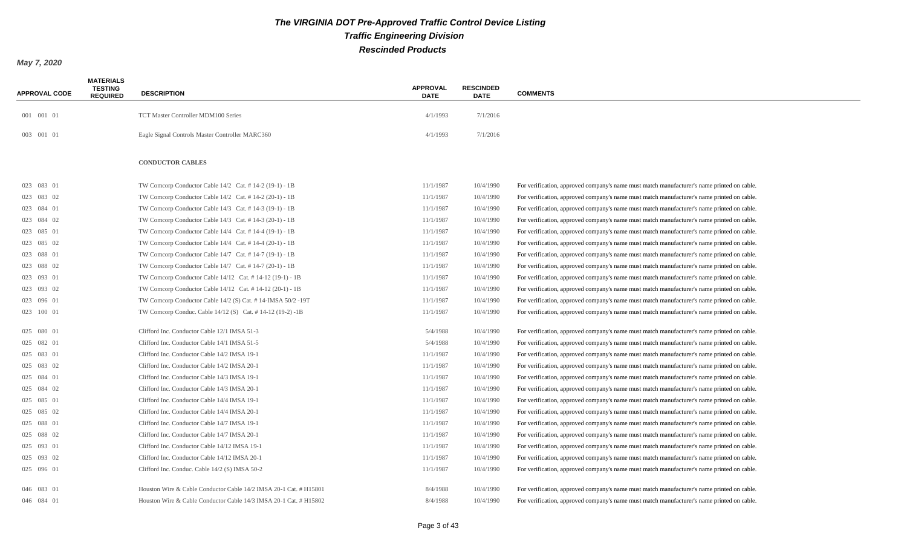| <b>APPROVAL CODE</b> | <b>MATERIALS</b><br><b>TESTING</b><br><b>REQUIRED</b> | <b>DESCRIPTION</b>                                                | <b>APPROVAL</b><br><b>DATE</b> | <b>RESCINDED</b><br><b>DATE</b> | <b>COMMENTS</b>                                                                            |
|----------------------|-------------------------------------------------------|-------------------------------------------------------------------|--------------------------------|---------------------------------|--------------------------------------------------------------------------------------------|
| 001 001 01           |                                                       | TCT Master Controller MDM100 Series                               | 4/1/1993                       | 7/1/2016                        |                                                                                            |
|                      |                                                       |                                                                   |                                |                                 |                                                                                            |
| 003 001 01           |                                                       | Eagle Signal Controls Master Controller MARC360                   | 4/1/1993                       | 7/1/2016                        |                                                                                            |
|                      |                                                       | <b>CONDUCTOR CABLES</b>                                           |                                |                                 |                                                                                            |
| 023 083 01           |                                                       | TW Comcorp Conductor Cable 14/2 Cat. #14-2 (19-1) - 1B            | 11/1/1987                      | 10/4/1990                       | For verification, approved company's name must match manufacturer's name printed on cable. |
| 023 083 02           |                                                       | TW Comcorp Conductor Cable 14/2 Cat. #14-2 (20-1) - 1B            | 11/1/1987                      | 10/4/1990                       | For verification, approved company's name must match manufacturer's name printed on cable. |
| 023 084 01           |                                                       | TW Comcorp Conductor Cable 14/3 Cat. #14-3 (19-1) - 1B            | 11/1/1987                      | 10/4/1990                       | For verification, approved company's name must match manufacturer's name printed on cable. |
| 023 084 02           |                                                       | TW Comcorp Conductor Cable 14/3 Cat. #14-3 (20-1) - 1B            | 11/1/1987                      | 10/4/1990                       | For verification, approved company's name must match manufacturer's name printed on cable. |
| 023 085 01           |                                                       | TW Comcorp Conductor Cable $14/4$ Cat. # 14-4 (19-1) - 1B         | 11/1/1987                      | 10/4/1990                       | For verification, approved company's name must match manufacturer's name printed on cable. |
| 023 085 02           |                                                       | TW Comcorp Conductor Cable $14/4$ Cat. # 14-4 (20-1) - 1B         | 11/1/1987                      | 10/4/1990                       | For verification, approved company's name must match manufacturer's name printed on cable. |
| 023 088 01           |                                                       | TW Comcorp Conductor Cable 14/7 Cat. #14-7 (19-1) - 1B            | 11/1/1987                      | 10/4/1990                       | For verification, approved company's name must match manufacturer's name printed on cable. |
| 023 088 02           |                                                       | TW Comcorp Conductor Cable $14/7$ Cat. # 14-7 (20-1) - 1B         | 11/1/1987                      | 10/4/1990                       | For verification, approved company's name must match manufacturer's name printed on cable. |
| 023 093 01           |                                                       | TW Comcorp Conductor Cable 14/12 Cat. #14-12 (19-1) - 1B          | 11/1/1987                      | 10/4/1990                       | For verification, approved company's name must match manufacturer's name printed on cable. |
| 023 093 02           |                                                       | TW Comcorp Conductor Cable 14/12 Cat. #14-12 (20-1) - 1B          | 11/1/1987                      | 10/4/1990                       | For verification, approved company's name must match manufacturer's name printed on cable. |
| 023 096 01           |                                                       | TW Comcorp Conductor Cable 14/2 (S) Cat. #14-IMSA 50/2 -19T       | 11/1/1987                      | 10/4/1990                       | For verification, approved company's name must match manufacturer's name printed on cable. |
| 023 100 01           |                                                       | TW Comcorp Conduc. Cable 14/12 (S) Cat. # 14-12 (19-2) -1B        | 11/1/1987                      | 10/4/1990                       | For verification, approved company's name must match manufacturer's name printed on cable. |
|                      |                                                       |                                                                   |                                |                                 |                                                                                            |
| 025 080 01           |                                                       | Clifford Inc. Conductor Cable 12/1 IMSA 51-3                      | 5/4/1988                       | 10/4/1990                       | For verification, approved company's name must match manufacturer's name printed on cable. |
| 025 082 01           |                                                       | Clifford Inc. Conductor Cable 14/1 IMSA 51-5                      | 5/4/1988                       | 10/4/1990                       | For verification, approved company's name must match manufacturer's name printed on cable. |
| 025 083 01           |                                                       | Clifford Inc. Conductor Cable 14/2 IMSA 19-1                      | 11/1/1987                      | 10/4/1990                       | For verification, approved company's name must match manufacturer's name printed on cable. |
| 025 083 02           |                                                       | Clifford Inc. Conductor Cable 14/2 IMSA 20-1                      | 11/1/1987                      | 10/4/1990                       | For verification, approved company's name must match manufacturer's name printed on cable. |
| 025 084 01           |                                                       | Clifford Inc. Conductor Cable 14/3 IMSA 19-1                      | 11/1/1987                      | 10/4/1990                       | For verification, approved company's name must match manufacturer's name printed on cable. |
| 025 084 02           |                                                       | Clifford Inc. Conductor Cable 14/3 IMSA 20-1                      | 11/1/1987                      | 10/4/1990                       | For verification, approved company's name must match manufacturer's name printed on cable. |
| 025 085 01           |                                                       | Clifford Inc. Conductor Cable 14/4 IMSA 19-1                      | 11/1/1987                      | 10/4/1990                       | For verification, approved company's name must match manufacturer's name printed on cable. |
| 025 085 02           |                                                       | Clifford Inc. Conductor Cable 14/4 IMSA 20-1                      | 11/1/1987                      | 10/4/1990                       | For verification, approved company's name must match manufacturer's name printed on cable. |
| 025 088 01           |                                                       | Clifford Inc. Conductor Cable 14/7 IMSA 19-1                      | 11/1/1987                      | 10/4/1990                       | For verification, approved company's name must match manufacturer's name printed on cable. |
| 025 088 02           |                                                       | Clifford Inc. Conductor Cable 14/7 IMSA 20-1                      | 11/1/1987                      | 10/4/1990                       | For verification, approved company's name must match manufacturer's name printed on cable. |
| 025 093 01           |                                                       | Clifford Inc. Conductor Cable 14/12 IMSA 19-1                     | 11/1/1987                      | 10/4/1990                       | For verification, approved company's name must match manufacturer's name printed on cable. |
| 025 093 02           |                                                       | Clifford Inc. Conductor Cable 14/12 IMSA 20-1                     | 11/1/1987                      | 10/4/1990                       | For verification, approved company's name must match manufacturer's name printed on cable. |
| 025 096 01           |                                                       | Clifford Inc. Conduc. Cable 14/2 (S) IMSA 50-2                    | 11/1/1987                      | 10/4/1990                       | For verification, approved company's name must match manufacturer's name printed on cable. |
| 046 083 01           |                                                       | Houston Wire & Cable Conductor Cable 14/2 IMSA 20-1 Cat. # H15801 | 8/4/1988                       | 10/4/1990                       | For verification, approved company's name must match manufacturer's name printed on cable. |
| 046 084 01           |                                                       | Houston Wire & Cable Conductor Cable 14/3 IMSA 20-1 Cat. # H15802 | 8/4/1988                       | 10/4/1990                       | For verification, approved company's name must match manufacturer's name printed on cable. |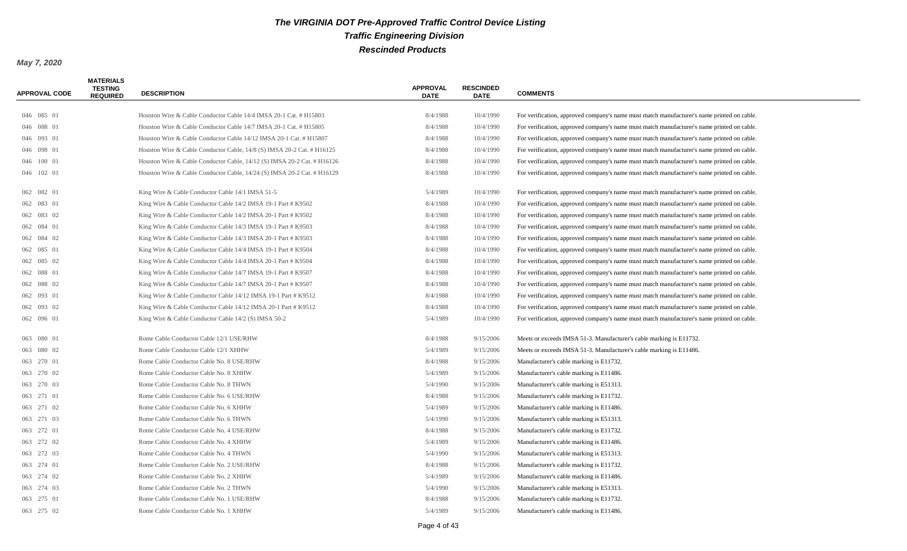| <b>APPROVAL CODE</b> | <b>MATERIALS</b><br><b>TESTING</b><br><b>REQUIRED</b> | <b>DESCRIPTION</b>                                                      | <b>APPROVAL</b><br><b>DATE</b> | <b>RESCINDED</b><br><b>DATE</b> | <b>COMMENTS</b>                                                                            |
|----------------------|-------------------------------------------------------|-------------------------------------------------------------------------|--------------------------------|---------------------------------|--------------------------------------------------------------------------------------------|
|                      |                                                       |                                                                         |                                |                                 |                                                                                            |
| 046 085 01           |                                                       | Houston Wire & Cable Conductor Cable 14/4 IMSA 20-1 Cat. # H15803       | 8/4/1988                       | 10/4/1990                       | For verification, approved company's name must match manufacturer's name printed on cable. |
| 046 088 01           |                                                       | Houston Wire & Cable Conductor Cable 14/7 IMSA 20-1 Cat. # H15805       | 8/4/1988                       | 10/4/1990                       | For verification, approved company's name must match manufacturer's name printed on cable. |
| 046 093 01           |                                                       | Houston Wire & Cable Conductor Cable 14/12 IMSA 20-1 Cat. # H15807      | 8/4/1988                       | 10/4/1990                       | For verification, approved company's name must match manufacturer's name printed on cable. |
| 046 098 01           |                                                       | Houston Wire & Cable Conductor Cable, 14/8 (S) IMSA 20-2 Cat. # H16125  | 8/4/1988                       | 10/4/1990                       | For verification, approved company's name must match manufacturer's name printed on cable. |
| 046 100 01           |                                                       | Houston Wire & Cable Conductor Cable, 14/12 (S) IMSA 20-2 Cat. # H16126 | 8/4/1988                       | 10/4/1990                       | For verification, approved company's name must match manufacturer's name printed on cable. |
| 046 102 01           |                                                       | Houston Wire & Cable Conductor Cable, 14/24 (S) IMSA 20-2 Cat. # H16129 | 8/4/1988                       | 10/4/1990                       | For verification, approved company's name must match manufacturer's name printed on cable. |
| 062 082 01           |                                                       | King Wire & Cable Conductor Cable 14/1 IMSA 51-5                        | 5/4/1989                       | 10/4/1990                       | For verification, approved company's name must match manufacturer's name printed on cable. |
| 062 083 01           |                                                       | King Wire & Cable Conductor Cable 14/2 IMSA 19-1 Part # K9502           | 8/4/1988                       | 10/4/1990                       | For verification, approved company's name must match manufacturer's name printed on cable. |
| 062 083 02           |                                                       | King Wire & Cable Conductor Cable 14/2 IMSA 20-1 Part # K9502           | 8/4/1988                       | 10/4/1990                       | For verification, approved company's name must match manufacturer's name printed on cable. |
| 062 084 01           |                                                       | King Wire & Cable Conductor Cable 14/3 IMSA 19-1 Part # K9503           | 8/4/1988                       | 10/4/1990                       | For verification, approved company's name must match manufacturer's name printed on cable. |
| 062 084 02           |                                                       | King Wire & Cable Conductor Cable 14/3 IMSA 20-1 Part # K9503           | 8/4/1988                       | 10/4/1990                       | For verification, approved company's name must match manufacturer's name printed on cable. |
| 062 085 01           |                                                       | King Wire & Cable Conductor Cable 14/4 IMSA 19-1 Part # K9504           | 8/4/1988                       | 10/4/1990                       | For verification, approved company's name must match manufacturer's name printed on cable. |
| 062 085 02           |                                                       | King Wire & Cable Conductor Cable 14/4 IMSA 20-1 Part # K9504           | 8/4/1988                       | 10/4/1990                       | For verification, approved company's name must match manufacturer's name printed on cable. |
| 062 088 01           |                                                       | King Wire & Cable Conductor Cable 14/7 IMSA 19-1 Part # K9507           | 8/4/1988                       | 10/4/1990                       | For verification, approved company's name must match manufacturer's name printed on cable. |
| 062 088 02           |                                                       | King Wire & Cable Conductor Cable 14/7 IMSA 20-1 Part # K9507           | 8/4/1988                       | 10/4/1990                       | For verification, approved company's name must match manufacturer's name printed on cable. |
| 062 093 01           |                                                       | King Wire & Cable Conductor Cable 14/12 IMSA 19-1 Part # K9512          | 8/4/1988                       | 10/4/1990                       | For verification, approved company's name must match manufacturer's name printed on cable. |
| 062 093 02           |                                                       | King Wire & Cable Conductor Cable 14/12 IMSA 20-1 Part # K9512          | 8/4/1988                       | 10/4/1990                       | For verification, approved company's name must match manufacturer's name printed on cable. |
| 062 096 01           |                                                       | King Wire & Cable Conductor Cable 14/2 (S) IMSA 50-2                    | 5/4/1989                       | 10/4/1990                       | For verification, approved company's name must match manufacturer's name printed on cable. |
| 063 080 01           |                                                       | Rome Cable Conductor Cable 12/1 USE/RHW                                 | 8/4/1988                       | 9/15/2006                       | Meets or exceeds IMSA 51-3. Manufacturer's cable marking is E11732.                        |
| 063 080 02           |                                                       | Rome Cable Conductor Cable 12/1 XHHW                                    | 5/4/1989                       | 9/15/2006                       | Meets or exceeds IMSA 51-3. Manufacturer's cable marking is E11486.                        |
| 063 270 01           |                                                       | Rome Cable Conductor Cable No. 8 USE/RHW                                | 8/4/1988                       | 9/15/2006                       | Manufacturer's cable marking is E11732.                                                    |
| 063 270 02           |                                                       | Rome Cable Conductor Cable No. 8 XHHW                                   | 5/4/1989                       | 9/15/2006                       | Manufacturer's cable marking is E11486.                                                    |
| 063 270 03           |                                                       | Rome Cable Conductor Cable No. 8 THWN                                   | 5/4/1990                       | 9/15/2006                       | Manufacturer's cable marking is E51313.                                                    |
| 063 271 01           |                                                       | Rome Cable Conductor Cable No. 6 USE/RHW                                | 8/4/1988                       | 9/15/2006                       | Manufacturer's cable marking is E11732.                                                    |
| 063 271 02           |                                                       | Rome Cable Conductor Cable No. 6 XHHW                                   | 5/4/1989                       | 9/15/2006                       | Manufacturer's cable marking is E11486.                                                    |
| 063 271 03           |                                                       | Rome Cable Conductor Cable No. 6 THWN                                   | 5/4/1990                       | 9/15/2006                       | Manufacturer's cable marking is E51313.                                                    |
| 063 272 01           |                                                       | Rome Cable Conductor Cable No. 4 USE/RHW                                | 8/4/1988                       | 9/15/2006                       | Manufacturer's cable marking is E11732.                                                    |
| 063 272 02           |                                                       | Rome Cable Conductor Cable No. 4 XHHW                                   | 5/4/1989                       | 9/15/2006                       | Manufacturer's cable marking is E11486.                                                    |
| 063 272 03           |                                                       | Rome Cable Conductor Cable No. 4 THWN                                   | 5/4/1990                       | 9/15/2006                       | Manufacturer's cable marking is E51313.                                                    |
| 063 274 01           |                                                       | Rome Cable Conductor Cable No. 2 USE/RHW                                | 8/4/1988                       | 9/15/2006                       | Manufacturer's cable marking is E11732.                                                    |
| 063 274 02           |                                                       | Rome Cable Conductor Cable No. 2 XHHW                                   | 5/4/1989                       | 9/15/2006                       | Manufacturer's cable marking is E11486.                                                    |
| 063 274 03           |                                                       | Rome Cable Conductor Cable No. 2 THWN                                   | 5/4/1990                       | 9/15/2006                       | Manufacturer's cable marking is E51313.                                                    |
| 063 275 01           |                                                       | Rome Cable Conductor Cable No. 1 USE/RHW                                | 8/4/1988                       | 9/15/2006                       | Manufacturer's cable marking is E11732.                                                    |
| 063 275 02           |                                                       | Rome Cable Conductor Cable No. 1 XHHW                                   | 5/4/1989                       | 9/15/2006                       | Manufacturer's cable marking is E11486.                                                    |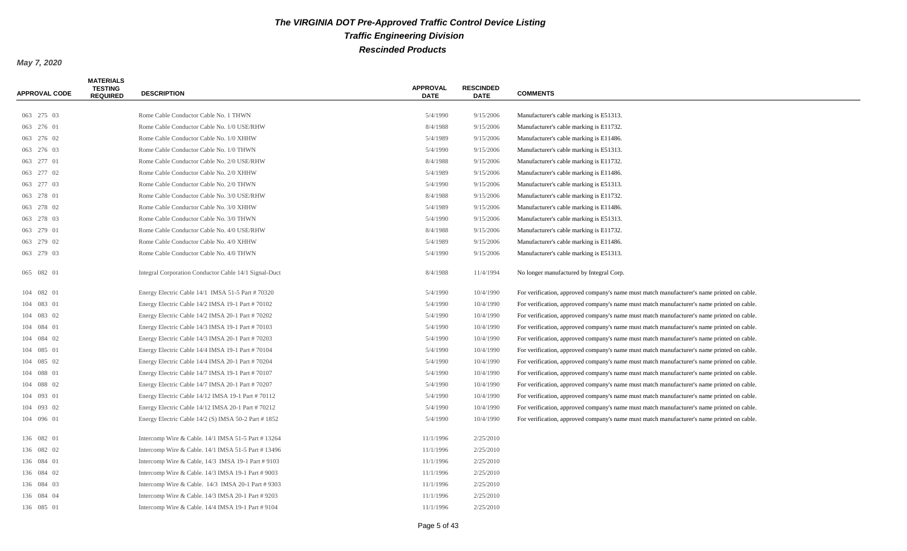| <b>APPROVAL CODE</b> | <b>MATERIALS</b><br><b>TESTING</b><br><b>REQUIRED</b> | <b>DESCRIPTION</b>                                    | <b>APPROVAL</b><br><b>DATE</b> | <b>RESCINDED</b><br><b>DATE</b> | <b>COMMENTS</b>                                                                            |
|----------------------|-------------------------------------------------------|-------------------------------------------------------|--------------------------------|---------------------------------|--------------------------------------------------------------------------------------------|
| 063 275 03           |                                                       | Rome Cable Conductor Cable No. 1 THWN                 | 5/4/1990                       | 9/15/2006                       | Manufacturer's cable marking is E51313.                                                    |
| 063 276 01           |                                                       | Rome Cable Conductor Cable No. 1/0 USE/RHW            | 8/4/1988                       | 9/15/2006                       | Manufacturer's cable marking is E11732.                                                    |
| 063 276 02           |                                                       | Rome Cable Conductor Cable No. 1/0 XHHW               | 5/4/1989                       | 9/15/2006                       | Manufacturer's cable marking is E11486.                                                    |
| 063 276 03           |                                                       | Rome Cable Conductor Cable No. 1/0 THWN               | 5/4/1990                       | 9/15/2006                       | Manufacturer's cable marking is E51313.                                                    |
| 063 277 01           |                                                       | Rome Cable Conductor Cable No. 2/0 USE/RHW            | 8/4/1988                       | 9/15/2006                       | Manufacturer's cable marking is E11732.                                                    |
| 063 277 02           |                                                       | Rome Cable Conductor Cable No. 2/0 XHHW               | 5/4/1989                       | 9/15/2006                       | Manufacturer's cable marking is E11486.                                                    |
| 063 277 03           |                                                       | Rome Cable Conductor Cable No. 2/0 THWN               | 5/4/1990                       | 9/15/2006                       | Manufacturer's cable marking is E51313.                                                    |
| 063 278 01           |                                                       | Rome Cable Conductor Cable No. 3/0 USE/RHW            | 8/4/1988                       | 9/15/2006                       | Manufacturer's cable marking is E11732.                                                    |
| 063 278 02           |                                                       | Rome Cable Conductor Cable No. 3/0 XHHW               | 5/4/1989                       | 9/15/2006                       | Manufacturer's cable marking is E11486.                                                    |
| 063 278 03           |                                                       | Rome Cable Conductor Cable No. 3/0 THWN               | 5/4/1990                       | 9/15/2006                       | Manufacturer's cable marking is E51313.                                                    |
| 063 279 01           |                                                       | Rome Cable Conductor Cable No. 4/0 USE/RHW            | 8/4/1988                       | 9/15/2006                       | Manufacturer's cable marking is E11732.                                                    |
| 063 279 02           |                                                       | Rome Cable Conductor Cable No. 4/0 XHHW               | 5/4/1989                       | 9/15/2006                       | Manufacturer's cable marking is E11486.                                                    |
| 063 279 03           |                                                       | Rome Cable Conductor Cable No. 4/0 THWN               | 5/4/1990                       | 9/15/2006                       | Manufacturer's cable marking is E51313.                                                    |
| 065 082 01           |                                                       | Integral Corporation Conductor Cable 14/1 Signal-Duct | 8/4/1988                       | 11/4/1994                       | No longer manufactured by Integral Corp.                                                   |
| 104 082 01           |                                                       | Energy Electric Cable 14/1 IMSA 51-5 Part # 70320     | 5/4/1990                       | 10/4/1990                       | For verification, approved company's name must match manufacturer's name printed on cable. |
| 104 083 01           |                                                       | Energy Electric Cable 14/2 IMSA 19-1 Part #70102      | 5/4/1990                       | 10/4/1990                       | For verification, approved company's name must match manufacturer's name printed on cable. |
| 104 083 02           |                                                       | Energy Electric Cable 14/2 IMSA 20-1 Part # 70202     | 5/4/1990                       | 10/4/1990                       | For verification, approved company's name must match manufacturer's name printed on cable. |
| 104 084 01           |                                                       | Energy Electric Cable 14/3 IMSA 19-1 Part # 70103     | 5/4/1990                       | 10/4/1990                       | For verification, approved company's name must match manufacturer's name printed on cable. |
| 104 084 02           |                                                       | Energy Electric Cable 14/3 IMSA 20-1 Part # 70203     | 5/4/1990                       | 10/4/1990                       | For verification, approved company's name must match manufacturer's name printed on cable. |
| 104 085 01           |                                                       | Energy Electric Cable 14/4 IMSA 19-1 Part # 70104     | 5/4/1990                       | 10/4/1990                       | For verification, approved company's name must match manufacturer's name printed on cable. |
| 104 085 02           |                                                       | Energy Electric Cable 14/4 IMSA 20-1 Part # 70204     | 5/4/1990                       | 10/4/1990                       | For verification, approved company's name must match manufacturer's name printed on cable. |
| 104 088 01           |                                                       | Energy Electric Cable 14/7 IMSA 19-1 Part # 70107     | 5/4/1990                       | 10/4/1990                       | For verification, approved company's name must match manufacturer's name printed on cable. |
| 104 088 02           |                                                       | Energy Electric Cable 14/7 IMSA 20-1 Part # 70207     | 5/4/1990                       | 10/4/1990                       | For verification, approved company's name must match manufacturer's name printed on cable. |
| 104 093 01           |                                                       | Energy Electric Cable 14/12 IMSA 19-1 Part #70112     | 5/4/1990                       | 10/4/1990                       | For verification, approved company's name must match manufacturer's name printed on cable. |
| 104 093 02           |                                                       | Energy Electric Cable 14/12 IMSA 20-1 Part #70212     | 5/4/1990                       | 10/4/1990                       | For verification, approved company's name must match manufacturer's name printed on cable. |
| 104 096 01           |                                                       | Energy Electric Cable 14/2 (S) IMSA 50-2 Part #1852   | 5/4/1990                       | 10/4/1990                       | For verification, approved company's name must match manufacturer's name printed on cable. |
| 136 082 01           |                                                       | Intercomp Wire & Cable. 14/1 IMSA 51-5 Part #13264    | 11/1/1996                      | 2/25/2010                       |                                                                                            |
| 136 082 02           |                                                       | Intercomp Wire & Cable. $14/1$ IMSA 51-5 Part #13496  | 11/1/1996                      | 2/25/2010                       |                                                                                            |
| 136 084 01           |                                                       | Intercomp Wire & Cable, 14/3 IMSA 19-1 Part # 9103    | 11/1/1996                      | 2/25/2010                       |                                                                                            |
| 136 084 02           |                                                       | Intercomp Wire & Cable. 14/3 IMSA 19-1 Part #9003     | 11/1/1996                      | 2/25/2010                       |                                                                                            |
| 136 084 03           |                                                       | Intercomp Wire & Cable. 14/3 IMSA 20-1 Part #9303     | 11/1/1996                      | 2/25/2010                       |                                                                                            |
| 136 084 04           |                                                       | Intercomp Wire & Cable. 14/3 IMSA 20-1 Part #9203     | 11/1/1996                      | 2/25/2010                       |                                                                                            |
| 136 085 01           |                                                       | Intercomp Wire & Cable. 14/4 IMSA 19-1 Part # 9104    | 11/1/1996                      | 2/25/2010                       |                                                                                            |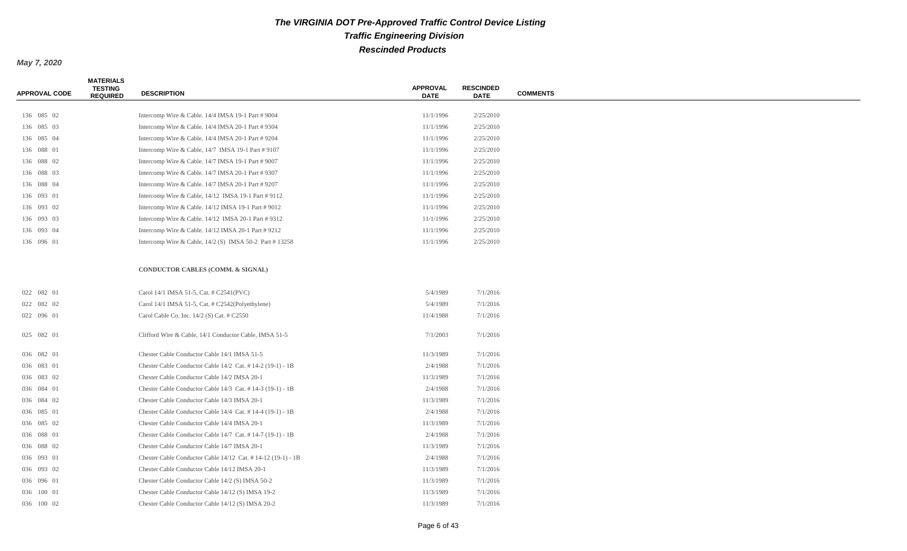| <b>APPROVAL CODE</b> | <b>MATERIALS</b><br><b>TESTING</b><br><b>REQUIRED</b> | <b>DESCRIPTION</b>                                          | <b>APPROVAL</b><br><b>DATE</b> | <b>RESCINDED</b><br><b>DATE</b> | <b>COMMENTS</b> |
|----------------------|-------------------------------------------------------|-------------------------------------------------------------|--------------------------------|---------------------------------|-----------------|
|                      |                                                       |                                                             |                                |                                 |                 |
| 136 085 02           |                                                       | Intercomp Wire & Cable. 14/4 IMSA 19-1 Part # 9004          | 11/1/1996                      | 2/25/2010                       |                 |
| 136 085 03           |                                                       | Intercomp Wire & Cable. 14/4 IMSA 20-1 Part # 9304          | 11/1/1996                      | 2/25/2010                       |                 |
| 136 085 04           |                                                       | Intercomp Wire & Cable. 14/4 IMSA 20-1 Part # 9204          | 11/1/1996                      | 2/25/2010                       |                 |
| 136 088 01           |                                                       | Intercomp Wire & Cable, 14/7 IMSA 19-1 Part #9107           | 11/1/1996                      | 2/25/2010                       |                 |
| 136 088 02           |                                                       | Intercomp Wire & Cable. 14/7 IMSA 19-1 Part # 9007          | 11/1/1996                      | 2/25/2010                       |                 |
| 136 088 03           |                                                       | Intercomp Wire & Cable. 14/7 IMSA 20-1 Part # 9307          | 11/1/1996                      | 2/25/2010                       |                 |
| 136 088 04           |                                                       | Intercomp Wire & Cable. 14/7 IMSA 20-1 Part # 9207          | 11/1/1996                      | 2/25/2010                       |                 |
| 136 093 01           |                                                       | Intercomp Wire & Cable, 14/12 IMSA 19-1 Part # 9112         | 11/1/1996                      | 2/25/2010                       |                 |
| 136 093 02           |                                                       | Intercomp Wire & Cable. 14/12 IMSA 19-1 Part # 9012         | 11/1/1996                      | 2/25/2010                       |                 |
| 136 093 03           |                                                       | Intercomp Wire & Cable. $14/12$ IMSA 20-1 Part # 9312       | 11/1/1996                      | 2/25/2010                       |                 |
| 136 093 04           |                                                       | Intercomp Wire & Cable. 14/12 IMSA 20-1 Part # 9212         | 11/1/1996                      | 2/25/2010                       |                 |
| 136 096 01           |                                                       | Intercomp Wire & Cable, $14/2$ (S) IMSA 50-2 Part #13258    | 11/1/1996                      | 2/25/2010                       |                 |
|                      |                                                       | CONDUCTOR CABLES (COMM. & SIGNAL)                           |                                |                                 |                 |
| 022 082 01           |                                                       | Carol 14/1 IMSA 51-5, Cat. # C2541(PVC)                     | 5/4/1989                       | 7/1/2016                        |                 |
| 022 082 02           |                                                       | Carol 14/1 IMSA 51-5, Cat. # C2542(Polyethylene)            | 5/4/1989                       | 7/1/2016                        |                 |
| 022 096 01           |                                                       | Carol Cable Co. Inc. $14/2$ (S) Cat. $\#$ C2550             | 11/4/1988                      | 7/1/2016                        |                 |
| 025 082 01           |                                                       | Clifford Wire & Cable, 14/1 Conductor Cable, IMSA 51-5      | 7/1/2003                       | 7/1/2016                        |                 |
| 036 082 01           |                                                       | Chester Cable Conductor Cable 14/1 IMSA 51-5                | 11/3/1989                      | 7/1/2016                        |                 |
| 036 083 01           |                                                       | Chester Cable Conductor Cable 14/2 Cat. #14-2 (19-1) - 1B   | 2/4/1988                       | 7/1/2016                        |                 |
| 036 083 02           |                                                       | Chester Cable Conductor Cable 14/2 IMSA 20-1                | 11/3/1989                      | 7/1/2016                        |                 |
| 036 084 01           |                                                       | Chester Cable Conductor Cable 14/3 Cat. #14-3 (19-1) - 1B   | 2/4/1988                       | 7/1/2016                        |                 |
| 036 084 02           |                                                       | Chester Cable Conductor Cable 14/3 IMSA 20-1                | 11/3/1989                      | 7/1/2016                        |                 |
| 036 085 01           |                                                       | Chester Cable Conductor Cable 14/4 Cat. #14-4 (19-1) - 1B   | 2/4/1988                       | 7/1/2016                        |                 |
| 036 085 02           |                                                       | Chester Cable Conductor Cable 14/4 IMSA 20-1                | 11/3/1989                      | 7/1/2016                        |                 |
| 036 088 01           |                                                       | Chester Cable Conductor Cable 14/7 Cat. #14-7 (19-1) - 1B   | 2/4/1988                       | 7/1/2016                        |                 |
| 036 088 02           |                                                       | Chester Cable Conductor Cable 14/7 IMSA 20-1                | 11/3/1989                      | 7/1/2016                        |                 |
| 036 093 01           |                                                       | Chester Cable Conductor Cable 14/12 Cat. #14-12 (19-1) - 1B | 2/4/1988                       | 7/1/2016                        |                 |
| 036 093 02           |                                                       | Chester Cable Conductor Cable 14/12 IMSA 20-1               | 11/3/1989                      | 7/1/2016                        |                 |
| 036 096 01           |                                                       | Chester Cable Conductor Cable 14/2 (S) IMSA 50-2            | 11/3/1989                      | 7/1/2016                        |                 |
| 036 100 01           |                                                       | Chester Cable Conductor Cable 14/12 (S) IMSA 19-2           | 11/3/1989                      | 7/1/2016                        |                 |
| 036 100 02           |                                                       | Chester Cable Conductor Cable 14/12 (S) IMSA 20-2           | 11/3/1989                      | 7/1/2016                        |                 |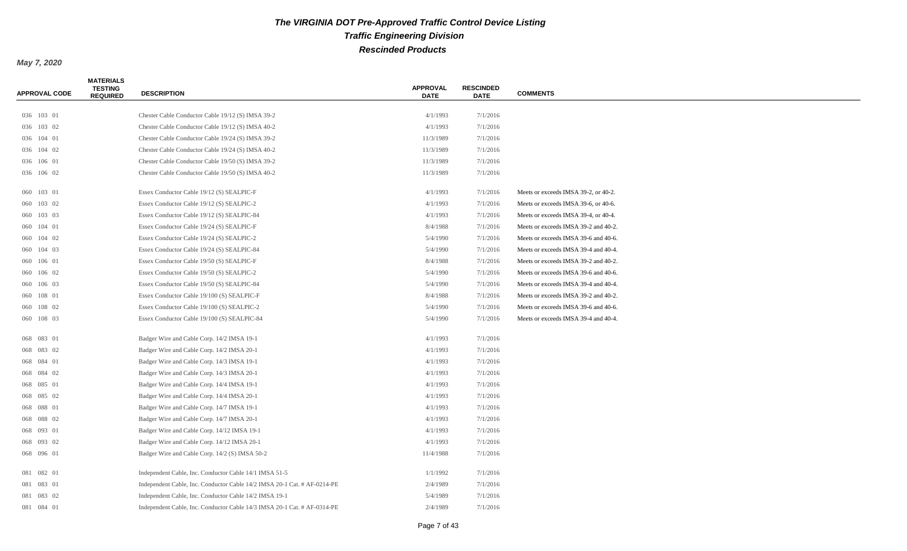| <b>APPROVAL CODE</b> | <b>MATERIALS</b><br><b>TESTING</b><br><b>REQUIRED</b> | <b>DESCRIPTION</b>                                                       | <b>APPROVAL</b><br><b>DATE</b> | <b>RESCINDED</b><br><b>DATE</b> | <b>COMMENTS</b>                      |
|----------------------|-------------------------------------------------------|--------------------------------------------------------------------------|--------------------------------|---------------------------------|--------------------------------------|
| 036 103 01           |                                                       | Chester Cable Conductor Cable 19/12 (S) IMSA 39-2                        | 4/1/1993                       | 7/1/2016                        |                                      |
| 036 103 02           |                                                       | Chester Cable Conductor Cable 19/12 (S) IMSA 40-2                        | 4/1/1993                       | 7/1/2016                        |                                      |
| 036 104 01           |                                                       | Chester Cable Conductor Cable 19/24 (S) IMSA 39-2                        | 11/3/1989                      | 7/1/2016                        |                                      |
| 036 104 02           |                                                       | Chester Cable Conductor Cable 19/24 (S) IMSA 40-2                        | 11/3/1989                      | 7/1/2016                        |                                      |
| 036 106 01           |                                                       | Chester Cable Conductor Cable 19/50 (S) IMSA 39-2                        | 11/3/1989                      | 7/1/2016                        |                                      |
| 036 106 02           |                                                       | Chester Cable Conductor Cable 19/50 (S) IMSA 40-2                        | 11/3/1989                      | 7/1/2016                        |                                      |
| 060 103 01           |                                                       | Essex Conductor Cable 19/12 (S) SEALPIC-F                                | 4/1/1993                       | 7/1/2016                        | Meets or exceeds IMSA 39-2, or 40-2. |
| 060 103 02           |                                                       | Essex Conductor Cable 19/12 (S) SEALPIC-2                                | 4/1/1993                       | 7/1/2016                        | Meets or exceeds IMSA 39-6, or 40-6. |
| 060 103 03           |                                                       | Essex Conductor Cable 19/12 (S) SEALPIC-84                               | 4/1/1993                       | 7/1/2016                        | Meets or exceeds IMSA 39-4, or 40-4. |
| 060 104 01           |                                                       | Essex Conductor Cable 19/24 (S) SEALPIC-F                                | 8/4/1988                       | 7/1/2016                        | Meets or exceeds IMSA 39-2 and 40-2. |
| 060 104 02           |                                                       | Essex Conductor Cable 19/24 (S) SEALPIC-2                                | 5/4/1990                       | 7/1/2016                        | Meets or exceeds IMSA 39-6 and 40-6. |
| 060 104 03           |                                                       | Essex Conductor Cable 19/24 (S) SEALPIC-84                               | 5/4/1990                       | 7/1/2016                        | Meets or exceeds IMSA 39-4 and 40-4. |
| 060 106 01           |                                                       | Essex Conductor Cable 19/50 (S) SEALPIC-F                                | 8/4/1988                       | 7/1/2016                        | Meets or exceeds IMSA 39-2 and 40-2. |
| 060 106 02           |                                                       | Essex Conductor Cable 19/50 (S) SEALPIC-2                                | 5/4/1990                       | 7/1/2016                        | Meets or exceeds IMSA 39-6 and 40-6. |
| 060 106 03           |                                                       | Essex Conductor Cable 19/50 (S) SEALPIC-84                               | 5/4/1990                       | 7/1/2016                        | Meets or exceeds IMSA 39-4 and 40-4. |
| 060 108 01           |                                                       | Essex Conductor Cable 19/100 (S) SEALPIC-F                               | 8/4/1988                       | 7/1/2016                        | Meets or exceeds IMSA 39-2 and 40-2. |
| 060 108 02           |                                                       | Essex Conductor Cable 19/100 (S) SEALPIC-2                               | 5/4/1990                       | 7/1/2016                        | Meets or exceeds IMSA 39-6 and 40-6. |
| 060 108 03           |                                                       | Essex Conductor Cable 19/100 (S) SEALPIC-84                              | 5/4/1990                       | 7/1/2016                        | Meets or exceeds IMSA 39-4 and 40-4. |
| 068 083 01           |                                                       | Badger Wire and Cable Corp. 14/2 IMSA 19-1                               | 4/1/1993                       | 7/1/2016                        |                                      |
| 068 083 02           |                                                       | Badger Wire and Cable Corp. 14/2 IMSA 20-1                               | 4/1/1993                       | 7/1/2016                        |                                      |
| 068 084 01           |                                                       | Badger Wire and Cable Corp. 14/3 IMSA 19-1                               | 4/1/1993                       | 7/1/2016                        |                                      |
| 068 084 02           |                                                       | Badger Wire and Cable Corp. 14/3 IMSA 20-1                               | 4/1/1993                       | 7/1/2016                        |                                      |
| 068 085 01           |                                                       | Badger Wire and Cable Corp. 14/4 IMSA 19-1                               | 4/1/1993                       | 7/1/2016                        |                                      |
| 068 085 02           |                                                       | Badger Wire and Cable Corp. 14/4 IMSA 20-1                               | 4/1/1993                       | 7/1/2016                        |                                      |
| 068 088 01           |                                                       | Badger Wire and Cable Corp. 14/7 IMSA 19-1                               | 4/1/1993                       | 7/1/2016                        |                                      |
| 068 088 02           |                                                       | Badger Wire and Cable Corp. 14/7 IMSA 20-1                               | 4/1/1993                       | 7/1/2016                        |                                      |
| 068 093 01           |                                                       | Badger Wire and Cable Corp. 14/12 IMSA 19-1                              | 4/1/1993                       | 7/1/2016                        |                                      |
| 068 093 02           |                                                       | Badger Wire and Cable Corp. 14/12 IMSA 20-1                              | 4/1/1993                       | 7/1/2016                        |                                      |
| 068 096 01           |                                                       | Badger Wire and Cable Corp. 14/2 (S) IMSA 50-2                           | 11/4/1988                      | 7/1/2016                        |                                      |
| 081 082 01           |                                                       | Independent Cable, Inc. Conductor Cable 14/1 IMSA 51-5                   | 1/1/1992                       | 7/1/2016                        |                                      |
| 081 083 01           |                                                       | Independent Cable, Inc. Conductor Cable 14/2 IMSA 20-1 Cat. # AF-0214-PE | 2/4/1989                       | 7/1/2016                        |                                      |
| 081 083 02           |                                                       | Independent Cable, Inc. Conductor Cable 14/2 IMSA 19-1                   | 5/4/1989                       | 7/1/2016                        |                                      |
| 081 084 01           |                                                       | Independent Cable, Inc. Conductor Cable 14/3 IMSA 20-1 Cat. # AF-0314-PE | 2/4/1989                       | 7/1/2016                        |                                      |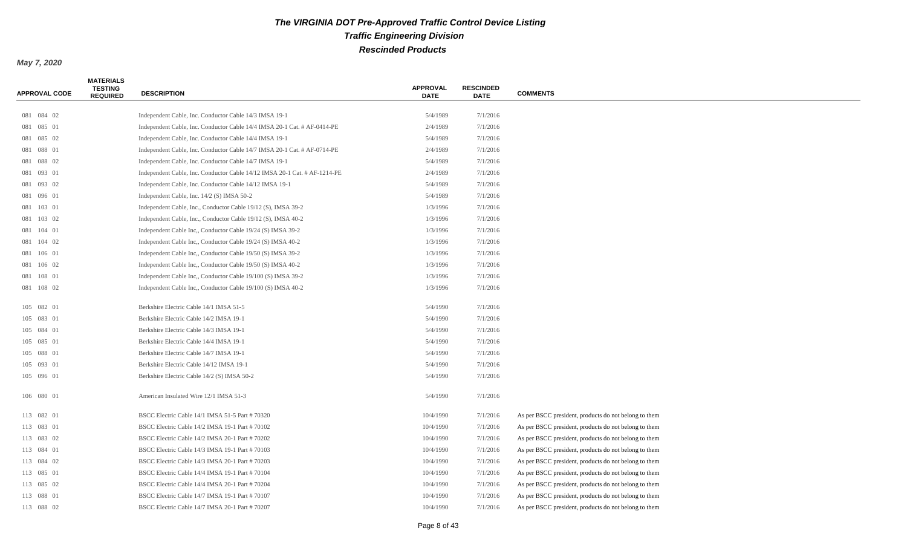| <b>APPROVAL CODE</b> | <b>MATERIALS</b><br><b>TESTING</b><br><b>REQUIRED</b> | <b>DESCRIPTION</b>                                                        | <b>APPROVAL</b><br><b>DATE</b> | <b>RESCINDED</b><br><b>DATE</b> | <b>COMMENTS</b>                                       |
|----------------------|-------------------------------------------------------|---------------------------------------------------------------------------|--------------------------------|---------------------------------|-------------------------------------------------------|
|                      |                                                       |                                                                           |                                |                                 |                                                       |
| 081 084 02           |                                                       | Independent Cable, Inc. Conductor Cable 14/3 IMSA 19-1                    | 5/4/1989                       | 7/1/2016                        |                                                       |
| 081 085 01           |                                                       | Independent Cable, Inc. Conductor Cable 14/4 IMSA 20-1 Cat. # AF-0414-PE  | 2/4/1989                       | 7/1/2016                        |                                                       |
| 081 085 02           |                                                       | Independent Cable, Inc. Conductor Cable 14/4 IMSA 19-1                    | 5/4/1989                       | 7/1/2016                        |                                                       |
| 081 088 01           |                                                       | Independent Cable, Inc. Conductor Cable 14/7 IMSA 20-1 Cat. # AF-0714-PE  | 2/4/1989                       | 7/1/2016                        |                                                       |
| 081 088 02           |                                                       | Independent Cable, Inc. Conductor Cable 14/7 IMSA 19-1                    | 5/4/1989                       | 7/1/2016                        |                                                       |
| 081 093 01           |                                                       | Independent Cable, Inc. Conductor Cable 14/12 IMSA 20-1 Cat. # AF-1214-PE | 2/4/1989                       | 7/1/2016                        |                                                       |
| 081 093 02           |                                                       | Independent Cable, Inc. Conductor Cable 14/12 IMSA 19-1                   | 5/4/1989                       | 7/1/2016                        |                                                       |
| 081 096 01           |                                                       | Independent Cable, Inc. 14/2 (S) IMSA 50-2                                | 5/4/1989                       | 7/1/2016                        |                                                       |
| 081 103 01           |                                                       | Independent Cable, Inc., Conductor Cable 19/12 (S), IMSA 39-2             | 1/3/1996                       | 7/1/2016                        |                                                       |
| 081 103 02           |                                                       | Independent Cable, Inc., Conductor Cable 19/12 (S), IMSA 40-2             | 1/3/1996                       | 7/1/2016                        |                                                       |
| 081 104 01           |                                                       | Independent Cable Inc., Conductor Cable 19/24 (S) IMSA 39-2               | 1/3/1996                       | 7/1/2016                        |                                                       |
| 081 104 02           |                                                       | Independent Cable Inc., Conductor Cable 19/24 (S) IMSA 40-2               | 1/3/1996                       | 7/1/2016                        |                                                       |
| 081 106 01           |                                                       | Independent Cable Inc., Conductor Cable 19/50 (S) IMSA 39-2               | 1/3/1996                       | 7/1/2016                        |                                                       |
| 081 106 02           |                                                       | Independent Cable Inc., Conductor Cable 19/50 (S) IMSA 40-2               | 1/3/1996                       | 7/1/2016                        |                                                       |
| 081 108 01           |                                                       | Independent Cable Inc., Conductor Cable 19/100 (S) IMSA 39-2              | 1/3/1996                       | 7/1/2016                        |                                                       |
| 081 108 02           |                                                       | Independent Cable Inc., Conductor Cable 19/100 (S) IMSA 40-2              | 1/3/1996                       | 7/1/2016                        |                                                       |
|                      |                                                       |                                                                           |                                |                                 |                                                       |
| 105 082 01           |                                                       | Berkshire Electric Cable 14/1 IMSA 51-5                                   | 5/4/1990                       | 7/1/2016                        |                                                       |
| 105 083 01           |                                                       | Berkshire Electric Cable 14/2 IMSA 19-1                                   | 5/4/1990                       | 7/1/2016                        |                                                       |
| 105 084 01           |                                                       | Berkshire Electric Cable 14/3 IMSA 19-1                                   | 5/4/1990                       | 7/1/2016                        |                                                       |
| 105 085 01           |                                                       | Berkshire Electric Cable 14/4 IMSA 19-1                                   | 5/4/1990                       | 7/1/2016                        |                                                       |
| 105 088 01           |                                                       | Berkshire Electric Cable 14/7 IMSA 19-1                                   | 5/4/1990                       | 7/1/2016                        |                                                       |
| 105 093 01           |                                                       | Berkshire Electric Cable 14/12 IMSA 19-1                                  | 5/4/1990                       | 7/1/2016                        |                                                       |
| 105 096 01           |                                                       | Berkshire Electric Cable 14/2 (S) IMSA 50-2                               | 5/4/1990                       | 7/1/2016                        |                                                       |
| 106 080 01           |                                                       | American Insulated Wire 12/1 IMSA 51-3                                    | 5/4/1990                       | 7/1/2016                        |                                                       |
| 113 082 01           |                                                       | BSCC Electric Cable 14/1 IMSA 51-5 Part #70320                            | 10/4/1990                      | 7/1/2016                        | As per BSCC president, products do not belong to them |
| 113 083 01           |                                                       | BSCC Electric Cable 14/2 IMSA 19-1 Part #70102                            | 10/4/1990                      | 7/1/2016                        | As per BSCC president, products do not belong to them |
| 113 083 02           |                                                       | BSCC Electric Cable 14/2 IMSA 20-1 Part #70202                            | 10/4/1990                      | 7/1/2016                        | As per BSCC president, products do not belong to them |
| 113 084 01           |                                                       | BSCC Electric Cable 14/3 IMSA 19-1 Part # 70103                           | 10/4/1990                      | 7/1/2016                        | As per BSCC president, products do not belong to them |
| 113 084 02           |                                                       | BSCC Electric Cable 14/3 IMSA 20-1 Part # 70203                           | 10/4/1990                      | 7/1/2016                        | As per BSCC president, products do not belong to them |
| 113 085 01           |                                                       | BSCC Electric Cable 14/4 IMSA 19-1 Part #70104                            | 10/4/1990                      | 7/1/2016                        | As per BSCC president, products do not belong to them |
| 113 085 02           |                                                       | BSCC Electric Cable 14/4 IMSA 20-1 Part #70204                            | 10/4/1990                      | 7/1/2016                        | As per BSCC president, products do not belong to them |
| 113 088 01           |                                                       | BSCC Electric Cable 14/7 IMSA 19-1 Part # 70107                           | 10/4/1990                      | 7/1/2016                        | As per BSCC president, products do not belong to them |
| 113 088 02           |                                                       | BSCC Electric Cable 14/7 IMSA 20-1 Part # 70207                           | 10/4/1990                      | 7/1/2016                        | As per BSCC president, products do not belong to them |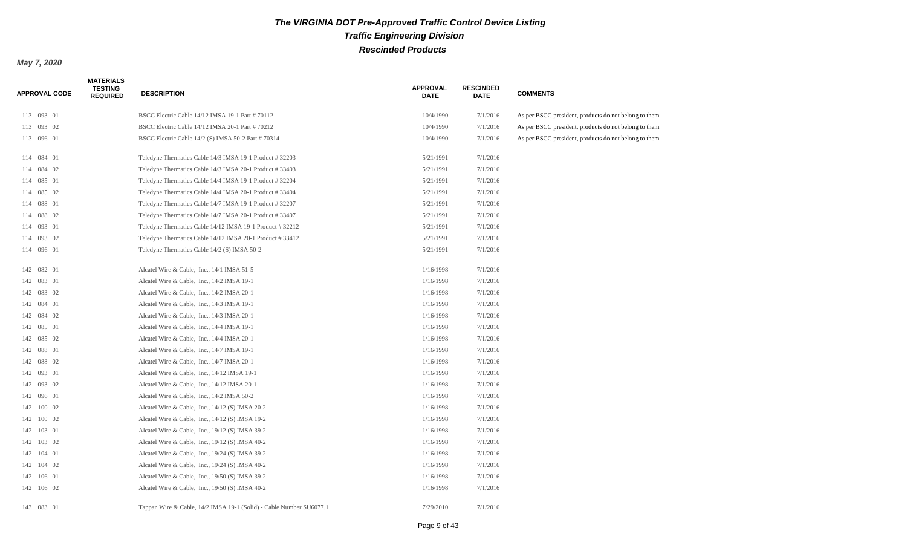| <b>APPROVAL CODE</b> | <b>MATERIALS</b><br><b>TESTING</b><br><b>REQUIRED</b> | <b>DESCRIPTION</b>                                                  | <b>APPROVAL</b><br><b>DATE</b> | <b>RESCINDED</b><br><b>DATE</b> | <b>COMMENTS</b>                                       |
|----------------------|-------------------------------------------------------|---------------------------------------------------------------------|--------------------------------|---------------------------------|-------------------------------------------------------|
| 113 093 01           |                                                       | BSCC Electric Cable 14/12 IMSA 19-1 Part # 70112                    | 10/4/1990                      | 7/1/2016                        | As per BSCC president, products do not belong to them |
| 113 093 02           |                                                       | BSCC Electric Cable 14/12 IMSA 20-1 Part # 70212                    | 10/4/1990                      | 7/1/2016                        | As per BSCC president, products do not belong to them |
| 113 096 01           |                                                       | BSCC Electric Cable 14/2 (S) IMSA 50-2 Part #70314                  | 10/4/1990                      | 7/1/2016                        | As per BSCC president, products do not belong to them |
| 114 084 01           |                                                       | Teledyne Thermatics Cable 14/3 IMSA 19-1 Product # 32203            | 5/21/1991                      | 7/1/2016                        |                                                       |
| 114 084 02           |                                                       | Teledyne Thermatics Cable 14/3 IMSA 20-1 Product #33403             | 5/21/1991                      | 7/1/2016                        |                                                       |
| 114 085 01           |                                                       | Teledyne Thermatics Cable 14/4 IMSA 19-1 Product # 32204            | 5/21/1991                      | 7/1/2016                        |                                                       |
| 114 085 02           |                                                       | Teledyne Thermatics Cable 14/4 IMSA 20-1 Product #33404             | 5/21/1991                      | 7/1/2016                        |                                                       |
| 114 088 01           |                                                       | Teledyne Thermatics Cable 14/7 IMSA 19-1 Product #32207             | 5/21/1991                      | 7/1/2016                        |                                                       |
| 114 088 02           |                                                       | Teledyne Thermatics Cable 14/7 IMSA 20-1 Product #33407             | 5/21/1991                      | 7/1/2016                        |                                                       |
| 114 093 01           |                                                       | Teledyne Thermatics Cable 14/12 IMSA 19-1 Product #32212            | 5/21/1991                      | 7/1/2016                        |                                                       |
| 114 093 02           |                                                       | Teledyne Thermatics Cable 14/12 IMSA 20-1 Product #33412            | 5/21/1991                      | 7/1/2016                        |                                                       |
| 114 096 01           |                                                       | Teledyne Thermatics Cable 14/2 (S) IMSA 50-2                        | 5/21/1991                      | 7/1/2016                        |                                                       |
| 142 082 01           |                                                       | Alcatel Wire & Cable, Inc., 14/1 IMSA 51-5                          | 1/16/1998                      | 7/1/2016                        |                                                       |
| 142 083 01           |                                                       | Alcatel Wire & Cable, Inc., 14/2 IMSA 19-1                          | 1/16/1998                      | 7/1/2016                        |                                                       |
| 142 083 02           |                                                       | Alcatel Wire & Cable, Inc., 14/2 IMSA 20-1                          | 1/16/1998                      | 7/1/2016                        |                                                       |
| 142 084 01           |                                                       | Alcatel Wire & Cable, Inc., 14/3 IMSA 19-1                          | 1/16/1998                      | 7/1/2016                        |                                                       |
| 142 084 02           |                                                       | Alcatel Wire & Cable, Inc., 14/3 IMSA 20-1                          | 1/16/1998                      | 7/1/2016                        |                                                       |
| 142 085 01           |                                                       | Alcatel Wire & Cable, Inc., 14/4 IMSA 19-1                          | 1/16/1998                      | 7/1/2016                        |                                                       |
| 142 085 02           |                                                       | Alcatel Wire & Cable, Inc., 14/4 IMSA 20-1                          | 1/16/1998                      | 7/1/2016                        |                                                       |
| 142 088 01           |                                                       | Alcatel Wire & Cable, Inc., 14/7 IMSA 19-1                          | 1/16/1998                      | 7/1/2016                        |                                                       |
| 142 088 02           |                                                       | Alcatel Wire & Cable, Inc., 14/7 IMSA 20-1                          | 1/16/1998                      | 7/1/2016                        |                                                       |
| 142 093 01           |                                                       | Alcatel Wire & Cable, Inc., 14/12 IMSA 19-1                         | 1/16/1998                      | 7/1/2016                        |                                                       |
| 142 093 02           |                                                       | Alcatel Wire & Cable, Inc., 14/12 IMSA 20-1                         | 1/16/1998                      | 7/1/2016                        |                                                       |
| 142 096 01           |                                                       | Alcatel Wire & Cable, Inc., 14/2 IMSA 50-2                          | 1/16/1998                      | 7/1/2016                        |                                                       |
| 142 100 02           |                                                       | Alcatel Wire & Cable, Inc., 14/12 (S) IMSA 20-2                     | 1/16/1998                      | 7/1/2016                        |                                                       |
| 142 100 02           |                                                       | Alcatel Wire & Cable, Inc., 14/12 (S) IMSA 19-2                     | 1/16/1998                      | 7/1/2016                        |                                                       |
| 142 103 01           |                                                       | Alcatel Wire & Cable, Inc., 19/12 (S) IMSA 39-2                     | 1/16/1998                      | 7/1/2016                        |                                                       |
| 142 103 02           |                                                       | Alcatel Wire & Cable, Inc., 19/12 (S) IMSA 40-2                     | 1/16/1998                      | 7/1/2016                        |                                                       |
| 142 104 01           |                                                       | Alcatel Wire & Cable, Inc., 19/24 (S) IMSA 39-2                     | 1/16/1998                      | 7/1/2016                        |                                                       |
| 142 104 02           |                                                       | Alcatel Wire & Cable, Inc., $19/24$ (S) IMSA 40-2                   | 1/16/1998                      | 7/1/2016                        |                                                       |
| 142 106 01           |                                                       | Alcatel Wire & Cable, Inc., 19/50 (S) IMSA 39-2                     | 1/16/1998                      | 7/1/2016                        |                                                       |
| 142 106 02           |                                                       | Alcatel Wire & Cable, Inc., 19/50 (S) IMSA 40-2                     | 1/16/1998                      | 7/1/2016                        |                                                       |
| 143 083 01           |                                                       | Tappan Wire & Cable, 14/2 IMSA 19-1 (Solid) - Cable Number SU6077.1 | 7/29/2010                      | 7/1/2016                        |                                                       |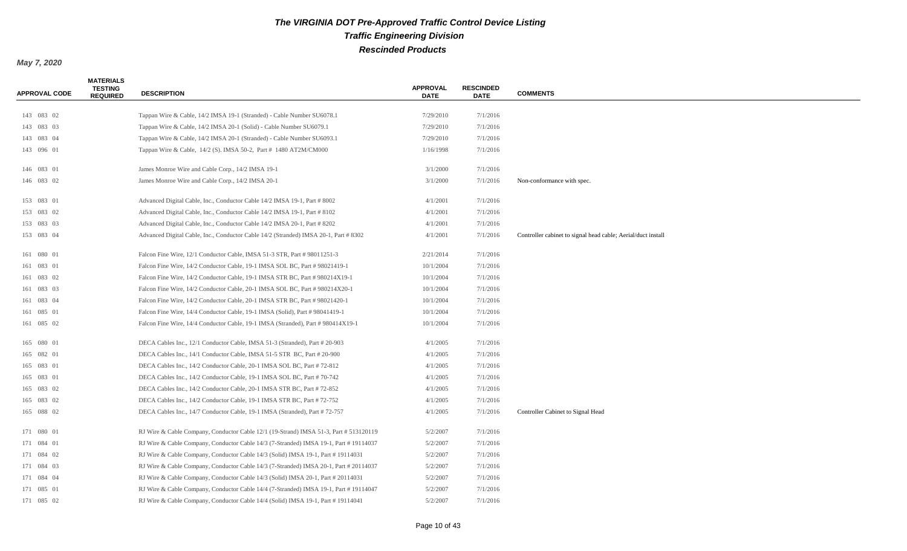| <b>APPROVAL CODE</b> | <b>MATERIALS</b><br><b>TESTING</b><br><b>REQUIRED</b> | <b>DESCRIPTION</b>                                                                    | <b>APPROVAL</b><br><b>DATE</b> | <b>RESCINDED</b><br><b>DATE</b> | <b>COMMENTS</b>                                              |
|----------------------|-------------------------------------------------------|---------------------------------------------------------------------------------------|--------------------------------|---------------------------------|--------------------------------------------------------------|
|                      |                                                       |                                                                                       |                                |                                 |                                                              |
| 143 083 02           |                                                       | Tappan Wire & Cable, 14/2 IMSA 19-1 (Stranded) - Cable Number SU6078.1                | 7/29/2010                      | 7/1/2016                        |                                                              |
| 143 083 03           |                                                       | Tappan Wire & Cable, 14/2 IMSA 20-1 (Solid) - Cable Number SU6079.1                   | 7/29/2010                      | 7/1/2016                        |                                                              |
| 143 083 04           |                                                       | Tappan Wire & Cable, 14/2 IMSA 20-1 (Stranded) - Cable Number SU6093.1                | 7/29/2010                      | 7/1/2016                        |                                                              |
| 143 096 01           |                                                       | Tappan Wire & Cable, 14/2 (S). IMSA 50-2, Part # 1480 AT2M/CM000                      | 1/16/1998                      | 7/1/2016                        |                                                              |
| 146 083 01           |                                                       | James Monroe Wire and Cable Corp., 14/2 IMSA 19-1                                     | 3/1/2000                       | 7/1/2016                        |                                                              |
| 146 083 02           |                                                       | James Monroe Wire and Cable Corp., 14/2 IMSA 20-1                                     | 3/1/2000                       | 7/1/2016                        | Non-conformance with spec.                                   |
| 153 083 01           |                                                       | Advanced Digital Cable, Inc., Conductor Cable 14/2 IMSA 19-1, Part # 8002             | 4/1/2001                       | 7/1/2016                        |                                                              |
| 153 083 02           |                                                       | Advanced Digital Cable, Inc., Conductor Cable 14/2 IMSA 19-1, Part # 8102             | 4/1/2001                       | 7/1/2016                        |                                                              |
| 153 083 03           |                                                       | Advanced Digital Cable, Inc., Conductor Cable 14/2 IMSA 20-1, Part # 8202             | 4/1/2001                       | 7/1/2016                        |                                                              |
| 153 083 04           |                                                       | Advanced Digital Cable, Inc., Conductor Cable 14/2 (Stranded) IMSA 20-1, Part # 8302  | 4/1/2001                       | 7/1/2016                        | Controller cabinet to signal head cable; Aerial/duct install |
| 161 080 01           |                                                       | Falcon Fine Wire, 12/1 Conductor Cable, IMSA 51-3 STR, Part # 98011251-3              | 2/21/2014                      | 7/1/2016                        |                                                              |
| 161 083 01           |                                                       | Falcon Fine Wire, 14/2 Conductor Cable, 19-1 IMSA SOL BC, Part # 98021419-1           | 10/1/2004                      | 7/1/2016                        |                                                              |
| 161 083 02           |                                                       | Falcon Fine Wire, 14/2 Conductor Cable, 19-1 IMSA STR BC, Part #980214X19-1           | 10/1/2004                      | 7/1/2016                        |                                                              |
| 161 083 03           |                                                       | Falcon Fine Wire, 14/2 Conductor Cable, 20-1 IMSA SOL BC, Part #980214X20-1           | 10/1/2004                      | 7/1/2016                        |                                                              |
| 161 083 04           |                                                       | Falcon Fine Wire, 14/2 Conductor Cable, 20-1 IMSA STR BC, Part # 98021420-1           | 10/1/2004                      | 7/1/2016                        |                                                              |
| 161 085 01           |                                                       | Falcon Fine Wire, 14/4 Conductor Cable, 19-1 IMSA (Solid), Part # 98041419-1          | 10/1/2004                      | 7/1/2016                        |                                                              |
| 161 085 02           |                                                       | Falcon Fine Wire, 14/4 Conductor Cable, 19-1 IMSA (Stranded), Part #980414X19-1       | 10/1/2004                      | 7/1/2016                        |                                                              |
| 165 080 01           |                                                       | DECA Cables Inc., 12/1 Conductor Cable, IMSA 51-3 (Stranded), Part # 20-903           | 4/1/2005                       | 7/1/2016                        |                                                              |
| 165 082 01           |                                                       | DECA Cables Inc., 14/1 Conductor Cable, IMSA 51-5 STR BC, Part # 20-900               | 4/1/2005                       | 7/1/2016                        |                                                              |
| 165 083 01           |                                                       | DECA Cables Inc., 14/2 Conductor Cable, 20-1 IMSA SOL BC, Part #72-812                | 4/1/2005                       | 7/1/2016                        |                                                              |
| 165 083 01           |                                                       | DECA Cables Inc., 14/2 Conductor Cable, 19-1 IMSA SOL BC, Part #70-742                | 4/1/2005                       | 7/1/2016                        |                                                              |
| 165 083 02           |                                                       | DECA Cables Inc., 14/2 Conductor Cable, 20-1 IMSA STR BC, Part #72-852                | 4/1/2005                       | 7/1/2016                        |                                                              |
| 165 083 02           |                                                       | DECA Cables Inc., 14/2 Conductor Cable, 19-1 IMSA STR BC, Part #72-752                | 4/1/2005                       | 7/1/2016                        |                                                              |
| 165 088 02           |                                                       | DECA Cables Inc., 14/7 Conductor Cable, 19-1 IMSA (Stranded), Part #72-757            | 4/1/2005                       | 7/1/2016                        | Controller Cabinet to Signal Head                            |
| 171 080 01           |                                                       | RJ Wire & Cable Company, Conductor Cable 12/1 (19-Strand) IMSA 51-3, Part # 513120119 | 5/2/2007                       | 7/1/2016                        |                                                              |
| 171 084 01           |                                                       | RJ Wire & Cable Company, Conductor Cable 14/3 (7-Stranded) IMSA 19-1, Part #19114037  | 5/2/2007                       | 7/1/2016                        |                                                              |
| 171 084 02           |                                                       | RJ Wire & Cable Company, Conductor Cable 14/3 (Solid) IMSA 19-1, Part #19114031       | 5/2/2007                       | 7/1/2016                        |                                                              |
| 171 084 03           |                                                       | RJ Wire & Cable Company, Conductor Cable 14/3 (7-Stranded) IMSA 20-1, Part # 20114037 | 5/2/2007                       | 7/1/2016                        |                                                              |
| 171 084 04           |                                                       | RJ Wire & Cable Company, Conductor Cable 14/3 (Solid) IMSA 20-1, Part # 20114031      | 5/2/2007                       | 7/1/2016                        |                                                              |
| 171 085 01           |                                                       | RJ Wire & Cable Company, Conductor Cable 14/4 (7-Stranded) IMSA 19-1, Part #19114047  | 5/2/2007                       | 7/1/2016                        |                                                              |
| 171 085 02           |                                                       | RJ Wire & Cable Company, Conductor Cable 14/4 (Solid) IMSA 19-1, Part #19114041       | 5/2/2007                       | 7/1/2016                        |                                                              |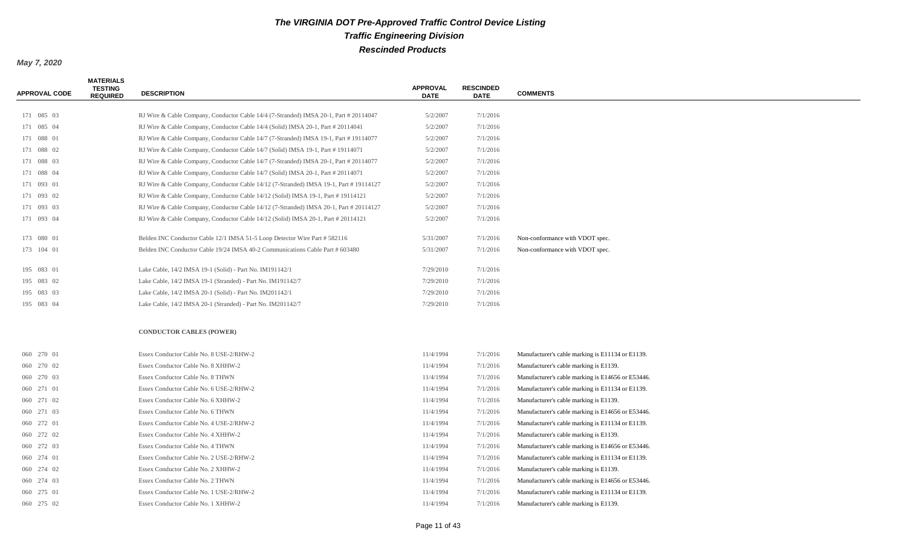| <b>APPROVAL CODE</b> | <b>MATERIALS</b><br><b>TESTING</b><br><b>REQUIRED</b> | <b>DESCRIPTION</b>                                                                     | <b>APPROVAL</b><br><b>DATE</b> | <b>RESCINDED</b><br><b>DATE</b> | <b>COMMENTS</b>                                   |
|----------------------|-------------------------------------------------------|----------------------------------------------------------------------------------------|--------------------------------|---------------------------------|---------------------------------------------------|
|                      |                                                       |                                                                                        |                                |                                 |                                                   |
| 171 085 03           |                                                       | RJ Wire & Cable Company, Conductor Cable 14/4 (7-Stranded) IMSA 20-1, Part # 20114047  | 5/2/2007                       | 7/1/2016                        |                                                   |
| 171 085 04           |                                                       | RJ Wire & Cable Company, Conductor Cable 14/4 (Solid) IMSA 20-1, Part # 20114041       | 5/2/2007                       | 7/1/2016                        |                                                   |
| 171 088 01           |                                                       | RJ Wire & Cable Company, Conductor Cable 14/7 (7-Stranded) IMSA 19-1, Part #19114077   | 5/2/2007                       | 7/1/2016                        |                                                   |
| 171 088 02           |                                                       | RJ Wire & Cable Company, Conductor Cable 14/7 (Solid) IMSA 19-1, Part #19114071        | 5/2/2007                       | 7/1/2016                        |                                                   |
| 171 088 03           |                                                       | RJ Wire & Cable Company, Conductor Cable 14/7 (7-Stranded) IMSA 20-1, Part # 20114077  | 5/2/2007                       | 7/1/2016                        |                                                   |
| 171 088 04           |                                                       | RJ Wire & Cable Company, Conductor Cable 14/7 (Solid) IMSA 20-1, Part # 20114071       | 5/2/2007                       | 7/1/2016                        |                                                   |
| 171 093 01           |                                                       | RJ Wire & Cable Company, Conductor Cable 14/12 (7-Stranded) IMSA 19-1, Part #19114127  | 5/2/2007                       | 7/1/2016                        |                                                   |
| 171 093 02           |                                                       | RJ Wire & Cable Company, Conductor Cable 14/12 (Solid) IMSA 19-1, Part #19114121       | 5/2/2007                       | 7/1/2016                        |                                                   |
| 171 093 03           |                                                       | RJ Wire & Cable Company, Conductor Cable 14/12 (7-Stranded) IMSA 20-1, Part # 20114127 | 5/2/2007                       | 7/1/2016                        |                                                   |
| 171 093 04           |                                                       | RJ Wire & Cable Company, Conductor Cable 14/12 (Solid) IMSA 20-1, Part # 20114121      | 5/2/2007                       | 7/1/2016                        |                                                   |
| 173 080 01           |                                                       | Belden INC Conductor Cable 12/1 IMSA 51-5 Loop Detector Wire Part # 582116             | 5/31/2007                      | 7/1/2016                        | Non-conformance with VDOT spec.                   |
| 173 104 01           |                                                       | Belden INC Conductor Cable 19/24 IMSA 40-2 Communications Cable Part # 603480          | 5/31/2007                      | 7/1/2016                        | Non-conformance with VDOT spec.                   |
|                      |                                                       |                                                                                        |                                |                                 |                                                   |
| 195 083 01           |                                                       | Lake Cable, 14/2 IMSA 19-1 (Solid) - Part No. IM191142/1                               | 7/29/2010                      | 7/1/2016                        |                                                   |
| 195 083 02           |                                                       | Lake Cable, 14/2 IMSA 19-1 (Stranded) - Part No. IM191142/7                            | 7/29/2010                      | 7/1/2016                        |                                                   |
| 195 083 03           |                                                       | Lake Cable, 14/2 IMSA 20-1 (Solid) - Part No. IM201142/1                               | 7/29/2010                      | 7/1/2016                        |                                                   |
| 195 083 04           |                                                       | Lake Cable, 14/2 IMSA 20-1 (Stranded) - Part No. IM201142/7                            | 7/29/2010                      | 7/1/2016                        |                                                   |
|                      |                                                       | <b>CONDUCTOR CABLES (POWER)</b>                                                        |                                |                                 |                                                   |
| 060 270 01           |                                                       | Essex Conductor Cable No. 8 USE-2/RHW-2                                                | 11/4/1994                      | 7/1/2016                        | Manufacturer's cable marking is E11134 or E1139.  |
| 060 270 02           |                                                       | Essex Conductor Cable No. 8 XHHW-2                                                     | 11/4/1994                      | 7/1/2016                        | Manufacturer's cable marking is E1139.            |
| 060 270 03           |                                                       | Essex Conductor Cable No. 8 THWN                                                       | 11/4/1994                      | 7/1/2016                        | Manufacturer's cable marking is E14656 or E53446. |
| 060 271 01           |                                                       | Essex Conductor Cable No. 6 USE-2/RHW-2                                                | 11/4/1994                      | 7/1/2016                        | Manufacturer's cable marking is E11134 or E1139.  |
| 060 271 02           |                                                       | Essex Conductor Cable No. 6 XHHW-2                                                     | 11/4/1994                      | 7/1/2016                        | Manufacturer's cable marking is E1139.            |
| 060 271 03           |                                                       | Essex Conductor Cable No. 6 THWN                                                       | 11/4/1994                      | 7/1/2016                        | Manufacturer's cable marking is E14656 or E53446. |
| 060 272 01           |                                                       | Essex Conductor Cable No. 4 USE-2/RHW-2                                                | 11/4/1994                      | 7/1/2016                        | Manufacturer's cable marking is E11134 or E1139.  |
| 060 272 02           |                                                       | Essex Conductor Cable No. 4 XHHW-2                                                     | 11/4/1994                      | 7/1/2016                        | Manufacturer's cable marking is E1139.            |
| 060 272 03           |                                                       |                                                                                        | 11/4/1994                      |                                 |                                                   |
|                      |                                                       | Essex Conductor Cable No. 4 THWN                                                       |                                | 7/1/2016                        | Manufacturer's cable marking is E14656 or E53446. |
| 060 274 01           |                                                       | Essex Conductor Cable No. 2 USE-2/RHW-2                                                | 11/4/1994                      | 7/1/2016                        | Manufacturer's cable marking is E11134 or E1139.  |
| 060 274 02           |                                                       | Essex Conductor Cable No. 2 XHHW-2                                                     | 11/4/1994                      | 7/1/2016                        | Manufacturer's cable marking is E1139.            |
| 060 274 03           |                                                       | Essex Conductor Cable No. 2 THWN                                                       | 11/4/1994                      | 7/1/2016                        | Manufacturer's cable marking is E14656 or E53446. |
| 060 275 01           |                                                       | Essex Conductor Cable No. 1 USE-2/RHW-2                                                | 11/4/1994                      | 7/1/2016                        | Manufacturer's cable marking is E11134 or E1139.  |
| 060 275 02           |                                                       | Essex Conductor Cable No. 1 XHHW-2                                                     | 11/4/1994                      | 7/1/2016                        | Manufacturer's cable marking is E1139.            |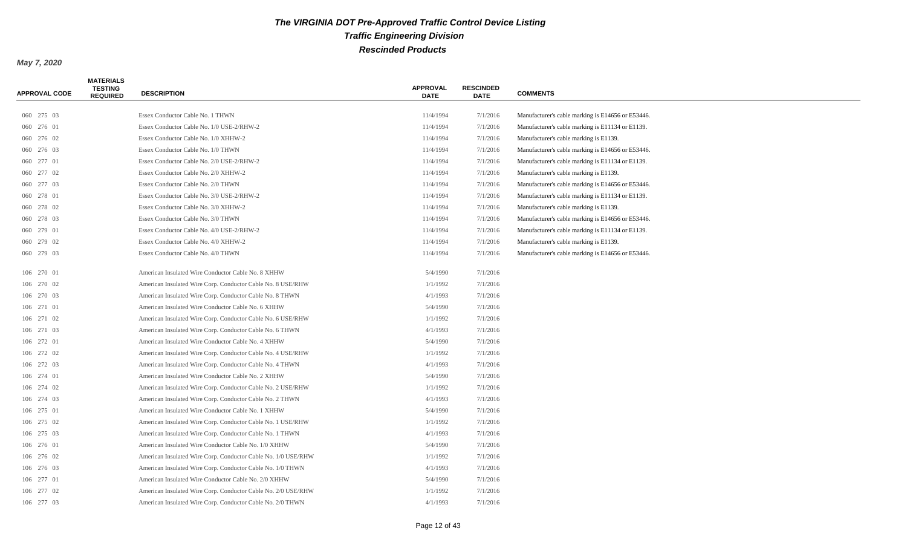| 060 275 03<br>11/4/1994<br>Essex Conductor Cable No. 1 THWN<br>7/1/2016<br>Manufacturer's cable marking is E14656 or E53446.<br>060 276 01<br>Essex Conductor Cable No. 1/0 USE-2/RHW-2<br>11/4/1994<br>7/1/2016<br>Manufacturer's cable marking is E11134 or E1139.<br>060 276 02<br>Essex Conductor Cable No. 1/0 XHHW-2<br>11/4/1994<br>7/1/2016<br>Manufacturer's cable marking is E1139.<br>060 276 03<br>Essex Conductor Cable No. 1/0 THWN<br>11/4/1994<br>7/1/2016<br>Manufacturer's cable marking is E14656 or E53446.<br>11/4/1994<br>060 277 01<br>Essex Conductor Cable No. 2/0 USE-2/RHW-2<br>7/1/2016<br>Manufacturer's cable marking is E11134 or E1139.<br>060 277 02<br>Essex Conductor Cable No. 2/0 XHHW-2<br>11/4/1994<br>7/1/2016<br>Manufacturer's cable marking is E1139.<br>060 277 03<br>Essex Conductor Cable No. 2/0 THWN<br>11/4/1994<br>7/1/2016<br>Manufacturer's cable marking is E14656 or E53446.<br>060 278 01<br>Essex Conductor Cable No. 3/0 USE-2/RHW-2<br>11/4/1994<br>7/1/2016<br>Manufacturer's cable marking is E11134 or E1139.<br>060 278 02<br>Essex Conductor Cable No. 3/0 XHHW-2<br>11/4/1994<br>7/1/2016<br>Manufacturer's cable marking is E1139.<br>060 278 03<br>Essex Conductor Cable No. 3/0 THWN<br>11/4/1994<br>7/1/2016<br>Manufacturer's cable marking is E14656 or E53446.<br>060 279 01<br>7/1/2016<br>Manufacturer's cable marking is E11134 or E1139.<br>Essex Conductor Cable No. 4/0 USE-2/RHW-2<br>11/4/1994<br>060 279 02<br>Essex Conductor Cable No. 4/0 XHHW-2<br>11/4/1994<br>7/1/2016<br>Manufacturer's cable marking is E1139.<br>060 279 03<br>Essex Conductor Cable No. 4/0 THWN<br>11/4/1994<br>7/1/2016<br>Manufacturer's cable marking is E14656 or E53446.<br>106 270 01<br>5/4/1990<br>7/1/2016<br>American Insulated Wire Conductor Cable No. 8 XHHW<br>106 270 02<br>American Insulated Wire Corp. Conductor Cable No. 8 USE/RHW<br>1/1/1992<br>7/1/2016<br>4/1/1993<br>7/1/2016<br>106 270 03<br>American Insulated Wire Corp. Conductor Cable No. 8 THWN<br>5/4/1990<br>7/1/2016<br>106 271 01<br>American Insulated Wire Conductor Cable No. 6 XHHW<br>106 271 02<br>1/1/1992<br>7/1/2016<br>American Insulated Wire Corp. Conductor Cable No. 6 USE/RHW<br>106 271 03<br>4/1/1993<br>7/1/2016<br>American Insulated Wire Corp. Conductor Cable No. 6 THWN<br>106 272 01<br>American Insulated Wire Conductor Cable No. 4 XHHW<br>5/4/1990<br>7/1/2016<br>7/1/2016<br>106 272 02<br>American Insulated Wire Corp. Conductor Cable No. 4 USE/RHW<br>1/1/1992<br>4/1/1993<br>7/1/2016<br>106 272 03<br>American Insulated Wire Corp. Conductor Cable No. 4 THWN<br>5/4/1990<br>7/1/2016<br>106 274 01<br>American Insulated Wire Conductor Cable No. 2 XHHW<br>106 274 02<br>American Insulated Wire Corp. Conductor Cable No. 2 USE/RHW<br>1/1/1992<br>7/1/2016<br>106 274 03<br>American Insulated Wire Corp. Conductor Cable No. 2 THWN<br>4/1/1993<br>7/1/2016<br>5/4/1990<br>106 275 01<br>American Insulated Wire Conductor Cable No. 1 XHHW<br>7/1/2016<br>1/1/1992<br>7/1/2016<br>106 275 02<br>American Insulated Wire Corp. Conductor Cable No. 1 USE/RHW<br>4/1/1993<br>7/1/2016<br>106 275 03<br>American Insulated Wire Corp. Conductor Cable No. 1 THWN<br>American Insulated Wire Conductor Cable No. 1/0 XHHW<br>5/4/1990<br>7/1/2016<br>106 276 01<br>106 276 02<br>American Insulated Wire Corp. Conductor Cable No. 1/0 USE/RHW<br>1/1/1992<br>7/1/2016<br>106 276 03<br>American Insulated Wire Corp. Conductor Cable No. 1/0 THWN<br>4/1/1993<br>7/1/2016<br>106 277 01<br>American Insulated Wire Conductor Cable No. 2/0 XHHW<br>5/4/1990<br>7/1/2016<br>106 277 02<br>7/1/2016<br>American Insulated Wire Corp. Conductor Cable No. 2/0 USE/RHW<br>1/1/1992 | <b>APPROVAL CODE</b> | <b>MATERIALS</b><br><b>TESTING</b><br><b>REQUIRED</b> | <b>DESCRIPTION</b> | <b>APPROVAL</b><br><b>DATE</b> | <b>RESCINDED</b><br><b>DATE</b> | <b>COMMENTS</b> |
|-----------------------------------------------------------------------------------------------------------------------------------------------------------------------------------------------------------------------------------------------------------------------------------------------------------------------------------------------------------------------------------------------------------------------------------------------------------------------------------------------------------------------------------------------------------------------------------------------------------------------------------------------------------------------------------------------------------------------------------------------------------------------------------------------------------------------------------------------------------------------------------------------------------------------------------------------------------------------------------------------------------------------------------------------------------------------------------------------------------------------------------------------------------------------------------------------------------------------------------------------------------------------------------------------------------------------------------------------------------------------------------------------------------------------------------------------------------------------------------------------------------------------------------------------------------------------------------------------------------------------------------------------------------------------------------------------------------------------------------------------------------------------------------------------------------------------------------------------------------------------------------------------------------------------------------------------------------------------------------------------------------------------------------------------------------------------------------------------------------------------------------------------------------------------------------------------------------------------------------------------------------------------------------------------------------------------------------------------------------------------------------------------------------------------------------------------------------------------------------------------------------------------------------------------------------------------------------------------------------------------------------------------------------------------------------------------------------------------------------------------------------------------------------------------------------------------------------------------------------------------------------------------------------------------------------------------------------------------------------------------------------------------------------------------------------------------------------------------------------------------------------------------------------------------------------------------------------------------------------------------------------------------------------------------------------------------------------------------------------------------------------------------------------------------------------------------------------------------------------------------------------------------------------------------------------------------------------------------------------------------------------------------------------------------------------------------------------------------------------------------------------------------|----------------------|-------------------------------------------------------|--------------------|--------------------------------|---------------------------------|-----------------|
|                                                                                                                                                                                                                                                                                                                                                                                                                                                                                                                                                                                                                                                                                                                                                                                                                                                                                                                                                                                                                                                                                                                                                                                                                                                                                                                                                                                                                                                                                                                                                                                                                                                                                                                                                                                                                                                                                                                                                                                                                                                                                                                                                                                                                                                                                                                                                                                                                                                                                                                                                                                                                                                                                                                                                                                                                                                                                                                                                                                                                                                                                                                                                                                                                                                                                                                                                                                                                                                                                                                                                                                                                                                                                                                                                                       |                      |                                                       |                    |                                |                                 |                 |
|                                                                                                                                                                                                                                                                                                                                                                                                                                                                                                                                                                                                                                                                                                                                                                                                                                                                                                                                                                                                                                                                                                                                                                                                                                                                                                                                                                                                                                                                                                                                                                                                                                                                                                                                                                                                                                                                                                                                                                                                                                                                                                                                                                                                                                                                                                                                                                                                                                                                                                                                                                                                                                                                                                                                                                                                                                                                                                                                                                                                                                                                                                                                                                                                                                                                                                                                                                                                                                                                                                                                                                                                                                                                                                                                                                       |                      |                                                       |                    |                                |                                 |                 |
|                                                                                                                                                                                                                                                                                                                                                                                                                                                                                                                                                                                                                                                                                                                                                                                                                                                                                                                                                                                                                                                                                                                                                                                                                                                                                                                                                                                                                                                                                                                                                                                                                                                                                                                                                                                                                                                                                                                                                                                                                                                                                                                                                                                                                                                                                                                                                                                                                                                                                                                                                                                                                                                                                                                                                                                                                                                                                                                                                                                                                                                                                                                                                                                                                                                                                                                                                                                                                                                                                                                                                                                                                                                                                                                                                                       |                      |                                                       |                    |                                |                                 |                 |
|                                                                                                                                                                                                                                                                                                                                                                                                                                                                                                                                                                                                                                                                                                                                                                                                                                                                                                                                                                                                                                                                                                                                                                                                                                                                                                                                                                                                                                                                                                                                                                                                                                                                                                                                                                                                                                                                                                                                                                                                                                                                                                                                                                                                                                                                                                                                                                                                                                                                                                                                                                                                                                                                                                                                                                                                                                                                                                                                                                                                                                                                                                                                                                                                                                                                                                                                                                                                                                                                                                                                                                                                                                                                                                                                                                       |                      |                                                       |                    |                                |                                 |                 |
|                                                                                                                                                                                                                                                                                                                                                                                                                                                                                                                                                                                                                                                                                                                                                                                                                                                                                                                                                                                                                                                                                                                                                                                                                                                                                                                                                                                                                                                                                                                                                                                                                                                                                                                                                                                                                                                                                                                                                                                                                                                                                                                                                                                                                                                                                                                                                                                                                                                                                                                                                                                                                                                                                                                                                                                                                                                                                                                                                                                                                                                                                                                                                                                                                                                                                                                                                                                                                                                                                                                                                                                                                                                                                                                                                                       |                      |                                                       |                    |                                |                                 |                 |
|                                                                                                                                                                                                                                                                                                                                                                                                                                                                                                                                                                                                                                                                                                                                                                                                                                                                                                                                                                                                                                                                                                                                                                                                                                                                                                                                                                                                                                                                                                                                                                                                                                                                                                                                                                                                                                                                                                                                                                                                                                                                                                                                                                                                                                                                                                                                                                                                                                                                                                                                                                                                                                                                                                                                                                                                                                                                                                                                                                                                                                                                                                                                                                                                                                                                                                                                                                                                                                                                                                                                                                                                                                                                                                                                                                       |                      |                                                       |                    |                                |                                 |                 |
|                                                                                                                                                                                                                                                                                                                                                                                                                                                                                                                                                                                                                                                                                                                                                                                                                                                                                                                                                                                                                                                                                                                                                                                                                                                                                                                                                                                                                                                                                                                                                                                                                                                                                                                                                                                                                                                                                                                                                                                                                                                                                                                                                                                                                                                                                                                                                                                                                                                                                                                                                                                                                                                                                                                                                                                                                                                                                                                                                                                                                                                                                                                                                                                                                                                                                                                                                                                                                                                                                                                                                                                                                                                                                                                                                                       |                      |                                                       |                    |                                |                                 |                 |
|                                                                                                                                                                                                                                                                                                                                                                                                                                                                                                                                                                                                                                                                                                                                                                                                                                                                                                                                                                                                                                                                                                                                                                                                                                                                                                                                                                                                                                                                                                                                                                                                                                                                                                                                                                                                                                                                                                                                                                                                                                                                                                                                                                                                                                                                                                                                                                                                                                                                                                                                                                                                                                                                                                                                                                                                                                                                                                                                                                                                                                                                                                                                                                                                                                                                                                                                                                                                                                                                                                                                                                                                                                                                                                                                                                       |                      |                                                       |                    |                                |                                 |                 |
|                                                                                                                                                                                                                                                                                                                                                                                                                                                                                                                                                                                                                                                                                                                                                                                                                                                                                                                                                                                                                                                                                                                                                                                                                                                                                                                                                                                                                                                                                                                                                                                                                                                                                                                                                                                                                                                                                                                                                                                                                                                                                                                                                                                                                                                                                                                                                                                                                                                                                                                                                                                                                                                                                                                                                                                                                                                                                                                                                                                                                                                                                                                                                                                                                                                                                                                                                                                                                                                                                                                                                                                                                                                                                                                                                                       |                      |                                                       |                    |                                |                                 |                 |
|                                                                                                                                                                                                                                                                                                                                                                                                                                                                                                                                                                                                                                                                                                                                                                                                                                                                                                                                                                                                                                                                                                                                                                                                                                                                                                                                                                                                                                                                                                                                                                                                                                                                                                                                                                                                                                                                                                                                                                                                                                                                                                                                                                                                                                                                                                                                                                                                                                                                                                                                                                                                                                                                                                                                                                                                                                                                                                                                                                                                                                                                                                                                                                                                                                                                                                                                                                                                                                                                                                                                                                                                                                                                                                                                                                       |                      |                                                       |                    |                                |                                 |                 |
|                                                                                                                                                                                                                                                                                                                                                                                                                                                                                                                                                                                                                                                                                                                                                                                                                                                                                                                                                                                                                                                                                                                                                                                                                                                                                                                                                                                                                                                                                                                                                                                                                                                                                                                                                                                                                                                                                                                                                                                                                                                                                                                                                                                                                                                                                                                                                                                                                                                                                                                                                                                                                                                                                                                                                                                                                                                                                                                                                                                                                                                                                                                                                                                                                                                                                                                                                                                                                                                                                                                                                                                                                                                                                                                                                                       |                      |                                                       |                    |                                |                                 |                 |
|                                                                                                                                                                                                                                                                                                                                                                                                                                                                                                                                                                                                                                                                                                                                                                                                                                                                                                                                                                                                                                                                                                                                                                                                                                                                                                                                                                                                                                                                                                                                                                                                                                                                                                                                                                                                                                                                                                                                                                                                                                                                                                                                                                                                                                                                                                                                                                                                                                                                                                                                                                                                                                                                                                                                                                                                                                                                                                                                                                                                                                                                                                                                                                                                                                                                                                                                                                                                                                                                                                                                                                                                                                                                                                                                                                       |                      |                                                       |                    |                                |                                 |                 |
|                                                                                                                                                                                                                                                                                                                                                                                                                                                                                                                                                                                                                                                                                                                                                                                                                                                                                                                                                                                                                                                                                                                                                                                                                                                                                                                                                                                                                                                                                                                                                                                                                                                                                                                                                                                                                                                                                                                                                                                                                                                                                                                                                                                                                                                                                                                                                                                                                                                                                                                                                                                                                                                                                                                                                                                                                                                                                                                                                                                                                                                                                                                                                                                                                                                                                                                                                                                                                                                                                                                                                                                                                                                                                                                                                                       |                      |                                                       |                    |                                |                                 |                 |
|                                                                                                                                                                                                                                                                                                                                                                                                                                                                                                                                                                                                                                                                                                                                                                                                                                                                                                                                                                                                                                                                                                                                                                                                                                                                                                                                                                                                                                                                                                                                                                                                                                                                                                                                                                                                                                                                                                                                                                                                                                                                                                                                                                                                                                                                                                                                                                                                                                                                                                                                                                                                                                                                                                                                                                                                                                                                                                                                                                                                                                                                                                                                                                                                                                                                                                                                                                                                                                                                                                                                                                                                                                                                                                                                                                       |                      |                                                       |                    |                                |                                 |                 |
|                                                                                                                                                                                                                                                                                                                                                                                                                                                                                                                                                                                                                                                                                                                                                                                                                                                                                                                                                                                                                                                                                                                                                                                                                                                                                                                                                                                                                                                                                                                                                                                                                                                                                                                                                                                                                                                                                                                                                                                                                                                                                                                                                                                                                                                                                                                                                                                                                                                                                                                                                                                                                                                                                                                                                                                                                                                                                                                                                                                                                                                                                                                                                                                                                                                                                                                                                                                                                                                                                                                                                                                                                                                                                                                                                                       |                      |                                                       |                    |                                |                                 |                 |
|                                                                                                                                                                                                                                                                                                                                                                                                                                                                                                                                                                                                                                                                                                                                                                                                                                                                                                                                                                                                                                                                                                                                                                                                                                                                                                                                                                                                                                                                                                                                                                                                                                                                                                                                                                                                                                                                                                                                                                                                                                                                                                                                                                                                                                                                                                                                                                                                                                                                                                                                                                                                                                                                                                                                                                                                                                                                                                                                                                                                                                                                                                                                                                                                                                                                                                                                                                                                                                                                                                                                                                                                                                                                                                                                                                       |                      |                                                       |                    |                                |                                 |                 |
|                                                                                                                                                                                                                                                                                                                                                                                                                                                                                                                                                                                                                                                                                                                                                                                                                                                                                                                                                                                                                                                                                                                                                                                                                                                                                                                                                                                                                                                                                                                                                                                                                                                                                                                                                                                                                                                                                                                                                                                                                                                                                                                                                                                                                                                                                                                                                                                                                                                                                                                                                                                                                                                                                                                                                                                                                                                                                                                                                                                                                                                                                                                                                                                                                                                                                                                                                                                                                                                                                                                                                                                                                                                                                                                                                                       |                      |                                                       |                    |                                |                                 |                 |
|                                                                                                                                                                                                                                                                                                                                                                                                                                                                                                                                                                                                                                                                                                                                                                                                                                                                                                                                                                                                                                                                                                                                                                                                                                                                                                                                                                                                                                                                                                                                                                                                                                                                                                                                                                                                                                                                                                                                                                                                                                                                                                                                                                                                                                                                                                                                                                                                                                                                                                                                                                                                                                                                                                                                                                                                                                                                                                                                                                                                                                                                                                                                                                                                                                                                                                                                                                                                                                                                                                                                                                                                                                                                                                                                                                       |                      |                                                       |                    |                                |                                 |                 |
|                                                                                                                                                                                                                                                                                                                                                                                                                                                                                                                                                                                                                                                                                                                                                                                                                                                                                                                                                                                                                                                                                                                                                                                                                                                                                                                                                                                                                                                                                                                                                                                                                                                                                                                                                                                                                                                                                                                                                                                                                                                                                                                                                                                                                                                                                                                                                                                                                                                                                                                                                                                                                                                                                                                                                                                                                                                                                                                                                                                                                                                                                                                                                                                                                                                                                                                                                                                                                                                                                                                                                                                                                                                                                                                                                                       |                      |                                                       |                    |                                |                                 |                 |
|                                                                                                                                                                                                                                                                                                                                                                                                                                                                                                                                                                                                                                                                                                                                                                                                                                                                                                                                                                                                                                                                                                                                                                                                                                                                                                                                                                                                                                                                                                                                                                                                                                                                                                                                                                                                                                                                                                                                                                                                                                                                                                                                                                                                                                                                                                                                                                                                                                                                                                                                                                                                                                                                                                                                                                                                                                                                                                                                                                                                                                                                                                                                                                                                                                                                                                                                                                                                                                                                                                                                                                                                                                                                                                                                                                       |                      |                                                       |                    |                                |                                 |                 |
|                                                                                                                                                                                                                                                                                                                                                                                                                                                                                                                                                                                                                                                                                                                                                                                                                                                                                                                                                                                                                                                                                                                                                                                                                                                                                                                                                                                                                                                                                                                                                                                                                                                                                                                                                                                                                                                                                                                                                                                                                                                                                                                                                                                                                                                                                                                                                                                                                                                                                                                                                                                                                                                                                                                                                                                                                                                                                                                                                                                                                                                                                                                                                                                                                                                                                                                                                                                                                                                                                                                                                                                                                                                                                                                                                                       |                      |                                                       |                    |                                |                                 |                 |
|                                                                                                                                                                                                                                                                                                                                                                                                                                                                                                                                                                                                                                                                                                                                                                                                                                                                                                                                                                                                                                                                                                                                                                                                                                                                                                                                                                                                                                                                                                                                                                                                                                                                                                                                                                                                                                                                                                                                                                                                                                                                                                                                                                                                                                                                                                                                                                                                                                                                                                                                                                                                                                                                                                                                                                                                                                                                                                                                                                                                                                                                                                                                                                                                                                                                                                                                                                                                                                                                                                                                                                                                                                                                                                                                                                       |                      |                                                       |                    |                                |                                 |                 |
|                                                                                                                                                                                                                                                                                                                                                                                                                                                                                                                                                                                                                                                                                                                                                                                                                                                                                                                                                                                                                                                                                                                                                                                                                                                                                                                                                                                                                                                                                                                                                                                                                                                                                                                                                                                                                                                                                                                                                                                                                                                                                                                                                                                                                                                                                                                                                                                                                                                                                                                                                                                                                                                                                                                                                                                                                                                                                                                                                                                                                                                                                                                                                                                                                                                                                                                                                                                                                                                                                                                                                                                                                                                                                                                                                                       |                      |                                                       |                    |                                |                                 |                 |
|                                                                                                                                                                                                                                                                                                                                                                                                                                                                                                                                                                                                                                                                                                                                                                                                                                                                                                                                                                                                                                                                                                                                                                                                                                                                                                                                                                                                                                                                                                                                                                                                                                                                                                                                                                                                                                                                                                                                                                                                                                                                                                                                                                                                                                                                                                                                                                                                                                                                                                                                                                                                                                                                                                                                                                                                                                                                                                                                                                                                                                                                                                                                                                                                                                                                                                                                                                                                                                                                                                                                                                                                                                                                                                                                                                       |                      |                                                       |                    |                                |                                 |                 |
|                                                                                                                                                                                                                                                                                                                                                                                                                                                                                                                                                                                                                                                                                                                                                                                                                                                                                                                                                                                                                                                                                                                                                                                                                                                                                                                                                                                                                                                                                                                                                                                                                                                                                                                                                                                                                                                                                                                                                                                                                                                                                                                                                                                                                                                                                                                                                                                                                                                                                                                                                                                                                                                                                                                                                                                                                                                                                                                                                                                                                                                                                                                                                                                                                                                                                                                                                                                                                                                                                                                                                                                                                                                                                                                                                                       |                      |                                                       |                    |                                |                                 |                 |
|                                                                                                                                                                                                                                                                                                                                                                                                                                                                                                                                                                                                                                                                                                                                                                                                                                                                                                                                                                                                                                                                                                                                                                                                                                                                                                                                                                                                                                                                                                                                                                                                                                                                                                                                                                                                                                                                                                                                                                                                                                                                                                                                                                                                                                                                                                                                                                                                                                                                                                                                                                                                                                                                                                                                                                                                                                                                                                                                                                                                                                                                                                                                                                                                                                                                                                                                                                                                                                                                                                                                                                                                                                                                                                                                                                       |                      |                                                       |                    |                                |                                 |                 |
|                                                                                                                                                                                                                                                                                                                                                                                                                                                                                                                                                                                                                                                                                                                                                                                                                                                                                                                                                                                                                                                                                                                                                                                                                                                                                                                                                                                                                                                                                                                                                                                                                                                                                                                                                                                                                                                                                                                                                                                                                                                                                                                                                                                                                                                                                                                                                                                                                                                                                                                                                                                                                                                                                                                                                                                                                                                                                                                                                                                                                                                                                                                                                                                                                                                                                                                                                                                                                                                                                                                                                                                                                                                                                                                                                                       |                      |                                                       |                    |                                |                                 |                 |
|                                                                                                                                                                                                                                                                                                                                                                                                                                                                                                                                                                                                                                                                                                                                                                                                                                                                                                                                                                                                                                                                                                                                                                                                                                                                                                                                                                                                                                                                                                                                                                                                                                                                                                                                                                                                                                                                                                                                                                                                                                                                                                                                                                                                                                                                                                                                                                                                                                                                                                                                                                                                                                                                                                                                                                                                                                                                                                                                                                                                                                                                                                                                                                                                                                                                                                                                                                                                                                                                                                                                                                                                                                                                                                                                                                       |                      |                                                       |                    |                                |                                 |                 |
|                                                                                                                                                                                                                                                                                                                                                                                                                                                                                                                                                                                                                                                                                                                                                                                                                                                                                                                                                                                                                                                                                                                                                                                                                                                                                                                                                                                                                                                                                                                                                                                                                                                                                                                                                                                                                                                                                                                                                                                                                                                                                                                                                                                                                                                                                                                                                                                                                                                                                                                                                                                                                                                                                                                                                                                                                                                                                                                                                                                                                                                                                                                                                                                                                                                                                                                                                                                                                                                                                                                                                                                                                                                                                                                                                                       |                      |                                                       |                    |                                |                                 |                 |
|                                                                                                                                                                                                                                                                                                                                                                                                                                                                                                                                                                                                                                                                                                                                                                                                                                                                                                                                                                                                                                                                                                                                                                                                                                                                                                                                                                                                                                                                                                                                                                                                                                                                                                                                                                                                                                                                                                                                                                                                                                                                                                                                                                                                                                                                                                                                                                                                                                                                                                                                                                                                                                                                                                                                                                                                                                                                                                                                                                                                                                                                                                                                                                                                                                                                                                                                                                                                                                                                                                                                                                                                                                                                                                                                                                       |                      |                                                       |                    |                                |                                 |                 |
|                                                                                                                                                                                                                                                                                                                                                                                                                                                                                                                                                                                                                                                                                                                                                                                                                                                                                                                                                                                                                                                                                                                                                                                                                                                                                                                                                                                                                                                                                                                                                                                                                                                                                                                                                                                                                                                                                                                                                                                                                                                                                                                                                                                                                                                                                                                                                                                                                                                                                                                                                                                                                                                                                                                                                                                                                                                                                                                                                                                                                                                                                                                                                                                                                                                                                                                                                                                                                                                                                                                                                                                                                                                                                                                                                                       |                      |                                                       |                    |                                |                                 |                 |
|                                                                                                                                                                                                                                                                                                                                                                                                                                                                                                                                                                                                                                                                                                                                                                                                                                                                                                                                                                                                                                                                                                                                                                                                                                                                                                                                                                                                                                                                                                                                                                                                                                                                                                                                                                                                                                                                                                                                                                                                                                                                                                                                                                                                                                                                                                                                                                                                                                                                                                                                                                                                                                                                                                                                                                                                                                                                                                                                                                                                                                                                                                                                                                                                                                                                                                                                                                                                                                                                                                                                                                                                                                                                                                                                                                       |                      |                                                       |                    |                                |                                 |                 |
|                                                                                                                                                                                                                                                                                                                                                                                                                                                                                                                                                                                                                                                                                                                                                                                                                                                                                                                                                                                                                                                                                                                                                                                                                                                                                                                                                                                                                                                                                                                                                                                                                                                                                                                                                                                                                                                                                                                                                                                                                                                                                                                                                                                                                                                                                                                                                                                                                                                                                                                                                                                                                                                                                                                                                                                                                                                                                                                                                                                                                                                                                                                                                                                                                                                                                                                                                                                                                                                                                                                                                                                                                                                                                                                                                                       |                      |                                                       |                    |                                |                                 |                 |
|                                                                                                                                                                                                                                                                                                                                                                                                                                                                                                                                                                                                                                                                                                                                                                                                                                                                                                                                                                                                                                                                                                                                                                                                                                                                                                                                                                                                                                                                                                                                                                                                                                                                                                                                                                                                                                                                                                                                                                                                                                                                                                                                                                                                                                                                                                                                                                                                                                                                                                                                                                                                                                                                                                                                                                                                                                                                                                                                                                                                                                                                                                                                                                                                                                                                                                                                                                                                                                                                                                                                                                                                                                                                                                                                                                       |                      |                                                       |                    |                                |                                 |                 |
| 4/1/1993<br>106 277 03<br>American Insulated Wire Corp. Conductor Cable No. 2/0 THWN<br>7/1/2016                                                                                                                                                                                                                                                                                                                                                                                                                                                                                                                                                                                                                                                                                                                                                                                                                                                                                                                                                                                                                                                                                                                                                                                                                                                                                                                                                                                                                                                                                                                                                                                                                                                                                                                                                                                                                                                                                                                                                                                                                                                                                                                                                                                                                                                                                                                                                                                                                                                                                                                                                                                                                                                                                                                                                                                                                                                                                                                                                                                                                                                                                                                                                                                                                                                                                                                                                                                                                                                                                                                                                                                                                                                                      |                      |                                                       |                    |                                |                                 |                 |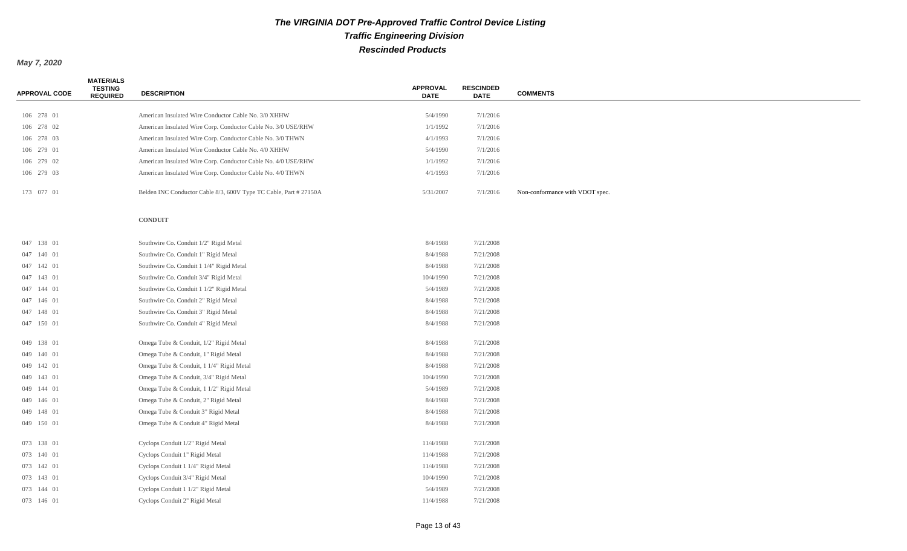| <b>APPROVAL CODE</b> | <b>MATERIALS</b><br><b>TESTING</b><br><b>REQUIRED</b> | <b>DESCRIPTION</b>                                                | <b>APPROVAL</b><br><b>DATE</b> | <b>RESCINDED</b><br><b>DATE</b> | <b>COMMENTS</b>                 |
|----------------------|-------------------------------------------------------|-------------------------------------------------------------------|--------------------------------|---------------------------------|---------------------------------|
|                      |                                                       |                                                                   |                                |                                 |                                 |
| 106 278 01           |                                                       | American Insulated Wire Conductor Cable No. 3/0 XHHW              | 5/4/1990                       | 7/1/2016                        |                                 |
| 106 278 02           |                                                       | American Insulated Wire Corp. Conductor Cable No. 3/0 USE/RHW     | 1/1/1992                       | 7/1/2016                        |                                 |
| 106 278 03           |                                                       | American Insulated Wire Corp. Conductor Cable No. 3/0 THWN        | 4/1/1993                       | 7/1/2016                        |                                 |
| 106 279 01           |                                                       | American Insulated Wire Conductor Cable No. 4/0 XHHW              | 5/4/1990                       | 7/1/2016                        |                                 |
| 106 279 02           |                                                       | American Insulated Wire Corp. Conductor Cable No. 4/0 USE/RHW     | 1/1/1992                       | 7/1/2016                        |                                 |
| 106 279 03           |                                                       | American Insulated Wire Corp. Conductor Cable No. 4/0 THWN        | 4/1/1993                       | 7/1/2016                        |                                 |
| 173 077 01           |                                                       | Belden INC Conductor Cable 8/3, 600V Type TC Cable, Part # 27150A | 5/31/2007                      | 7/1/2016                        | Non-conformance with VDOT spec. |
|                      |                                                       | <b>CONDUIT</b>                                                    |                                |                                 |                                 |
| 047 138 01           |                                                       | Southwire Co. Conduit 1/2" Rigid Metal                            | 8/4/1988                       | 7/21/2008                       |                                 |
| 047 140 01           |                                                       | Southwire Co. Conduit 1" Rigid Metal                              | 8/4/1988                       | 7/21/2008                       |                                 |
| 047 142 01           |                                                       | Southwire Co. Conduit 1 1/4" Rigid Metal                          | 8/4/1988                       | 7/21/2008                       |                                 |
| 047 143 01           |                                                       | Southwire Co. Conduit 3/4" Rigid Metal                            | 10/4/1990                      | 7/21/2008                       |                                 |
| 047 144 01           |                                                       | Southwire Co. Conduit 1 1/2" Rigid Metal                          | 5/4/1989                       | 7/21/2008                       |                                 |
| 047 146 01           |                                                       | Southwire Co. Conduit 2" Rigid Metal                              | 8/4/1988                       | 7/21/2008                       |                                 |
| 047 148 01           |                                                       | Southwire Co. Conduit 3" Rigid Metal                              | 8/4/1988                       | 7/21/2008                       |                                 |
| 047 150 01           |                                                       | Southwire Co. Conduit 4" Rigid Metal                              | 8/4/1988                       | 7/21/2008                       |                                 |
| 049 138 01           |                                                       | Omega Tube & Conduit, 1/2" Rigid Metal                            | 8/4/1988                       | 7/21/2008                       |                                 |
| 049 140 01           |                                                       | Omega Tube & Conduit, 1" Rigid Metal                              | 8/4/1988                       | 7/21/2008                       |                                 |
| 049 142 01           |                                                       | Omega Tube & Conduit, 1 1/4" Rigid Metal                          | 8/4/1988                       | 7/21/2008                       |                                 |
| 049 143 01           |                                                       | Omega Tube & Conduit, 3/4" Rigid Metal                            | 10/4/1990                      | 7/21/2008                       |                                 |
| 049 144 01           |                                                       | Omega Tube & Conduit, 1 1/2" Rigid Metal                          | 5/4/1989                       | 7/21/2008                       |                                 |
| 049 146 01           |                                                       | Omega Tube & Conduit, 2" Rigid Metal                              | 8/4/1988                       | 7/21/2008                       |                                 |
| 049 148 01           |                                                       | Omega Tube & Conduit 3" Rigid Metal                               | 8/4/1988                       | 7/21/2008                       |                                 |
| 049 150 01           |                                                       | Omega Tube & Conduit 4" Rigid Metal                               | 8/4/1988                       | 7/21/2008                       |                                 |
| 073 138 01           |                                                       | Cyclops Conduit 1/2" Rigid Metal                                  | 11/4/1988                      | 7/21/2008                       |                                 |
| 073 140 01           |                                                       | Cyclops Conduit 1" Rigid Metal                                    | 11/4/1988                      | 7/21/2008                       |                                 |
| 073 142 01           |                                                       | Cyclops Conduit 1 1/4" Rigid Metal                                | 11/4/1988                      | 7/21/2008                       |                                 |
| 073 143 01           |                                                       | Cyclops Conduit 3/4" Rigid Metal                                  | 10/4/1990                      | 7/21/2008                       |                                 |
| 073 144 01           |                                                       | Cyclops Conduit 1 1/2" Rigid Metal                                | 5/4/1989                       | 7/21/2008                       |                                 |
| 073 146 01           |                                                       | Cyclops Conduit 2" Rigid Metal                                    | 11/4/1988                      | 7/21/2008                       |                                 |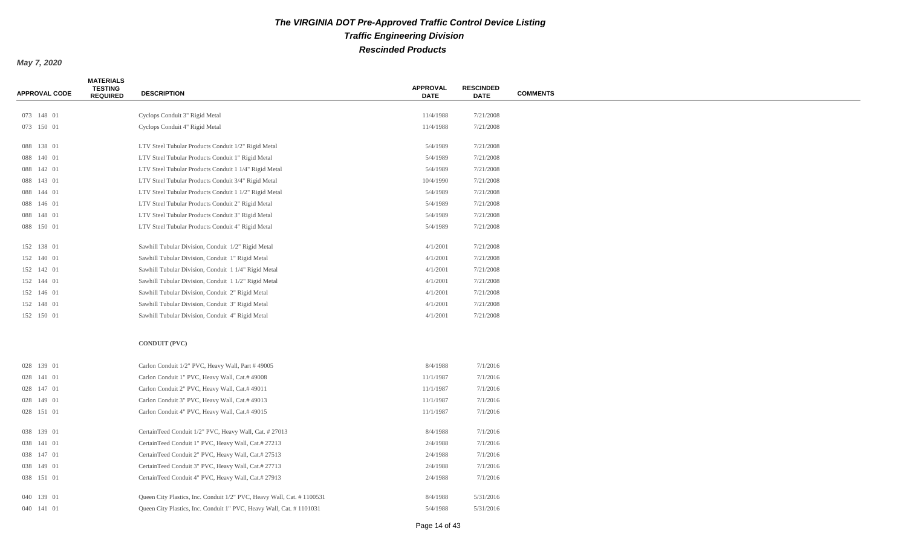| <b>APPROVAL CODE</b> | <b>MATERIALS</b><br><b>TESTING</b><br><b>REQUIRED</b> | <b>DESCRIPTION</b>                                                    | <b>APPROVAL</b><br><b>DATE</b> | <b>RESCINDED</b><br><b>DATE</b> | <b>COMMENTS</b> |
|----------------------|-------------------------------------------------------|-----------------------------------------------------------------------|--------------------------------|---------------------------------|-----------------|
|                      |                                                       |                                                                       |                                |                                 |                 |
| 073 148 01           |                                                       | Cyclops Conduit 3" Rigid Metal                                        | 11/4/1988                      | 7/21/2008                       |                 |
| 073 150 01           |                                                       | Cyclops Conduit 4" Rigid Metal                                        | 11/4/1988                      | 7/21/2008                       |                 |
| 088 138 01           |                                                       | LTV Steel Tubular Products Conduit 1/2" Rigid Metal                   | 5/4/1989                       | 7/21/2008                       |                 |
| 088 140 01           |                                                       | LTV Steel Tubular Products Conduit 1" Rigid Metal                     | 5/4/1989                       | 7/21/2008                       |                 |
| 088 142 01           |                                                       | LTV Steel Tubular Products Conduit 1 1/4" Rigid Metal                 | 5/4/1989                       | 7/21/2008                       |                 |
| 088 143 01           |                                                       | LTV Steel Tubular Products Conduit 3/4" Rigid Metal                   | 10/4/1990                      | 7/21/2008                       |                 |
| 088 144 01           |                                                       | LTV Steel Tubular Products Conduit 1 1/2" Rigid Metal                 | 5/4/1989                       | 7/21/2008                       |                 |
| 088 146 01           |                                                       | LTV Steel Tubular Products Conduit 2" Rigid Metal                     | 5/4/1989                       | 7/21/2008                       |                 |
| 088 148 01           |                                                       | LTV Steel Tubular Products Conduit 3" Rigid Metal                     | 5/4/1989                       | 7/21/2008                       |                 |
| 088 150 01           |                                                       | LTV Steel Tubular Products Conduit 4" Rigid Metal                     | 5/4/1989                       | 7/21/2008                       |                 |
| 152 138 01           |                                                       | Sawhill Tubular Division, Conduit 1/2" Rigid Metal                    | 4/1/2001                       | 7/21/2008                       |                 |
| 152 140 01           |                                                       | Sawhill Tubular Division, Conduit 1" Rigid Metal                      | 4/1/2001                       | 7/21/2008                       |                 |
| 152 142 01           |                                                       | Sawhill Tubular Division, Conduit 1 1/4" Rigid Metal                  | 4/1/2001                       | 7/21/2008                       |                 |
| 152 144 01           |                                                       | Sawhill Tubular Division, Conduit 1 1/2" Rigid Metal                  | 4/1/2001                       | 7/21/2008                       |                 |
| 152 146 01           |                                                       | Sawhill Tubular Division, Conduit 2" Rigid Metal                      | 4/1/2001                       | 7/21/2008                       |                 |
| 152 148 01           |                                                       | Sawhill Tubular Division, Conduit 3" Rigid Metal                      | 4/1/2001                       | 7/21/2008                       |                 |
| 152 150 01           |                                                       | Sawhill Tubular Division, Conduit 4" Rigid Metal                      | 4/1/2001                       | 7/21/2008                       |                 |
|                      |                                                       |                                                                       |                                |                                 |                 |
|                      |                                                       | <b>CONDUIT (PVC)</b>                                                  |                                |                                 |                 |
| 028 139 01           |                                                       | Carlon Conduit 1/2" PVC, Heavy Wall, Part #49005                      | 8/4/1988                       | 7/1/2016                        |                 |
| 028 141 01           |                                                       | Carlon Conduit 1" PVC, Heavy Wall, Cat.# 49008                        | 11/1/1987                      | 7/1/2016                        |                 |
| 028 147 01           |                                                       | Carlon Conduit 2" PVC, Heavy Wall, Cat.# 49011                        | 11/1/1987                      | 7/1/2016                        |                 |
| 028 149 01           |                                                       | Carlon Conduit 3" PVC, Heavy Wall, Cat.# 49013                        | 11/1/1987                      | 7/1/2016                        |                 |
| 028 151 01           |                                                       | Carlon Conduit 4" PVC, Heavy Wall, Cat.# 49015                        | 11/1/1987                      | 7/1/2016                        |                 |
| 038 139 01           |                                                       | CertainTeed Conduit 1/2" PVC, Heavy Wall, Cat. # 27013                | 8/4/1988                       | 7/1/2016                        |                 |
| 038 141 01           |                                                       | CertainTeed Conduit 1" PVC, Heavy Wall, Cat.# 27213                   | 2/4/1988                       | 7/1/2016                        |                 |
| 038 147 01           |                                                       | CertainTeed Conduit 2" PVC, Heavy Wall, Cat.# 27513                   | 2/4/1988                       | 7/1/2016                        |                 |
| 038 149 01           |                                                       | CertainTeed Conduit 3" PVC, Heavy Wall, Cat.# 27713                   | 2/4/1988                       | 7/1/2016                        |                 |
| 038 151 01           |                                                       | CertainTeed Conduit 4" PVC, Heavy Wall, Cat.# 27913                   | 2/4/1988                       | 7/1/2016                        |                 |
|                      |                                                       |                                                                       |                                |                                 |                 |
| 040 139 01           |                                                       | Queen City Plastics, Inc. Conduit 1/2" PVC, Heavy Wall, Cat. #1100531 | 8/4/1988                       | 5/31/2016                       |                 |
| 040 141 01           |                                                       | Queen City Plastics, Inc. Conduit 1" PVC, Heavy Wall, Cat. # 1101031  | 5/4/1988                       | 5/31/2016                       |                 |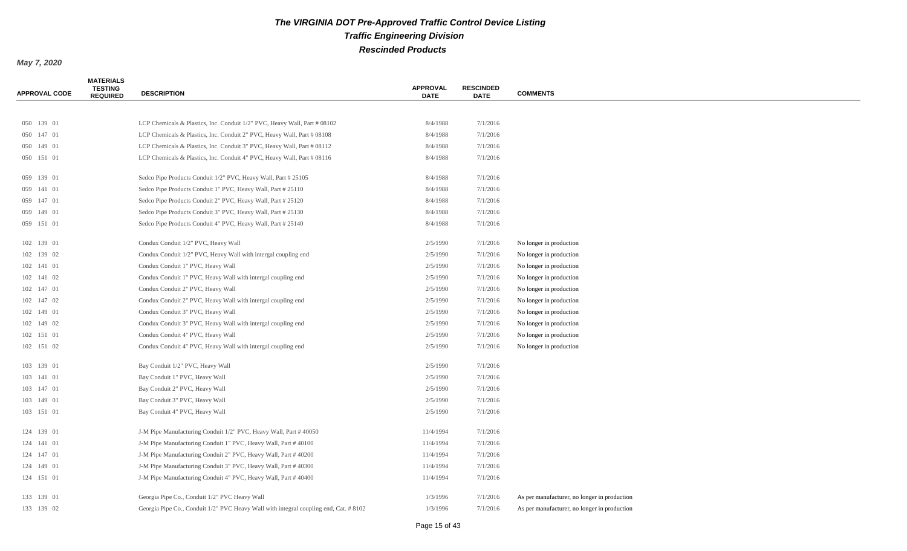| <b>APPROVAL CODE</b> | <b>MATERIALS</b><br><b>TESTING</b><br><b>REQUIRED</b> | <b>DESCRIPTION</b>                                                                   | <b>APPROVAL</b><br><b>DATE</b> | <b>RESCINDED</b><br><b>DATE</b> | <b>COMMENTS</b>                              |
|----------------------|-------------------------------------------------------|--------------------------------------------------------------------------------------|--------------------------------|---------------------------------|----------------------------------------------|
|                      |                                                       |                                                                                      |                                |                                 |                                              |
| 050 139 01           |                                                       | LCP Chemicals & Plastics, Inc. Conduit 1/2" PVC, Heavy Wall, Part # 08102            | 8/4/1988                       | 7/1/2016                        |                                              |
| 050 147 01           |                                                       | LCP Chemicals & Plastics, Inc. Conduit 2" PVC, Heavy Wall, Part # 08108              | 8/4/1988                       | 7/1/2016                        |                                              |
| 050 149 01           |                                                       | LCP Chemicals & Plastics, Inc. Conduit 3" PVC, Heavy Wall, Part # 08112              | 8/4/1988                       | 7/1/2016                        |                                              |
| 050 151 01           |                                                       | LCP Chemicals & Plastics, Inc. Conduit 4" PVC, Heavy Wall, Part # 08116              | 8/4/1988                       | 7/1/2016                        |                                              |
| 059 139 01           |                                                       | Sedco Pipe Products Conduit 1/2" PVC, Heavy Wall, Part # 25105                       | 8/4/1988                       | 7/1/2016                        |                                              |
| 059 141 01           |                                                       | Sedco Pipe Products Conduit 1" PVC, Heavy Wall, Part # 25110                         | 8/4/1988                       | 7/1/2016                        |                                              |
| 059 147 01           |                                                       | Sedco Pipe Products Conduit 2" PVC, Heavy Wall, Part # 25120                         | 8/4/1988                       | 7/1/2016                        |                                              |
| 059 149 01           |                                                       | Sedco Pipe Products Conduit 3" PVC, Heavy Wall, Part # 25130                         | 8/4/1988                       | 7/1/2016                        |                                              |
| 059 151 01           |                                                       | Sedco Pipe Products Conduit 4" PVC, Heavy Wall, Part # 25140                         | 8/4/1988                       | 7/1/2016                        |                                              |
| 102 139 01           |                                                       | Condux Conduit 1/2" PVC, Heavy Wall                                                  | 2/5/1990                       | 7/1/2016                        | No longer in production                      |
| 102 139 02           |                                                       | Condux Conduit 1/2" PVC, Heavy Wall with intergal coupling end                       | 2/5/1990                       | 7/1/2016                        | No longer in production                      |
| 102 141 01           |                                                       | Condux Conduit 1" PVC, Heavy Wall                                                    | 2/5/1990                       | 7/1/2016                        | No longer in production                      |
| 102 141 02           |                                                       | Condux Conduit 1" PVC, Heavy Wall with intergal coupling end                         | 2/5/1990                       | 7/1/2016                        | No longer in production                      |
| 102 147 01           |                                                       | Condux Conduit 2" PVC, Heavy Wall                                                    | 2/5/1990                       | 7/1/2016                        | No longer in production                      |
| 102 147 02           |                                                       | Condux Conduit 2" PVC, Heavy Wall with intergal coupling end                         | 2/5/1990                       | 7/1/2016                        | No longer in production                      |
| 102 149 01           |                                                       | Condux Conduit 3" PVC, Heavy Wall                                                    | 2/5/1990                       | 7/1/2016                        | No longer in production                      |
| 102 149 02           |                                                       | Condux Conduit 3" PVC, Heavy Wall with intergal coupling end                         | 2/5/1990                       | 7/1/2016                        | No longer in production                      |
| 102 151 01           |                                                       | Condux Conduit 4" PVC, Heavy Wall                                                    | 2/5/1990                       | 7/1/2016                        | No longer in production                      |
| 102 151 02           |                                                       | Condux Conduit 4" PVC, Heavy Wall with intergal coupling end                         | 2/5/1990                       | 7/1/2016                        | No longer in production                      |
| 103 139 01           |                                                       | Bay Conduit 1/2" PVC, Heavy Wall                                                     | 2/5/1990                       | 7/1/2016                        |                                              |
| 103 141 01           |                                                       | Bay Conduit 1" PVC, Heavy Wall                                                       | 2/5/1990                       | 7/1/2016                        |                                              |
| 103 147 01           |                                                       | Bay Conduit 2" PVC, Heavy Wall                                                       | 2/5/1990                       | 7/1/2016                        |                                              |
| 103 149 01           |                                                       | Bay Conduit 3" PVC, Heavy Wall                                                       | 2/5/1990                       | 7/1/2016                        |                                              |
| 103 151 01           |                                                       | Bay Conduit 4" PVC, Heavy Wall                                                       | 2/5/1990                       | 7/1/2016                        |                                              |
| 124 139 01           |                                                       | J-M Pipe Manufacturing Conduit 1/2" PVC, Heavy Wall, Part #40050                     | 11/4/1994                      | 7/1/2016                        |                                              |
| 124 141 01           |                                                       | J-M Pipe Manufacturing Conduit 1" PVC, Heavy Wall, Part #40100                       | 11/4/1994                      | 7/1/2016                        |                                              |
| 124 147 01           |                                                       | J-M Pipe Manufacturing Conduit 2" PVC, Heavy Wall, Part #40200                       | 11/4/1994                      | 7/1/2016                        |                                              |
| 124 149 01           |                                                       | J-M Pipe Manufacturing Conduit 3" PVC, Heavy Wall, Part #40300                       | 11/4/1994                      | 7/1/2016                        |                                              |
| 124 151 01           |                                                       | J-M Pipe Manufacturing Conduit 4" PVC, Heavy Wall, Part #40400                       | 11/4/1994                      | 7/1/2016                        |                                              |
| 133 139 01           |                                                       | Georgia Pipe Co., Conduit 1/2" PVC Heavy Wall                                        | 1/3/1996                       | 7/1/2016                        | As per manufacturer, no longer in production |
| 133 139 02           |                                                       | Georgia Pipe Co., Conduit 1/2" PVC Heavy Wall with integral coupling end, Cat. #8102 | 1/3/1996                       | 7/1/2016                        | As per manufacturer, no longer in production |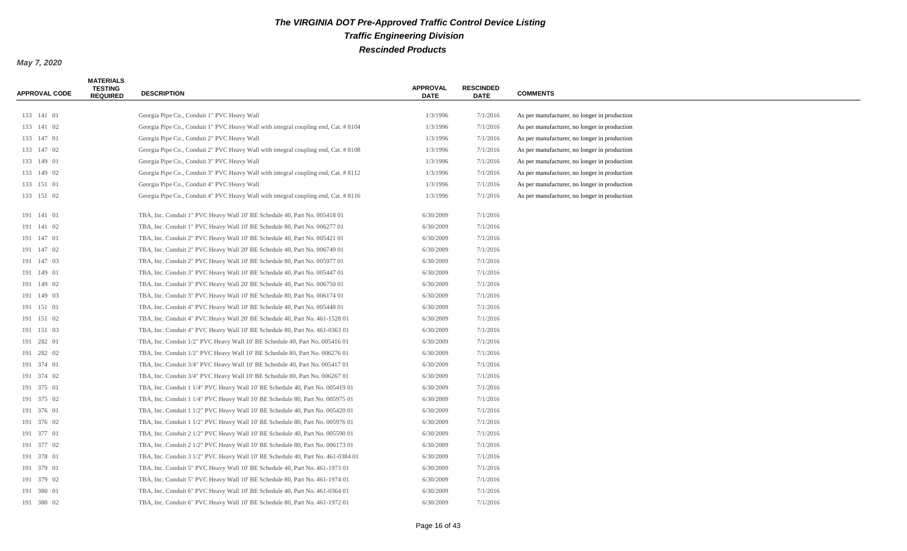| <b>APPROVAL CODE</b> | <b>MATERIALS</b><br><b>TESTING</b><br><b>REQUIRED</b> | <b>DESCRIPTION</b>                                                                  | <b>APPROVAL</b><br><b>DATE</b> | <b>RESCINDED</b><br><b>DATE</b> | <b>COMMENTS</b>                              |
|----------------------|-------------------------------------------------------|-------------------------------------------------------------------------------------|--------------------------------|---------------------------------|----------------------------------------------|
| 133 141 01           |                                                       | Georgia Pipe Co., Conduit 1" PVC Heavy Wall                                         | 1/3/1996                       | 7/1/2016                        | As per manufacturer, no longer in production |
| 133 141 02           |                                                       | Georgia Pipe Co., Conduit 1" PVC Heavy Wall with integral coupling end, Cat. # 8104 | 1/3/1996                       | 7/1/2016                        | As per manufacturer, no longer in production |
| 133 147 01           |                                                       | Georgia Pipe Co., Conduit 2" PVC Heavy Wall                                         | 1/3/1996                       | 7/1/2016                        | As per manufacturer, no longer in production |
| 133 147 02           |                                                       | Georgia Pipe Co., Conduit 2" PVC Heavy Wall with integral coupling end, Cat. # 8108 | 1/3/1996                       | 7/1/2016                        | As per manufacturer, no longer in production |
| 133 149 01           |                                                       | Georgia Pipe Co., Conduit 3" PVC Heavy Wall                                         | 1/3/1996                       | 7/1/2016                        | As per manufacturer, no longer in production |
| 133 149 02           |                                                       | Georgia Pipe Co., Conduit 3" PVC Heavy Wall with integral coupling end, Cat. # 8112 | 1/3/1996                       | 7/1/2016                        | As per manufacturer, no longer in production |
| 133 151 01           |                                                       | Georgia Pipe Co., Conduit 4" PVC Heavy Wall                                         | 1/3/1996                       | 7/1/2016                        | As per manufacturer, no longer in production |
| 133 151 02           |                                                       | Georgia Pipe Co., Conduit 4" PVC Heavy Wall with integral coupling end, Cat. # 8116 | 1/3/1996                       | 7/1/2016                        | As per manufacturer, no longer in production |
| 191 141 01           |                                                       | TBA, Inc. Conduit 1" PVC Heavy Wall 10' BE Schedule 40, Part No. 005418 01          | 6/30/2009                      | 7/1/2016                        |                                              |
| 191 141 02           |                                                       | TBA, Inc. Conduit 1" PVC Heavy Wall 10' BE Schedule 80, Part No. 006277 01          | 6/30/2009                      | 7/1/2016                        |                                              |
| 191 147 01           |                                                       | TBA, Inc. Conduit 2" PVC Heavy Wall 10' BE Schedule 40, Part No. 005421 01          | 6/30/2009                      | 7/1/2016                        |                                              |
| 191 147 02           |                                                       | TBA, Inc. Conduit 2" PVC Heavy Wall 20' BE Schedule 40, Part No. 006749 01          | 6/30/2009                      | 7/1/2016                        |                                              |
| 191 147 03           |                                                       | TBA, Inc. Conduit 2" PVC Heavy Wall 10' BE Schedule 80, Part No. 005977 01          | 6/30/2009                      | 7/1/2016                        |                                              |
| 191 149 01           |                                                       | TBA, Inc. Conduit 3" PVC Heavy Wall 10' BE Schedule 40, Part No. 005447 01          | 6/30/2009                      | 7/1/2016                        |                                              |
| 191 149 02           |                                                       | TBA, Inc. Conduit 3" PVC Heavy Wall 20' BE Schedule 40, Part No. 006750 01          | 6/30/2009                      | 7/1/2016                        |                                              |
| 191 149 03           |                                                       | TBA, Inc. Conduit 3" PVC Heavy Wall 10' BE Schedule 80, Part No. 006174 01          | 6/30/2009                      | 7/1/2016                        |                                              |
| 191 151 01           |                                                       | TBA, Inc. Conduit 4" PVC Heavy Wall 10' BE Schedule 40, Part No. 005448 01          | 6/30/2009                      | 7/1/2016                        |                                              |
| 191 151 02           |                                                       | TBA, Inc. Conduit 4" PVC Heavy Wall 20' BE Schedule 40, Part No. 461-1528 01        | 6/30/2009                      | 7/1/2016                        |                                              |
| 191 151 03           |                                                       | TBA, Inc. Conduit 4" PVC Heavy Wall 10' BE Schedule 80, Part No. 461-0363 01        | 6/30/2009                      | 7/1/2016                        |                                              |
| 191 282 01           |                                                       | TBA, Inc. Conduit 1/2" PVC Heavy Wall 10' BE Schedule 40, Part No. 005416 01        | 6/30/2009                      | 7/1/2016                        |                                              |
| 191 282 02           |                                                       | TBA, Inc. Conduit 1/2" PVC Heavy Wall 10' BE Schedule 80, Part No. 006276 01        | 6/30/2009                      | 7/1/2016                        |                                              |
| 191 374 01           |                                                       | TBA, Inc. Conduit 3/4" PVC Heavy Wall 10' BE Schedule 40, Part No. 005417 01        | 6/30/2009                      | 7/1/2016                        |                                              |
| 191 374 02           |                                                       | TBA, Inc. Conduit 3/4" PVC Heavy Wall 10' BE Schedule 80, Part No. 006267 01        | 6/30/2009                      | 7/1/2016                        |                                              |
| 191 375 01           |                                                       | TBA, Inc. Conduit 1 1/4" PVC Heavy Wall 10' BE Schedule 40, Part No. 005419 01      | 6/30/2009                      | 7/1/2016                        |                                              |
| 191 375 02           |                                                       | TBA, Inc. Conduit 1 1/4" PVC Heavy Wall 10' BE Schedule 80, Part No. 005975 01      | 6/30/2009                      | 7/1/2016                        |                                              |
| 191 376 01           |                                                       | TBA, Inc. Conduit 1 1/2" PVC Heavy Wall 10' BE Schedule 40, Part No. 005420 01      | 6/30/2009                      | 7/1/2016                        |                                              |
| 191 376 02           |                                                       | TBA, Inc. Conduit 1 1/2" PVC Heavy Wall 10' BE Schedule 80, Part No. 005976 01      | 6/30/2009                      | 7/1/2016                        |                                              |
| 191 377 01           |                                                       | TBA, Inc. Conduit 2 1/2" PVC Heavy Wall 10' BE Schedule 40, Part No. 005590 01      | 6/30/2009                      | 7/1/2016                        |                                              |
| 191 377 02           |                                                       | TBA, Inc. Conduit 2 1/2" PVC Heavy Wall 10' BE Schedule 80, Part No. 006173 01      | 6/30/2009                      | 7/1/2016                        |                                              |
| 191 378 01           |                                                       | TBA, Inc. Conduit 3 1/2" PVC Heavy Wall 10' BE Schedule 40, Part No. 461-0384 01    | 6/30/2009                      | 7/1/2016                        |                                              |
| 191 379 01           |                                                       | TBA, Inc. Conduit 5" PVC Heavy Wall 10' BE Schedule 40, Part No. 461-1973 01        | 6/30/2009                      | 7/1/2016                        |                                              |
| 191 379 02           |                                                       | TBA, Inc. Conduit 5" PVC Heavy Wall 10' BE Schedule 80, Part No. 461-1974 01        | 6/30/2009                      | 7/1/2016                        |                                              |
| 191 380 01           |                                                       | TBA, Inc. Conduit 6" PVC Heavy Wall 10' BE Schedule 40, Part No. 461-0364 01        | 6/30/2009                      | 7/1/2016                        |                                              |
| 191 380 02           |                                                       | TBA, Inc. Conduit 6" PVC Heavy Wall 10' BE Schedule 80, Part No. 461-1972 01        | 6/30/2009                      | 7/1/2016                        |                                              |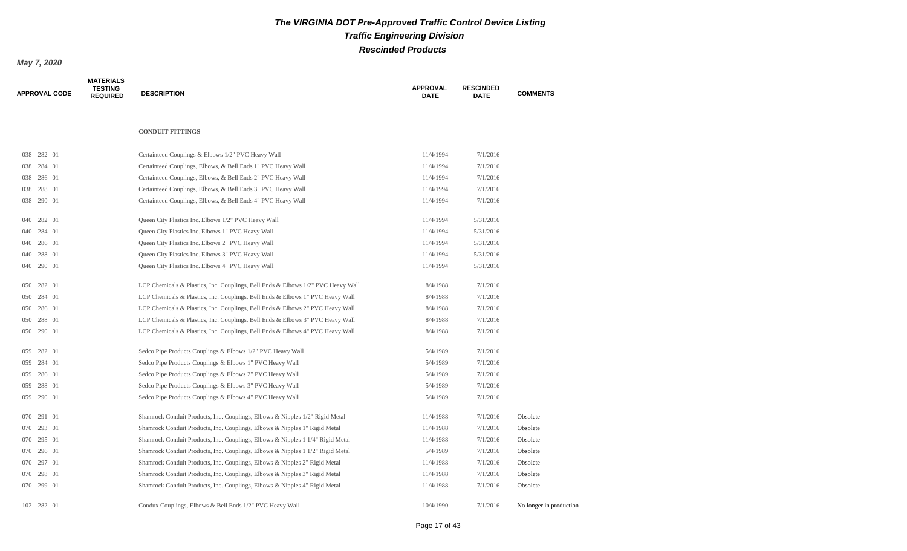| <b>APPROVAL CODE</b> | <b>MATERIALS</b><br><b>TESTING</b><br><b>REQUIRED</b> | <b>DESCRIPTION</b>                                                               | <b>APPROVAL</b><br><b>DATE</b> | <b>RESCINDED</b><br><b>DATE</b> | <b>COMMENTS</b>         |
|----------------------|-------------------------------------------------------|----------------------------------------------------------------------------------|--------------------------------|---------------------------------|-------------------------|
|                      |                                                       |                                                                                  |                                |                                 |                         |
|                      |                                                       | <b>CONDUIT FITTINGS</b>                                                          |                                |                                 |                         |
| 038 282 01           |                                                       | Certainteed Couplings & Elbows 1/2" PVC Heavy Wall                               | 11/4/1994                      | 7/1/2016                        |                         |
| 038 284 01           |                                                       | Certainteed Couplings, Elbows, & Bell Ends 1" PVC Heavy Wall                     | 11/4/1994                      | 7/1/2016                        |                         |
| 038 286 01           |                                                       | Certainteed Couplings, Elbows, & Bell Ends 2" PVC Heavy Wall                     | 11/4/1994                      | 7/1/2016                        |                         |
| 038 288 01           |                                                       | Certainteed Couplings, Elbows, & Bell Ends 3" PVC Heavy Wall                     | 11/4/1994                      | 7/1/2016                        |                         |
| 038 290 01           |                                                       | Certainteed Couplings, Elbows, & Bell Ends 4" PVC Heavy Wall                     | 11/4/1994                      | 7/1/2016                        |                         |
| 040 282 01           |                                                       | Queen City Plastics Inc. Elbows 1/2" PVC Heavy Wall                              | 11/4/1994                      | 5/31/2016                       |                         |
| 040 284 01           |                                                       | Queen City Plastics Inc. Elbows 1" PVC Heavy Wall                                | 11/4/1994                      | 5/31/2016                       |                         |
| 040 286 01           |                                                       | Queen City Plastics Inc. Elbows 2" PVC Heavy Wall                                | 11/4/1994                      | 5/31/2016                       |                         |
| 040 288 01           |                                                       | Queen City Plastics Inc. Elbows 3" PVC Heavy Wall                                | 11/4/1994                      | 5/31/2016                       |                         |
| 040 290 01           |                                                       | Queen City Plastics Inc. Elbows 4" PVC Heavy Wall                                | 11/4/1994                      | 5/31/2016                       |                         |
| 050 282 01           |                                                       | LCP Chemicals & Plastics, Inc. Couplings, Bell Ends & Elbows 1/2" PVC Heavy Wall | 8/4/1988                       | 7/1/2016                        |                         |
| 050 284 01           |                                                       | LCP Chemicals & Plastics, Inc. Couplings, Bell Ends & Elbows 1" PVC Heavy Wall   | 8/4/1988                       | 7/1/2016                        |                         |
| 050 286 01           |                                                       | LCP Chemicals & Plastics, Inc. Couplings, Bell Ends & Elbows 2" PVC Heavy Wall   | 8/4/1988                       | 7/1/2016                        |                         |
| 050 288 01           |                                                       | LCP Chemicals & Plastics, Inc. Couplings, Bell Ends & Elbows 3" PVC Heavy Wall   | 8/4/1988                       | 7/1/2016                        |                         |
| 050 290 01           |                                                       | LCP Chemicals & Plastics, Inc. Couplings, Bell Ends & Elbows 4" PVC Heavy Wall   | 8/4/1988                       | 7/1/2016                        |                         |
| 059 282 01           |                                                       | Sedco Pipe Products Couplings & Elbows 1/2" PVC Heavy Wall                       | 5/4/1989                       | 7/1/2016                        |                         |
| 059 284 01           |                                                       | Sedco Pipe Products Couplings & Elbows 1" PVC Heavy Wall                         | 5/4/1989                       | 7/1/2016                        |                         |
| 059 286 01           |                                                       | Sedco Pipe Products Couplings & Elbows 2" PVC Heavy Wall                         | 5/4/1989                       | 7/1/2016                        |                         |
| 059 288 01           |                                                       | Sedco Pipe Products Couplings & Elbows 3" PVC Heavy Wall                         | 5/4/1989                       | 7/1/2016                        |                         |
| 059 290 01           |                                                       | Sedco Pipe Products Couplings & Elbows 4" PVC Heavy Wall                         | 5/4/1989                       | 7/1/2016                        |                         |
| 070 291 01           |                                                       | Shamrock Conduit Products, Inc. Couplings, Elbows & Nipples 1/2" Rigid Metal     | 11/4/1988                      | 7/1/2016                        | Obsolete                |
| 070 293 01           |                                                       | Shamrock Conduit Products, Inc. Couplings, Elbows & Nipples 1" Rigid Metal       | 11/4/1988                      | 7/1/2016                        | Obsolete                |
| 070 295 01           |                                                       | Shamrock Conduit Products, Inc. Couplings, Elbows & Nipples 1 1/4" Rigid Metal   | 11/4/1988                      | 7/1/2016                        | Obsolete                |
| 070 296 01           |                                                       | Shamrock Conduit Products, Inc. Couplings, Elbows & Nipples 1 1/2" Rigid Metal   | 5/4/1989                       | 7/1/2016                        | Obsolete                |
| 070 297 01           |                                                       | Shamrock Conduit Products, Inc. Couplings, Elbows & Nipples 2" Rigid Metal       | 11/4/1988                      | 7/1/2016                        | Obsolete                |
| 070 298 01           |                                                       | Shamrock Conduit Products, Inc. Couplings, Elbows & Nipples 3" Rigid Metal       | 11/4/1988                      | 7/1/2016                        | Obsolete                |
| 070 299 01           |                                                       | Shamrock Conduit Products, Inc. Couplings, Elbows & Nipples 4" Rigid Metal       | 11/4/1988                      | 7/1/2016                        | Obsolete                |
| 102 282 01           |                                                       | Condux Couplings, Elbows & Bell Ends 1/2" PVC Heavy Wall                         | 10/4/1990                      | 7/1/2016                        | No longer in production |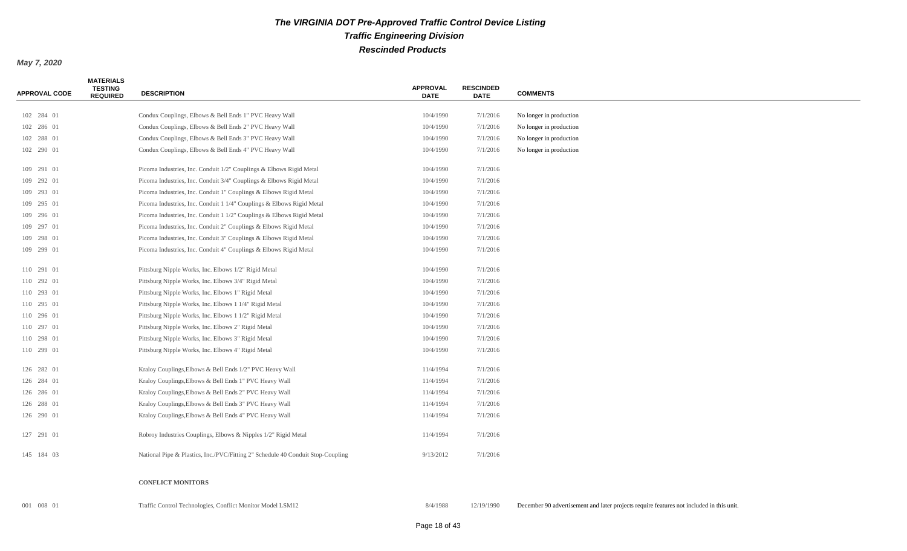#### *May 7, 2020*

| <b>APPROVAL CODE</b> | <b>MATERIALS</b><br><b>TESTING</b><br><b>REQUIRED</b> | <b>DESCRIPTION</b>                                                              | <b>APPROVAL</b><br><b>DATE</b> | <b>RESCINDED</b><br><b>DATE</b> | <b>COMMENTS</b>         |
|----------------------|-------------------------------------------------------|---------------------------------------------------------------------------------|--------------------------------|---------------------------------|-------------------------|
| 102 284 01           |                                                       | Condux Couplings, Elbows & Bell Ends 1" PVC Heavy Wall                          | 10/4/1990                      | 7/1/2016                        | No longer in production |
| 102 286 01           |                                                       | Condux Couplings, Elbows & Bell Ends 2" PVC Heavy Wall                          | 10/4/1990                      | 7/1/2016                        | No longer in production |
| 102 288 01           |                                                       | Condux Couplings, Elbows & Bell Ends 3" PVC Heavy Wall                          | 10/4/1990                      | 7/1/2016                        | No longer in production |
| 102 290 01           |                                                       | Condux Couplings, Elbows & Bell Ends 4" PVC Heavy Wall                          | 10/4/1990                      | 7/1/2016                        | No longer in production |
|                      |                                                       |                                                                                 |                                |                                 |                         |
| 109 291 01           |                                                       | Picoma Industries, Inc. Conduit 1/2" Couplings & Elbows Rigid Metal             | 10/4/1990                      | 7/1/2016                        |                         |
| 109 292 01           |                                                       | Picoma Industries, Inc. Conduit 3/4" Couplings & Elbows Rigid Metal             | 10/4/1990                      | 7/1/2016                        |                         |
| 109 293 01           |                                                       | Picoma Industries, Inc. Conduit 1" Couplings & Elbows Rigid Metal               | 10/4/1990                      | 7/1/2016                        |                         |
| 109 295 01           |                                                       | Picoma Industries, Inc. Conduit 1 1/4" Couplings & Elbows Rigid Metal           | 10/4/1990                      | 7/1/2016                        |                         |
| 109 296 01           |                                                       | Picoma Industries, Inc. Conduit 1 1/2" Couplings & Elbows Rigid Metal           | 10/4/1990                      | 7/1/2016                        |                         |
| 109 297 01           |                                                       | Picoma Industries, Inc. Conduit 2" Couplings & Elbows Rigid Metal               | 10/4/1990                      | 7/1/2016                        |                         |
| 109 298 01           |                                                       | Picoma Industries, Inc. Conduit 3" Couplings & Elbows Rigid Metal               | 10/4/1990                      | 7/1/2016                        |                         |
| 109 299 01           |                                                       | Picoma Industries, Inc. Conduit 4" Couplings & Elbows Rigid Metal               | 10/4/1990                      | 7/1/2016                        |                         |
| 110 291 01           |                                                       | Pittsburg Nipple Works, Inc. Elbows 1/2" Rigid Metal                            | 10/4/1990                      | 7/1/2016                        |                         |
| 110 292 01           |                                                       | Pittsburg Nipple Works, Inc. Elbows 3/4" Rigid Metal                            | 10/4/1990                      | 7/1/2016                        |                         |
| 110 293 01           |                                                       | Pittsburg Nipple Works, Inc. Elbows 1" Rigid Metal                              | 10/4/1990                      | 7/1/2016                        |                         |
| 110 295 01           |                                                       | Pittsburg Nipple Works, Inc. Elbows 1 1/4" Rigid Metal                          | 10/4/1990                      | 7/1/2016                        |                         |
| 110 296 01           |                                                       | Pittsburg Nipple Works, Inc. Elbows 1 1/2" Rigid Metal                          | 10/4/1990                      | 7/1/2016                        |                         |
| 110 297 01           |                                                       | Pittsburg Nipple Works, Inc. Elbows 2" Rigid Metal                              | 10/4/1990                      | 7/1/2016                        |                         |
| 110 298 01           |                                                       | Pittsburg Nipple Works, Inc. Elbows 3" Rigid Metal                              | 10/4/1990                      | 7/1/2016                        |                         |
| 110 299 01           |                                                       | Pittsburg Nipple Works, Inc. Elbows 4" Rigid Metal                              | 10/4/1990                      | 7/1/2016                        |                         |
| 126 282 01           |                                                       | Kraloy Couplings, Elbows & Bell Ends 1/2" PVC Heavy Wall                        | 11/4/1994                      | 7/1/2016                        |                         |
| 126 284 01           |                                                       | Kraloy Couplings, Elbows & Bell Ends 1" PVC Heavy Wall                          | 11/4/1994                      | 7/1/2016                        |                         |
| 126 286 01           |                                                       | Kraloy Couplings, Elbows & Bell Ends 2" PVC Heavy Wall                          | 11/4/1994                      | 7/1/2016                        |                         |
| 126 288 01           |                                                       | Kraloy Couplings, Elbows & Bell Ends 3" PVC Heavy Wall                          | 11/4/1994                      | 7/1/2016                        |                         |
| 126 290 01           |                                                       | Kraloy Couplings, Elbows & Bell Ends 4" PVC Heavy Wall                          | 11/4/1994                      | 7/1/2016                        |                         |
| 127 291 01           |                                                       | Robroy Industries Couplings, Elbows & Nipples 1/2" Rigid Metal                  | 11/4/1994                      | 7/1/2016                        |                         |
| 145 184 03           |                                                       | National Pipe & Plastics, Inc./PVC/Fitting 2" Schedule 40 Conduit Stop-Coupling | 9/13/2012                      | 7/1/2016                        |                         |
|                      |                                                       |                                                                                 |                                |                                 |                         |

#### **CONFLICT MONITORS**

001 008 01 Traffic Control Technologies, Conflict Monitor Model LSM12 8/4/1988 12/19/1990 December 90 advertisement and later projects require features not included in this unit.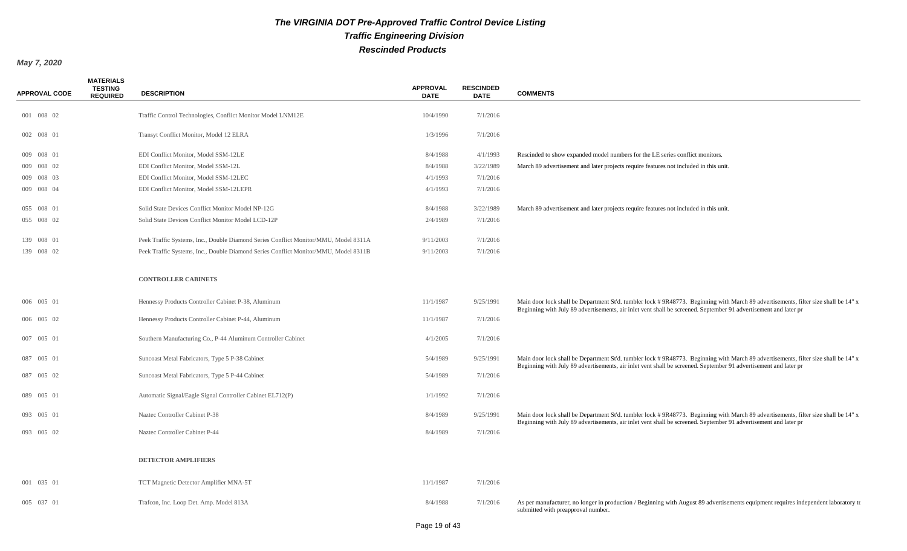| <b>APPROVAL CODE</b> | <b>MATERIALS</b><br><b>TESTING</b><br><b>REQUIRED</b> | <b>DESCRIPTION</b>                                                                  | <b>APPROVAL</b><br><b>DATE</b> | <b>RESCINDED</b><br><b>DATE</b> | <b>COMMENTS</b>                                                                                                                                                                                                                                        |
|----------------------|-------------------------------------------------------|-------------------------------------------------------------------------------------|--------------------------------|---------------------------------|--------------------------------------------------------------------------------------------------------------------------------------------------------------------------------------------------------------------------------------------------------|
| 001 008 02           |                                                       | Traffic Control Technologies, Conflict Monitor Model LNM12E                         | 10/4/1990                      | 7/1/2016                        |                                                                                                                                                                                                                                                        |
| 002 008 01           |                                                       | Transyt Conflict Monitor, Model 12 ELRA                                             | 1/3/1996                       | 7/1/2016                        |                                                                                                                                                                                                                                                        |
| 009 008 01           |                                                       | EDI Conflict Monitor, Model SSM-12LE                                                | 8/4/1988                       | 4/1/1993                        | Rescinded to show expanded model numbers for the LE series conflict monitors.                                                                                                                                                                          |
| 009 008 02           |                                                       | EDI Conflict Monitor, Model SSM-12L                                                 | 8/4/1988                       | 3/22/1989                       | March 89 advertisement and later projects require features not included in this unit.                                                                                                                                                                  |
| 009 008 03           |                                                       | EDI Conflict Monitor, Model SSM-12LEC                                               | 4/1/1993                       | 7/1/2016                        |                                                                                                                                                                                                                                                        |
| 009 008 04           |                                                       | EDI Conflict Monitor, Model SSM-12LEPR                                              | 4/1/1993                       | 7/1/2016                        |                                                                                                                                                                                                                                                        |
| 055 008 01           |                                                       | Solid State Devices Conflict Monitor Model NP-12G                                   | 8/4/1988                       | 3/22/1989                       | March 89 advertisement and later projects require features not included in this unit.                                                                                                                                                                  |
| 055 008 02           |                                                       | Solid State Devices Conflict Monitor Model LCD-12P                                  | 2/4/1989                       | 7/1/2016                        |                                                                                                                                                                                                                                                        |
| 139 008 01           |                                                       | Peek Traffic Systems, Inc., Double Diamond Series Conflict Monitor/MMU, Model 8311A | 9/11/2003                      | 7/1/2016                        |                                                                                                                                                                                                                                                        |
| 139 008 02           |                                                       | Peek Traffic Systems, Inc., Double Diamond Series Conflict Monitor/MMU, Model 8311B | 9/11/2003                      | 7/1/2016                        |                                                                                                                                                                                                                                                        |
|                      |                                                       | <b>CONTROLLER CABINETS</b>                                                          |                                |                                 |                                                                                                                                                                                                                                                        |
| 006 005 01           |                                                       | Hennessy Products Controller Cabinet P-38, Aluminum                                 | 11/1/1987                      | 9/25/1991                       | Main door lock shall be Department St'd. tumbler lock #9R48773. Beginning with March 89 advertisements, filter size shall be 14" x<br>Beginning with July 89 advertisements, air inlet vent shall be screened. September 91 advertisement and later pr |
| 006 005 02           |                                                       | Hennessy Products Controller Cabinet P-44, Aluminum                                 | 11/1/1987                      | 7/1/2016                        |                                                                                                                                                                                                                                                        |
| 007 005 01           |                                                       | Southern Manufacturing Co., P-44 Aluminum Controller Cabinet                        | 4/1/2005                       | 7/1/2016                        |                                                                                                                                                                                                                                                        |
| 087 005 01           |                                                       | Suncoast Metal Fabricators, Type 5 P-38 Cabinet                                     | 5/4/1989                       | 9/25/1991                       | Main door lock shall be Department St'd. tumbler lock #9R48773. Beginning with March 89 advertisements, filter size shall be 14" x<br>Beginning with July 89 advertisements, air inlet vent shall be screened. September 91 advertisement and later pr |
| 087 005 02           |                                                       | Suncoast Metal Fabricators, Type 5 P-44 Cabinet                                     | 5/4/1989                       | 7/1/2016                        |                                                                                                                                                                                                                                                        |
| 089 005 01           |                                                       | Automatic Signal/Eagle Signal Controller Cabinet EL712(P)                           | 1/1/1992                       | 7/1/2016                        |                                                                                                                                                                                                                                                        |
| 093 005 01           |                                                       | Naztec Controller Cabinet P-38                                                      | 8/4/1989                       | 9/25/1991                       | Main door lock shall be Department St'd. tumbler lock #9R48773. Beginning with March 89 advertisements, filter size shall be 14" x<br>Beginning with July 89 advertisements, air inlet vent shall be screened. September 91 advertisement and later pr |
| 093 005 02           |                                                       | Naztec Controller Cabinet P-44                                                      | 8/4/1989                       | 7/1/2016                        |                                                                                                                                                                                                                                                        |
|                      |                                                       | <b>DETECTOR AMPLIFIERS</b>                                                          |                                |                                 |                                                                                                                                                                                                                                                        |
| 001 035 01           |                                                       | TCT Magnetic Detector Amplifier MNA-5T                                              | 11/1/1987                      | 7/1/2016                        |                                                                                                                                                                                                                                                        |
| 005 037 01           |                                                       | Trafcon, Inc. Loop Det. Amp. Model 813A                                             | 8/4/1988                       | 7/1/2016                        | As per manufacturer, no longer in production / Beginning with August 89 advertisements equipment requires independent laboratory te<br>submitted with preapproval number.                                                                              |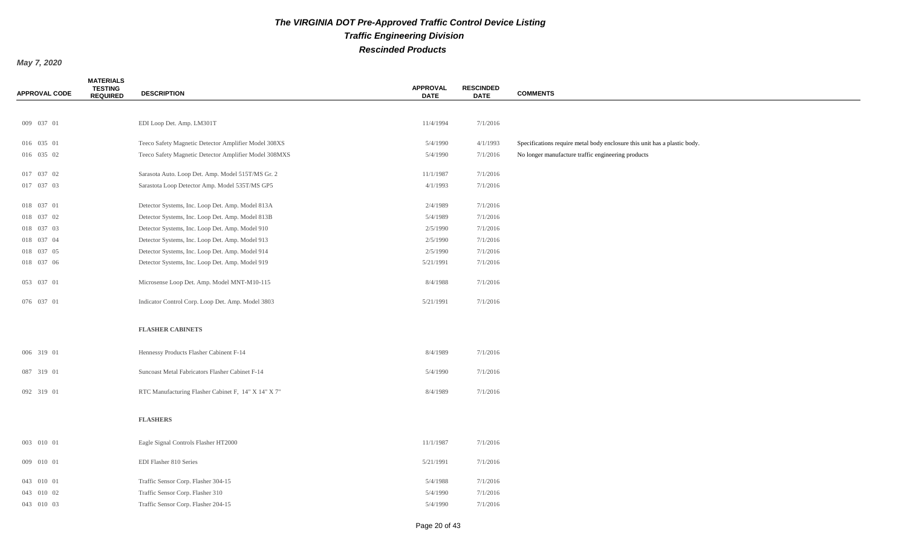| <b>APPROVAL CODE</b> | <b>MATERIALS</b><br><b>TESTING</b><br><b>REQUIRED</b> | <b>DESCRIPTION</b>                                    | <b>APPROVAL</b><br><b>DATE</b> | <b>RESCINDED</b><br><b>DATE</b> | <b>COMMENTS</b>                                                           |
|----------------------|-------------------------------------------------------|-------------------------------------------------------|--------------------------------|---------------------------------|---------------------------------------------------------------------------|
|                      |                                                       |                                                       |                                |                                 |                                                                           |
| 009 037 01           |                                                       | EDI Loop Det. Amp. LM301T                             | 11/4/1994                      | 7/1/2016                        |                                                                           |
| 016 035 01           |                                                       | Teeco Safety Magnetic Detector Amplifier Model 308XS  | 5/4/1990                       | 4/1/1993                        | Specifications require metal body enclosure this unit has a plastic body. |
| 016 035 02           |                                                       | Teeco Safety Magnetic Detector Amplifier Model 308MXS | 5/4/1990                       | 7/1/2016                        | No longer manufacture traffic engineering products                        |
| 017 037 02           |                                                       | Sarasota Auto. Loop Det. Amp. Model 515T/MS Gr. 2     | 11/1/1987                      | 7/1/2016                        |                                                                           |
| 017 037 03           |                                                       | Sarastota Loop Detector Amp. Model 535T/MS GP5        | 4/1/1993                       | 7/1/2016                        |                                                                           |
| 018 037 01           |                                                       | Detector Systems, Inc. Loop Det. Amp. Model 813A      | 2/4/1989                       | 7/1/2016                        |                                                                           |
| 018 037 02           |                                                       | Detector Systems, Inc. Loop Det. Amp. Model 813B      | 5/4/1989                       | 7/1/2016                        |                                                                           |
| 018 037 03           |                                                       | Detector Systems, Inc. Loop Det. Amp. Model 910       | 2/5/1990                       | 7/1/2016                        |                                                                           |
| 018 037 04           |                                                       | Detector Systems, Inc. Loop Det. Amp. Model 913       | 2/5/1990                       | 7/1/2016                        |                                                                           |
| 018 037 05           |                                                       | Detector Systems, Inc. Loop Det. Amp. Model 914       | 2/5/1990                       | 7/1/2016                        |                                                                           |
| 018 037 06           |                                                       | Detector Systems, Inc. Loop Det. Amp. Model 919       | 5/21/1991                      | 7/1/2016                        |                                                                           |
| 053 037 01           |                                                       | Microsense Loop Det. Amp. Model MNT-M10-115           | 8/4/1988                       | 7/1/2016                        |                                                                           |
| 076 037 01           |                                                       | Indicator Control Corp. Loop Det. Amp. Model 3803     | 5/21/1991                      | 7/1/2016                        |                                                                           |
|                      |                                                       | <b>FLASHER CABINETS</b>                               |                                |                                 |                                                                           |
| 006 319 01           |                                                       | Hennessy Products Flasher Cabinent F-14               | 8/4/1989                       | 7/1/2016                        |                                                                           |
| 087 319 01           |                                                       | Suncoast Metal Fabricators Flasher Cabinet F-14       | 5/4/1990                       | 7/1/2016                        |                                                                           |
| 092 319 01           |                                                       | RTC Manufacturing Flasher Cabinet F, 14" X 14" X 7"   | 8/4/1989                       | 7/1/2016                        |                                                                           |
|                      |                                                       | <b>FLASHERS</b>                                       |                                |                                 |                                                                           |
| 003 010 01           |                                                       | Eagle Signal Controls Flasher HT2000                  | 11/1/1987                      | 7/1/2016                        |                                                                           |
| 009 010 01           |                                                       | EDI Flasher 810 Series                                | 5/21/1991                      | 7/1/2016                        |                                                                           |
| 043 010 01           |                                                       | Traffic Sensor Corp. Flasher 304-15                   | 5/4/1988                       | 7/1/2016                        |                                                                           |
| 043 010 02           |                                                       | Traffic Sensor Corp. Flasher 310                      | 5/4/1990                       | 7/1/2016                        |                                                                           |
| 043 010 03           |                                                       | Traffic Sensor Corp. Flasher 204-15                   | 5/4/1990                       | 7/1/2016                        |                                                                           |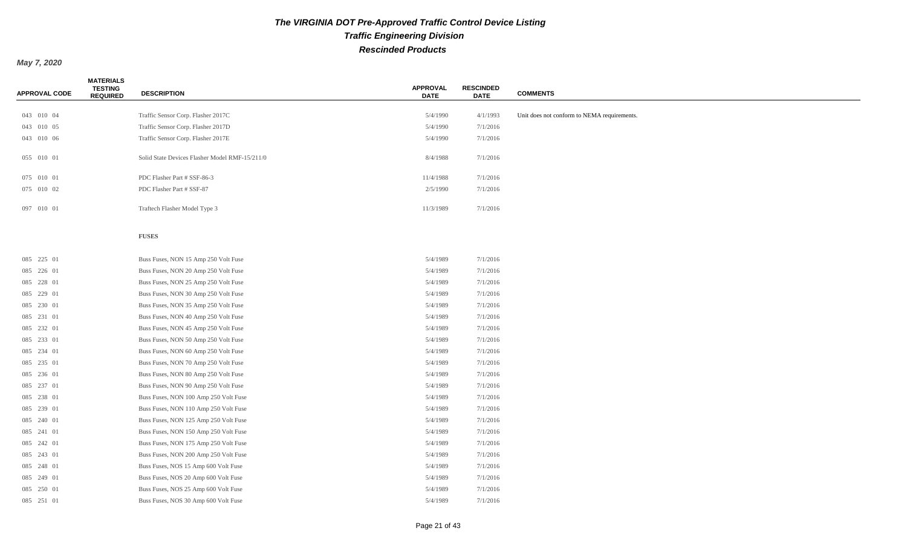| <b>APPROVAL CODE</b> | <b>MATERIALS</b><br><b>TESTING</b><br><b>REQUIRED</b> | <b>DESCRIPTION</b>                             | <b>APPROVAL</b><br><b>DATE</b> | <b>RESCINDED</b><br><b>DATE</b> | <b>COMMENTS</b>                             |
|----------------------|-------------------------------------------------------|------------------------------------------------|--------------------------------|---------------------------------|---------------------------------------------|
|                      |                                                       |                                                |                                |                                 |                                             |
| 043 010 04           |                                                       | Traffic Sensor Corp. Flasher 2017C             | 5/4/1990                       | 4/1/1993                        | Unit does not conform to NEMA requirements. |
| 043 010 05           |                                                       | Traffic Sensor Corp. Flasher 2017D             | 5/4/1990                       | 7/1/2016                        |                                             |
| 043 010 06           |                                                       | Traffic Sensor Corp. Flasher 2017E             | 5/4/1990                       | 7/1/2016                        |                                             |
| 055 010 01           |                                                       | Solid State Devices Flasher Model RMF-15/211/0 | 8/4/1988                       | 7/1/2016                        |                                             |
| 075 010 01           |                                                       | PDC Flasher Part # SSF-86-3                    | 11/4/1988                      | 7/1/2016                        |                                             |
| 075 010 02           |                                                       | PDC Flasher Part # SSF-87                      | 2/5/1990                       | 7/1/2016                        |                                             |
| 097 010 01           |                                                       | Traftech Flasher Model Type 3                  | 11/3/1989                      | 7/1/2016                        |                                             |
|                      |                                                       | <b>FUSES</b>                                   |                                |                                 |                                             |
| 085 225 01           |                                                       | Buss Fuses, NON 15 Amp 250 Volt Fuse           | 5/4/1989                       | 7/1/2016                        |                                             |
| 085 226 01           |                                                       | Buss Fuses, NON 20 Amp 250 Volt Fuse           | 5/4/1989                       | 7/1/2016                        |                                             |
| 085 228 01           |                                                       | Buss Fuses, NON 25 Amp 250 Volt Fuse           | 5/4/1989                       | 7/1/2016                        |                                             |
| 085 229 01           |                                                       | Buss Fuses, NON 30 Amp 250 Volt Fuse           | 5/4/1989                       | 7/1/2016                        |                                             |
| 085 230 01           |                                                       | Buss Fuses, NON 35 Amp 250 Volt Fuse           | 5/4/1989                       | 7/1/2016                        |                                             |
| 085 231 01           |                                                       | Buss Fuses, NON 40 Amp 250 Volt Fuse           | 5/4/1989                       | 7/1/2016                        |                                             |
| 085 232 01           |                                                       | Buss Fuses, NON 45 Amp 250 Volt Fuse           | 5/4/1989                       | 7/1/2016                        |                                             |
| 085 233 01           |                                                       | Buss Fuses, NON 50 Amp 250 Volt Fuse           | 5/4/1989                       | 7/1/2016                        |                                             |
| 085 234 01           |                                                       | Buss Fuses, NON 60 Amp 250 Volt Fuse           | 5/4/1989                       | 7/1/2016                        |                                             |
| 085 235 01           |                                                       | Buss Fuses, NON 70 Amp 250 Volt Fuse           | 5/4/1989                       | 7/1/2016                        |                                             |
| 085 236 01           |                                                       | Buss Fuses, NON 80 Amp 250 Volt Fuse           | 5/4/1989                       | 7/1/2016                        |                                             |
| 085 237 01           |                                                       | Buss Fuses, NON 90 Amp 250 Volt Fuse           | 5/4/1989                       | 7/1/2016                        |                                             |
| 085 238 01           |                                                       | Buss Fuses, NON 100 Amp 250 Volt Fuse          | 5/4/1989                       | 7/1/2016                        |                                             |
| 085 239 01           |                                                       | Buss Fuses, NON 110 Amp 250 Volt Fuse          | 5/4/1989                       | 7/1/2016                        |                                             |
| 085 240 01           |                                                       | Buss Fuses, NON 125 Amp 250 Volt Fuse          | 5/4/1989                       | 7/1/2016                        |                                             |
| 085 241 01           |                                                       | Buss Fuses, NON 150 Amp 250 Volt Fuse          | 5/4/1989                       | 7/1/2016                        |                                             |
| 085 242 01           |                                                       | Buss Fuses, NON 175 Amp 250 Volt Fuse          | 5/4/1989                       | 7/1/2016                        |                                             |
| 085 243 01           |                                                       | Buss Fuses, NON 200 Amp 250 Volt Fuse          | 5/4/1989                       | 7/1/2016                        |                                             |
| 085 248 01           |                                                       | Buss Fuses, NOS 15 Amp 600 Volt Fuse           | 5/4/1989                       | 7/1/2016                        |                                             |
| 085 249 01           |                                                       | Buss Fuses, NOS 20 Amp 600 Volt Fuse           | 5/4/1989                       | 7/1/2016                        |                                             |
| 085 250 01           |                                                       | Buss Fuses, NOS 25 Amp 600 Volt Fuse           | 5/4/1989                       | 7/1/2016                        |                                             |
| 085 251 01           |                                                       | Buss Fuses, NOS 30 Amp 600 Volt Fuse           | 5/4/1989                       | 7/1/2016                        |                                             |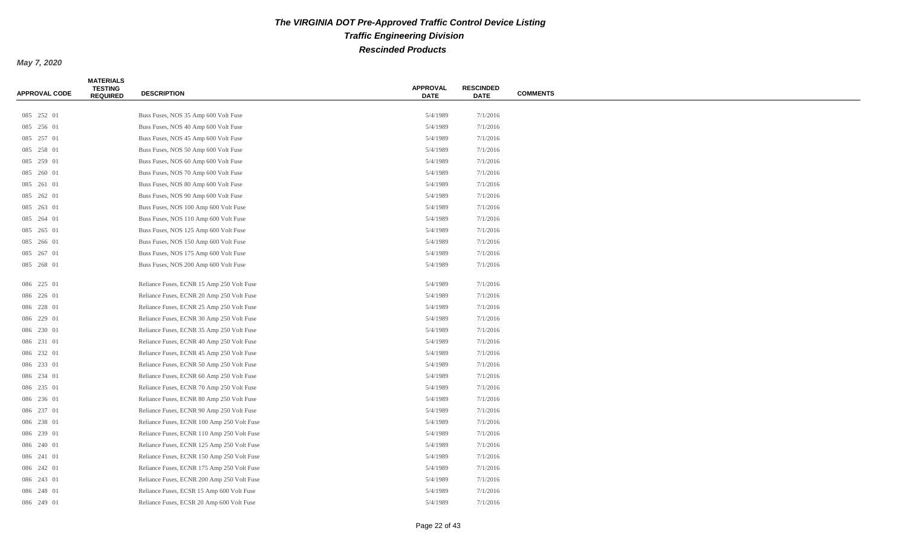| <b>APPROVAL CODE</b> | <b>MATERIALS</b><br><b>TESTING</b><br><b>REQUIRED</b> | <b>DESCRIPTION</b>                         | <b>APPROVAL</b><br><b>DATE</b> | <b>RESCINDED</b><br><b>DATE</b> | <b>COMMENTS</b> |
|----------------------|-------------------------------------------------------|--------------------------------------------|--------------------------------|---------------------------------|-----------------|
|                      |                                                       |                                            |                                |                                 |                 |
| 085 252 01           |                                                       | Buss Fuses, NOS 35 Amp 600 Volt Fuse       | 5/4/1989                       | 7/1/2016                        |                 |
| 085 256 01           |                                                       | Buss Fuses, NOS 40 Amp 600 Volt Fuse       | 5/4/1989                       | 7/1/2016                        |                 |
| 085 257 01           |                                                       | Buss Fuses, NOS 45 Amp 600 Volt Fuse       | 5/4/1989                       | 7/1/2016                        |                 |
| 085 258 01           |                                                       | Buss Fuses, NOS 50 Amp 600 Volt Fuse       | 5/4/1989                       | 7/1/2016                        |                 |
| 085 259 01           |                                                       | Buss Fuses, NOS 60 Amp 600 Volt Fuse       | 5/4/1989                       | 7/1/2016                        |                 |
| 085 260 01           |                                                       | Buss Fuses, NOS 70 Amp 600 Volt Fuse       | 5/4/1989                       | 7/1/2016                        |                 |
| 085 261 01           |                                                       | Buss Fuses, NOS 80 Amp 600 Volt Fuse       | 5/4/1989                       | 7/1/2016                        |                 |
| 085 262 01           |                                                       | Buss Fuses, NOS 90 Amp 600 Volt Fuse       | 5/4/1989                       | 7/1/2016                        |                 |
| 085 263 01           |                                                       | Buss Fuses, NOS 100 Amp 600 Volt Fuse      | 5/4/1989                       | 7/1/2016                        |                 |
| 085 264 01           |                                                       | Buss Fuses, NOS 110 Amp 600 Volt Fuse      | 5/4/1989                       | 7/1/2016                        |                 |
| 085 265 01           |                                                       | Buss Fuses, NOS 125 Amp 600 Volt Fuse      | 5/4/1989                       | 7/1/2016                        |                 |
| 085 266 01           |                                                       | Buss Fuses, NOS 150 Amp 600 Volt Fuse      | 5/4/1989                       | 7/1/2016                        |                 |
| 085 267 01           |                                                       | Buss Fuses, NOS 175 Amp 600 Volt Fuse      | 5/4/1989                       | 7/1/2016                        |                 |
| 085 268 01           |                                                       | Buss Fuses, NOS 200 Amp 600 Volt Fuse      | 5/4/1989                       | 7/1/2016                        |                 |
| 086 225 01           |                                                       | Reliance Fuses, ECNR 15 Amp 250 Volt Fuse  | 5/4/1989                       | 7/1/2016                        |                 |
| 086 226 01           |                                                       | Reliance Fuses, ECNR 20 Amp 250 Volt Fuse  | 5/4/1989                       | 7/1/2016                        |                 |
| 086 228 01           |                                                       | Reliance Fuses, ECNR 25 Amp 250 Volt Fuse  | 5/4/1989                       | 7/1/2016                        |                 |
| 086 229 01           |                                                       | Reliance Fuses, ECNR 30 Amp 250 Volt Fuse  | 5/4/1989                       | 7/1/2016                        |                 |
| 086 230 01           |                                                       | Reliance Fuses, ECNR 35 Amp 250 Volt Fuse  | 5/4/1989                       | 7/1/2016                        |                 |
| 086 231 01           |                                                       | Reliance Fuses, ECNR 40 Amp 250 Volt Fuse  | 5/4/1989                       | 7/1/2016                        |                 |
| 086 232 01           |                                                       | Reliance Fuses, ECNR 45 Amp 250 Volt Fuse  | 5/4/1989                       | 7/1/2016                        |                 |
| 086 233 01           |                                                       | Reliance Fuses, ECNR 50 Amp 250 Volt Fuse  | 5/4/1989                       | 7/1/2016                        |                 |
| 086 234 01           |                                                       | Reliance Fuses, ECNR 60 Amp 250 Volt Fuse  | 5/4/1989                       | 7/1/2016                        |                 |
| 086 235 01           |                                                       | Reliance Fuses, ECNR 70 Amp 250 Volt Fuse  | 5/4/1989                       | 7/1/2016                        |                 |
| 086 236 01           |                                                       | Reliance Fuses, ECNR 80 Amp 250 Volt Fuse  | 5/4/1989                       | 7/1/2016                        |                 |
| 086 237 01           |                                                       | Reliance Fuses, ECNR 90 Amp 250 Volt Fuse  | 5/4/1989                       | 7/1/2016                        |                 |
| 086 238 01           |                                                       | Reliance Fuses, ECNR 100 Amp 250 Volt Fuse | 5/4/1989                       | 7/1/2016                        |                 |
| 086 239 01           |                                                       | Reliance Fuses, ECNR 110 Amp 250 Volt Fuse | 5/4/1989                       | 7/1/2016                        |                 |
| 086 240 01           |                                                       | Reliance Fuses, ECNR 125 Amp 250 Volt Fuse | 5/4/1989                       | 7/1/2016                        |                 |
| 086 241 01           |                                                       | Reliance Fuses, ECNR 150 Amp 250 Volt Fuse | 5/4/1989                       | 7/1/2016                        |                 |
| 086 242 01           |                                                       | Reliance Fuses, ECNR 175 Amp 250 Volt Fuse | 5/4/1989                       | 7/1/2016                        |                 |
| 086 243 01           |                                                       | Reliance Fuses, ECNR 200 Amp 250 Volt Fuse | 5/4/1989                       | 7/1/2016                        |                 |
| 086 248 01           |                                                       | Reliance Fuses, ECSR 15 Amp 600 Volt Fuse  | 5/4/1989                       | 7/1/2016                        |                 |
| 086 249 01           |                                                       | Reliance Fuses, ECSR 20 Amp 600 Volt Fuse  | 5/4/1989                       | 7/1/2016                        |                 |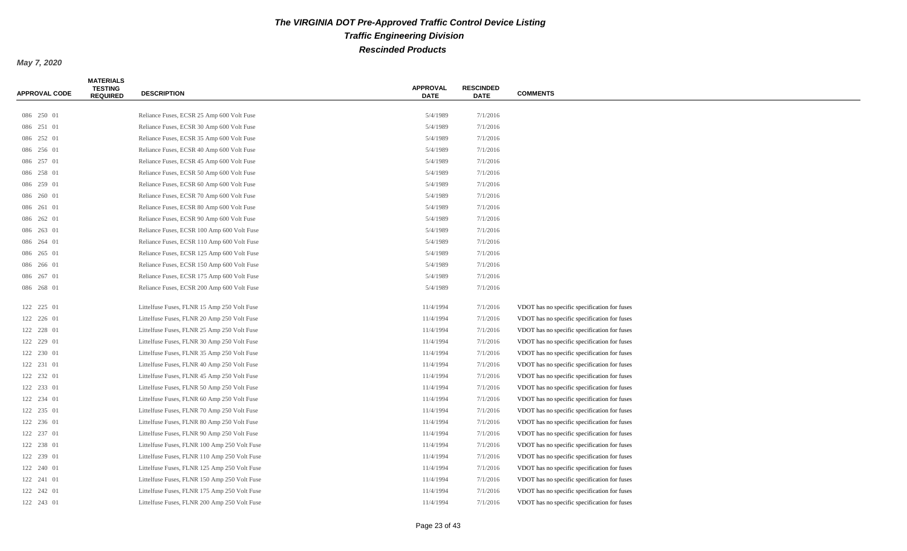| <b>APPROVAL CODE</b> | <b>MATERIALS</b><br><b>TESTING</b><br><b>REQUIRED</b> | <b>DESCRIPTION</b>                           | <b>APPROVAL</b><br><b>DATE</b> | <b>RESCINDED</b><br><b>DATE</b> | <b>COMMENTS</b>                              |  |
|----------------------|-------------------------------------------------------|----------------------------------------------|--------------------------------|---------------------------------|----------------------------------------------|--|
| 086 250 01           |                                                       | Reliance Fuses, ECSR 25 Amp 600 Volt Fuse    | 5/4/1989                       | 7/1/2016                        |                                              |  |
| 086 251 01           |                                                       | Reliance Fuses, ECSR 30 Amp 600 Volt Fuse    | 5/4/1989                       | 7/1/2016                        |                                              |  |
| 086 252 01           |                                                       | Reliance Fuses, ECSR 35 Amp 600 Volt Fuse    | 5/4/1989                       | 7/1/2016                        |                                              |  |
| 086 256 01           |                                                       | Reliance Fuses, ECSR 40 Amp 600 Volt Fuse    | 5/4/1989                       | 7/1/2016                        |                                              |  |
| 086 257 01           |                                                       | Reliance Fuses, ECSR 45 Amp 600 Volt Fuse    | 5/4/1989                       | 7/1/2016                        |                                              |  |
| 086 258 01           |                                                       | Reliance Fuses, ECSR 50 Amp 600 Volt Fuse    | 5/4/1989                       | 7/1/2016                        |                                              |  |
| 086 259 01           |                                                       | Reliance Fuses, ECSR 60 Amp 600 Volt Fuse    | 5/4/1989                       | 7/1/2016                        |                                              |  |
| 086 260 01           |                                                       | Reliance Fuses, ECSR 70 Amp 600 Volt Fuse    | 5/4/1989                       | 7/1/2016                        |                                              |  |
| 086 261 01           |                                                       | Reliance Fuses, ECSR 80 Amp 600 Volt Fuse    | 5/4/1989                       | 7/1/2016                        |                                              |  |
| 086 262 01           |                                                       | Reliance Fuses, ECSR 90 Amp 600 Volt Fuse    | 5/4/1989                       | 7/1/2016                        |                                              |  |
| 086 263 01           |                                                       | Reliance Fuses, ECSR 100 Amp 600 Volt Fuse   | 5/4/1989                       | 7/1/2016                        |                                              |  |
| 086 264 01           |                                                       | Reliance Fuses, ECSR 110 Amp 600 Volt Fuse   | 5/4/1989                       | 7/1/2016                        |                                              |  |
| 086 265 01           |                                                       | Reliance Fuses, ECSR 125 Amp 600 Volt Fuse   | 5/4/1989                       | 7/1/2016                        |                                              |  |
| 086 266 01           |                                                       | Reliance Fuses, ECSR 150 Amp 600 Volt Fuse   | 5/4/1989                       | 7/1/2016                        |                                              |  |
| 086 267 01           |                                                       | Reliance Fuses, ECSR 175 Amp 600 Volt Fuse   | 5/4/1989                       | 7/1/2016                        |                                              |  |
| 086 268 01           |                                                       | Reliance Fuses, ECSR 200 Amp 600 Volt Fuse   | 5/4/1989                       | 7/1/2016                        |                                              |  |
| 122 225 01           |                                                       | Littelfuse Fuses, FLNR 15 Amp 250 Volt Fuse  | 11/4/1994                      | 7/1/2016                        | VDOT has no specific specification for fuses |  |
| 122 226 01           |                                                       | Littelfuse Fuses, FLNR 20 Amp 250 Volt Fuse  | 11/4/1994                      | 7/1/2016                        | VDOT has no specific specification for fuses |  |
| 122 228 01           |                                                       | Littelfuse Fuses, FLNR 25 Amp 250 Volt Fuse  | 11/4/1994                      | 7/1/2016                        | VDOT has no specific specification for fuses |  |
| 122 229 01           |                                                       | Littelfuse Fuses, FLNR 30 Amp 250 Volt Fuse  | 11/4/1994                      | 7/1/2016                        | VDOT has no specific specification for fuses |  |
| 122 230 01           |                                                       | Littelfuse Fuses, FLNR 35 Amp 250 Volt Fuse  | 11/4/1994                      | 7/1/2016                        | VDOT has no specific specification for fuses |  |
| 122 231 01           |                                                       | Littelfuse Fuses, FLNR 40 Amp 250 Volt Fuse  | 11/4/1994                      | 7/1/2016                        | VDOT has no specific specification for fuses |  |
| 122 232 01           |                                                       | Littelfuse Fuses, FLNR 45 Amp 250 Volt Fuse  | 11/4/1994                      | 7/1/2016                        | VDOT has no specific specification for fuses |  |
| 122 233 01           |                                                       | Littelfuse Fuses, FLNR 50 Amp 250 Volt Fuse  | 11/4/1994                      | 7/1/2016                        | VDOT has no specific specification for fuses |  |
| 122 234 01           |                                                       | Littelfuse Fuses, FLNR 60 Amp 250 Volt Fuse  | 11/4/1994                      | 7/1/2016                        | VDOT has no specific specification for fuses |  |
| 122 235 01           |                                                       | Littelfuse Fuses, FLNR 70 Amp 250 Volt Fuse  | 11/4/1994                      | 7/1/2016                        | VDOT has no specific specification for fuses |  |
| 122 236 01           |                                                       | Littelfuse Fuses, FLNR 80 Amp 250 Volt Fuse  | 11/4/1994                      | 7/1/2016                        | VDOT has no specific specification for fuses |  |
| 122 237 01           |                                                       | Littelfuse Fuses, FLNR 90 Amp 250 Volt Fuse  | 11/4/1994                      | 7/1/2016                        | VDOT has no specific specification for fuses |  |
| 122 238 01           |                                                       | Littelfuse Fuses, FLNR 100 Amp 250 Volt Fuse | 11/4/1994                      | 7/1/2016                        | VDOT has no specific specification for fuses |  |
| 122 239 01           |                                                       | Littelfuse Fuses, FLNR 110 Amp 250 Volt Fuse | 11/4/1994                      | 7/1/2016                        | VDOT has no specific specification for fuses |  |
| 122 240 01           |                                                       | Littelfuse Fuses, FLNR 125 Amp 250 Volt Fuse | 11/4/1994                      | 7/1/2016                        | VDOT has no specific specification for fuses |  |
| 122 241 01           |                                                       | Littelfuse Fuses, FLNR 150 Amp 250 Volt Fuse | 11/4/1994                      | 7/1/2016                        | VDOT has no specific specification for fuses |  |
| 122 242 01           |                                                       | Littelfuse Fuses, FLNR 175 Amp 250 Volt Fuse | 11/4/1994                      | 7/1/2016                        | VDOT has no specific specification for fuses |  |
| 122 243 01           |                                                       | Littelfuse Fuses, FLNR 200 Amp 250 Volt Fuse | 11/4/1994                      | 7/1/2016                        | VDOT has no specific specification for fuses |  |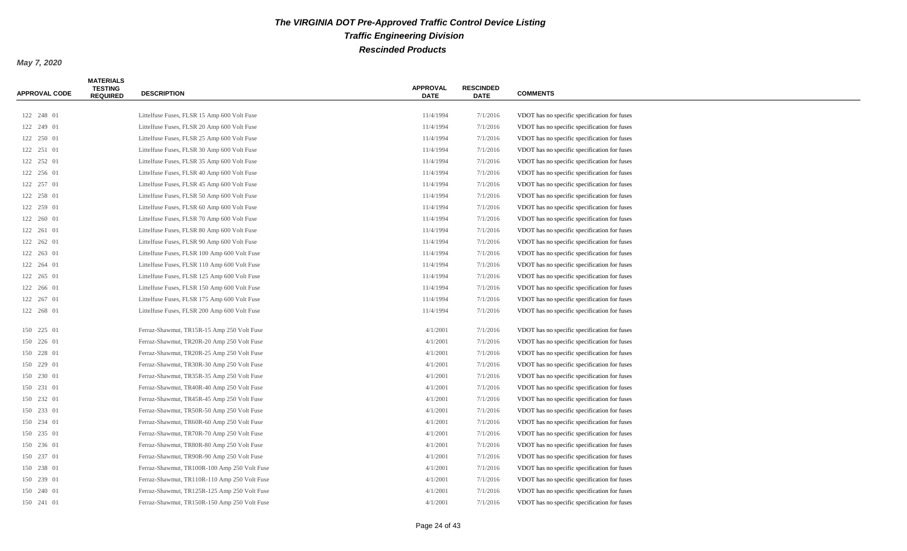| <b>APPROVAL CODE</b> | <b>MATERIALS</b><br><b>TESTING</b><br><b>REQUIRED</b> | <b>DESCRIPTION</b>                           | <b>APPROVAL</b><br><b>DATE</b> | <b>RESCINDED</b><br><b>DATE</b> | <b>COMMENTS</b>                              |
|----------------------|-------------------------------------------------------|----------------------------------------------|--------------------------------|---------------------------------|----------------------------------------------|
|                      |                                                       |                                              |                                |                                 |                                              |
| 122 248 01           |                                                       | Littelfuse Fuses, FLSR 15 Amp 600 Volt Fuse  | 11/4/1994                      | 7/1/2016                        | VDOT has no specific specification for fuses |
| 122 249 01           |                                                       | Littelfuse Fuses, FLSR 20 Amp 600 Volt Fuse  | 11/4/1994                      | 7/1/2016                        | VDOT has no specific specification for fuses |
| 122 250 01           |                                                       | Littelfuse Fuses, FLSR 25 Amp 600 Volt Fuse  | 11/4/1994                      | 7/1/2016                        | VDOT has no specific specification for fuses |
| 122 251 01           |                                                       | Littelfuse Fuses, FLSR 30 Amp 600 Volt Fuse  | 11/4/1994                      | 7/1/2016                        | VDOT has no specific specification for fuses |
| 122 252 01           |                                                       | Littelfuse Fuses, FLSR 35 Amp 600 Volt Fuse  | 11/4/1994                      | 7/1/2016                        | VDOT has no specific specification for fuses |
| 122 256 01           |                                                       | Littelfuse Fuses, FLSR 40 Amp 600 Volt Fuse  | 11/4/1994                      | 7/1/2016                        | VDOT has no specific specification for fuses |
| 122 257 01           |                                                       | Littelfuse Fuses, FLSR 45 Amp 600 Volt Fuse  | 11/4/1994                      | 7/1/2016                        | VDOT has no specific specification for fuses |
| 122 258 01           |                                                       | Littelfuse Fuses, FLSR 50 Amp 600 Volt Fuse  | 11/4/1994                      | 7/1/2016                        | VDOT has no specific specification for fuses |
| 122 259 01           |                                                       | Littelfuse Fuses, FLSR 60 Amp 600 Volt Fuse  | 11/4/1994                      | 7/1/2016                        | VDOT has no specific specification for fuses |
| 122 260 01           |                                                       | Littelfuse Fuses, FLSR 70 Amp 600 Volt Fuse  | 11/4/1994                      | 7/1/2016                        | VDOT has no specific specification for fuses |
| 122 261 01           |                                                       | Littelfuse Fuses, FLSR 80 Amp 600 Volt Fuse  | 11/4/1994                      | 7/1/2016                        | VDOT has no specific specification for fuses |
| 122  262  01         |                                                       | Littelfuse Fuses, FLSR 90 Amp 600 Volt Fuse  | 11/4/1994                      | 7/1/2016                        | VDOT has no specific specification for fuses |
| 122 263 01           |                                                       | Littelfuse Fuses, FLSR 100 Amp 600 Volt Fuse | 11/4/1994                      | 7/1/2016                        | VDOT has no specific specification for fuses |
| 122 264 01           |                                                       | Littelfuse Fuses, FLSR 110 Amp 600 Volt Fuse | 11/4/1994                      | 7/1/2016                        | VDOT has no specific specification for fuses |
| 122 265 01           |                                                       | Littelfuse Fuses, FLSR 125 Amp 600 Volt Fuse | 11/4/1994                      | 7/1/2016                        | VDOT has no specific specification for fuses |
| 122 266 01           |                                                       | Littelfuse Fuses, FLSR 150 Amp 600 Volt Fuse | 11/4/1994                      | 7/1/2016                        | VDOT has no specific specification for fuses |
| 122 267 01           |                                                       | Littelfuse Fuses, FLSR 175 Amp 600 Volt Fuse | 11/4/1994                      | 7/1/2016                        | VDOT has no specific specification for fuses |
| 122 268 01           |                                                       | Littelfuse Fuses, FLSR 200 Amp 600 Volt Fuse | 11/4/1994                      | 7/1/2016                        | VDOT has no specific specification for fuses |
|                      |                                                       |                                              |                                |                                 |                                              |
| 150 225 01           |                                                       | Ferraz-Shawmut, TR15R-15 Amp 250 Volt Fuse   | 4/1/2001                       | 7/1/2016                        | VDOT has no specific specification for fuses |
| 150 226 01           |                                                       | Ferraz-Shawmut, TR20R-20 Amp 250 Volt Fuse   | 4/1/2001                       | 7/1/2016                        | VDOT has no specific specification for fuses |
| 150 228 01           |                                                       | Ferraz-Shawmut, TR20R-25 Amp 250 Volt Fuse   | 4/1/2001                       | 7/1/2016                        | VDOT has no specific specification for fuses |
| 150 229 01           |                                                       | Ferraz-Shawmut, TR30R-30 Amp 250 Volt Fuse   | 4/1/2001                       | 7/1/2016                        | VDOT has no specific specification for fuses |
| 150 230 01           |                                                       | Ferraz-Shawmut, TR35R-35 Amp 250 Volt Fuse   | 4/1/2001                       | 7/1/2016                        | VDOT has no specific specification for fuses |
| 150 231 01           |                                                       | Ferraz-Shawmut, TR40R-40 Amp 250 Volt Fuse   | 4/1/2001                       | 7/1/2016                        | VDOT has no specific specification for fuses |
| 150 232 01           |                                                       | Ferraz-Shawmut, TR45R-45 Amp 250 Volt Fuse   | 4/1/2001                       | 7/1/2016                        | VDOT has no specific specification for fuses |
| 150 233 01           |                                                       | Ferraz-Shawmut, TR50R-50 Amp 250 Volt Fuse   | 4/1/2001                       | 7/1/2016                        | VDOT has no specific specification for fuses |
| 150 234 01           |                                                       | Ferraz-Shawmut, TR60R-60 Amp 250 Volt Fuse   | 4/1/2001                       | 7/1/2016                        | VDOT has no specific specification for fuses |
| 150 235 01           |                                                       | Ferraz-Shawmut, TR70R-70 Amp 250 Volt Fuse   | 4/1/2001                       | 7/1/2016                        | VDOT has no specific specification for fuses |
| 150 236 01           |                                                       | Ferraz-Shawmut, TR80R-80 Amp 250 Volt Fuse   | 4/1/2001                       | 7/1/2016                        | VDOT has no specific specification for fuses |
| 150 237 01           |                                                       | Ferraz-Shawmut, TR90R-90 Amp 250 Volt Fuse   | 4/1/2001                       | 7/1/2016                        | VDOT has no specific specification for fuses |
| 150 238 01           |                                                       | Ferraz-Shawmut, TR100R-100 Amp 250 Volt Fuse | 4/1/2001                       | 7/1/2016                        | VDOT has no specific specification for fuses |
| 150 239 01           |                                                       | Ferraz-Shawmut, TR110R-110 Amp 250 Volt Fuse | 4/1/2001                       | 7/1/2016                        | VDOT has no specific specification for fuses |
| 150 240 01           |                                                       | Ferraz-Shawmut, TR125R-125 Amp 250 Volt Fuse | 4/1/2001                       | 7/1/2016                        | VDOT has no specific specification for fuses |
| 150 241 01           |                                                       | Ferraz-Shawmut, TR150R-150 Amp 250 Volt Fuse | 4/1/2001                       | 7/1/2016                        | VDOT has no specific specification for fuses |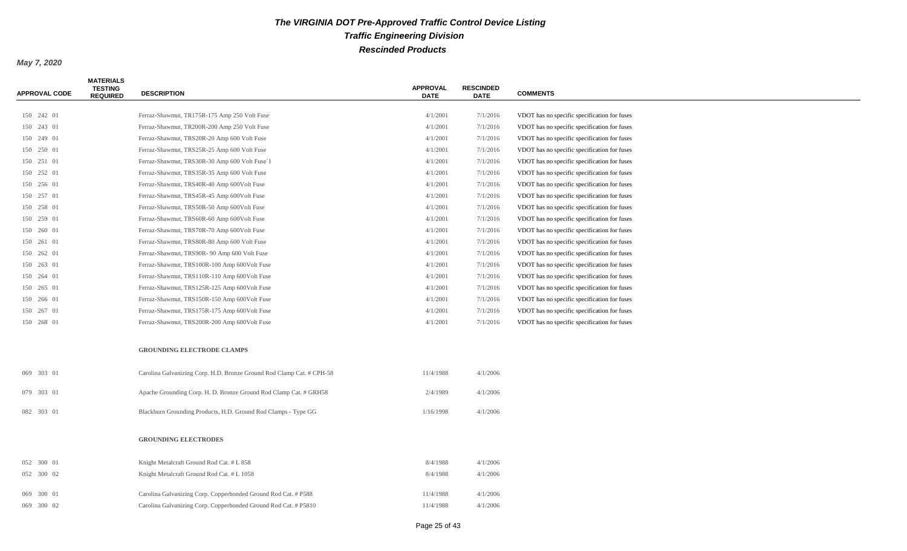| 4/1/2001<br>7/1/2016<br>150 242 01<br>Ferraz-Shawmut, TR175R-175 Amp 250 Volt Fuse<br>VDOT has no specific specification for fuses<br>4/1/2001<br>7/1/2016<br>150 243 01<br>Ferraz-Shawmut, TR200R-200 Amp 250 Volt Fuse<br>VDOT has no specific specification for fuses<br>Ferraz-Shawmut, TRS20R-20 Amp 600 Volt Fuse<br>4/1/2001<br>7/1/2016<br>VDOT has no specific specification for fuses<br>150 249 01<br>Ferraz-Shawmut, TRS25R-25 Amp 600 Volt Fuse<br>4/1/2001<br>7/1/2016<br>VDOT has no specific specification for fuses<br>150 250 01<br>150 251 01<br>Ferraz-Shawmut, TRS30R-30 Amp 600 Volt Fuse`1<br>4/1/2001<br>7/1/2016<br>VDOT has no specific specification for fuses<br>150 252 01<br>Ferraz-Shawmut, TRS35R-35 Amp 600 Volt Fuse<br>4/1/2001<br>7/1/2016<br>VDOT has no specific specification for fuses<br>150 256 01<br>Ferraz-Shawmut, TRS40R-40 Amp 600Volt Fuse<br>4/1/2001<br>7/1/2016<br>VDOT has no specific specification for fuses |  |
|--------------------------------------------------------------------------------------------------------------------------------------------------------------------------------------------------------------------------------------------------------------------------------------------------------------------------------------------------------------------------------------------------------------------------------------------------------------------------------------------------------------------------------------------------------------------------------------------------------------------------------------------------------------------------------------------------------------------------------------------------------------------------------------------------------------------------------------------------------------------------------------------------------------------------------------------------------------------|--|
|                                                                                                                                                                                                                                                                                                                                                                                                                                                                                                                                                                                                                                                                                                                                                                                                                                                                                                                                                                    |  |
|                                                                                                                                                                                                                                                                                                                                                                                                                                                                                                                                                                                                                                                                                                                                                                                                                                                                                                                                                                    |  |
|                                                                                                                                                                                                                                                                                                                                                                                                                                                                                                                                                                                                                                                                                                                                                                                                                                                                                                                                                                    |  |
|                                                                                                                                                                                                                                                                                                                                                                                                                                                                                                                                                                                                                                                                                                                                                                                                                                                                                                                                                                    |  |
|                                                                                                                                                                                                                                                                                                                                                                                                                                                                                                                                                                                                                                                                                                                                                                                                                                                                                                                                                                    |  |
|                                                                                                                                                                                                                                                                                                                                                                                                                                                                                                                                                                                                                                                                                                                                                                                                                                                                                                                                                                    |  |
|                                                                                                                                                                                                                                                                                                                                                                                                                                                                                                                                                                                                                                                                                                                                                                                                                                                                                                                                                                    |  |
| 150 257 01<br>Ferraz-Shawmut, TRS45R-45 Amp 600Volt Fuse<br>4/1/2001<br>7/1/2016<br>VDOT has no specific specification for fuses                                                                                                                                                                                                                                                                                                                                                                                                                                                                                                                                                                                                                                                                                                                                                                                                                                   |  |
| 150 258 01<br>Ferraz-Shawmut, TRS50R-50 Amp 600Volt Fuse<br>4/1/2001<br>7/1/2016<br>VDOT has no specific specification for fuses                                                                                                                                                                                                                                                                                                                                                                                                                                                                                                                                                                                                                                                                                                                                                                                                                                   |  |
| Ferraz-Shawmut, TRS60R-60 Amp 600Volt Fuse<br>4/1/2001<br>7/1/2016<br>VDOT has no specific specification for fuses<br>150 259 01                                                                                                                                                                                                                                                                                                                                                                                                                                                                                                                                                                                                                                                                                                                                                                                                                                   |  |
| Ferraz-Shawmut, TRS70R-70 Amp 600Volt Fuse<br>4/1/2001<br>7/1/2016<br>VDOT has no specific specification for fuses<br>150 260 01                                                                                                                                                                                                                                                                                                                                                                                                                                                                                                                                                                                                                                                                                                                                                                                                                                   |  |
| Ferraz-Shawmut, TRS80R-80 Amp 600 Volt Fuse<br>4/1/2001<br>7/1/2016<br>VDOT has no specific specification for fuses<br>150 261 01                                                                                                                                                                                                                                                                                                                                                                                                                                                                                                                                                                                                                                                                                                                                                                                                                                  |  |
| 150 262 01<br>Ferraz-Shawmut, TRS90R- 90 Amp 600 Volt Fuse<br>4/1/2001<br>7/1/2016<br>VDOT has no specific specification for fuses                                                                                                                                                                                                                                                                                                                                                                                                                                                                                                                                                                                                                                                                                                                                                                                                                                 |  |
| 150 263 01<br>Ferraz-Shawmut, TRS100R-100 Amp 600Volt Fuse<br>4/1/2001<br>7/1/2016<br>VDOT has no specific specification for fuses                                                                                                                                                                                                                                                                                                                                                                                                                                                                                                                                                                                                                                                                                                                                                                                                                                 |  |
| 4/1/2001<br>7/1/2016<br>150 264 01<br>Ferraz-Shawmut, TRS110R-110 Amp 600Volt Fuse<br>VDOT has no specific specification for fuses                                                                                                                                                                                                                                                                                                                                                                                                                                                                                                                                                                                                                                                                                                                                                                                                                                 |  |
| Ferraz-Shawmut, TRS125R-125 Amp 600Volt Fuse<br>4/1/2001<br>VDOT has no specific specification for fuses<br>150 265 01<br>7/1/2016                                                                                                                                                                                                                                                                                                                                                                                                                                                                                                                                                                                                                                                                                                                                                                                                                                 |  |
| 4/1/2001<br>7/1/2016<br>150 266 01<br>Ferraz-Shawmut, TRS150R-150 Amp 600Volt Fuse<br>VDOT has no specific specification for fuses                                                                                                                                                                                                                                                                                                                                                                                                                                                                                                                                                                                                                                                                                                                                                                                                                                 |  |
| 150 267 01<br>Ferraz-Shawmut, TRS175R-175 Amp 600Volt Fuse<br>4/1/2001<br>7/1/2016<br>VDOT has no specific specification for fuses                                                                                                                                                                                                                                                                                                                                                                                                                                                                                                                                                                                                                                                                                                                                                                                                                                 |  |
| 4/1/2001<br>150 268 01<br>Ferraz-Shawmut, TRS200R-200 Amp 600Volt Fuse<br>7/1/2016<br>VDOT has no specific specification for fuses                                                                                                                                                                                                                                                                                                                                                                                                                                                                                                                                                                                                                                                                                                                                                                                                                                 |  |
| <b>GROUNDING ELECTRODE CLAMPS</b>                                                                                                                                                                                                                                                                                                                                                                                                                                                                                                                                                                                                                                                                                                                                                                                                                                                                                                                                  |  |
| 069 303 01<br>Carolina Galvanizing Corp. H.D. Bronze Ground Rod Clamp Cat. # CPH-58<br>11/4/1988<br>4/1/2006                                                                                                                                                                                                                                                                                                                                                                                                                                                                                                                                                                                                                                                                                                                                                                                                                                                       |  |
| 079 303 01<br>Apache Grounding Corp. H. D. Bronze Ground Rod Clamp Cat. # GRH58<br>2/4/1989<br>4/1/2006                                                                                                                                                                                                                                                                                                                                                                                                                                                                                                                                                                                                                                                                                                                                                                                                                                                            |  |
| 082 303 01<br>Blackburn Grounding Products, H.D. Ground Rod Clamps - Type GG<br>1/16/1998<br>4/1/2006                                                                                                                                                                                                                                                                                                                                                                                                                                                                                                                                                                                                                                                                                                                                                                                                                                                              |  |
| <b>GROUNDING ELECTRODES</b>                                                                                                                                                                                                                                                                                                                                                                                                                                                                                                                                                                                                                                                                                                                                                                                                                                                                                                                                        |  |
| 8/4/1988<br>4/1/2006<br>052 300 01<br>Knight Metalcraft Ground Rod Cat. # L 858                                                                                                                                                                                                                                                                                                                                                                                                                                                                                                                                                                                                                                                                                                                                                                                                                                                                                    |  |
| Knight Metalcraft Ground Rod Cat. # L 1058<br>8/4/1988<br>4/1/2006<br>052 300 02                                                                                                                                                                                                                                                                                                                                                                                                                                                                                                                                                                                                                                                                                                                                                                                                                                                                                   |  |
| Carolina Galvanizing Corp. Copperbonded Ground Rod Cat. # P588<br>11/4/1988<br>4/1/2006<br>069 300 01                                                                                                                                                                                                                                                                                                                                                                                                                                                                                                                                                                                                                                                                                                                                                                                                                                                              |  |
| 11/4/1988<br>4/1/2006<br>069 300 02<br>Carolina Galvanizing Corp. Copperbonded Ground Rod Cat. # P5810                                                                                                                                                                                                                                                                                                                                                                                                                                                                                                                                                                                                                                                                                                                                                                                                                                                             |  |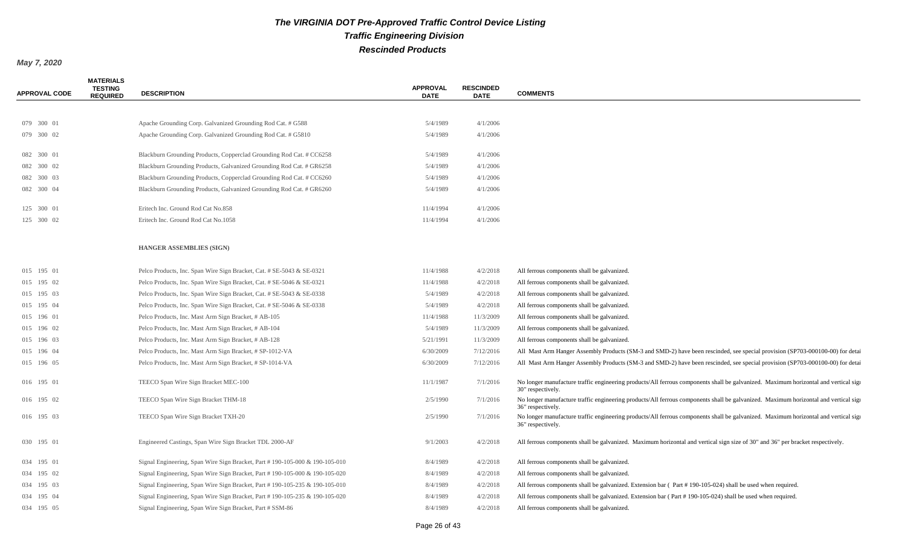| <b>APPROVAL CODE</b> | <b>MATERIALS</b><br><b>TESTING</b><br><b>REQUIRED</b> | <b>DESCRIPTION</b>                                                          | <b>APPROVAL</b><br><b>DATE</b> | <b>RESCINDED</b><br><b>DATE</b> | <b>COMMENTS</b>                                                                                                                                          |
|----------------------|-------------------------------------------------------|-----------------------------------------------------------------------------|--------------------------------|---------------------------------|----------------------------------------------------------------------------------------------------------------------------------------------------------|
|                      |                                                       |                                                                             |                                |                                 |                                                                                                                                                          |
| 079 300 01           |                                                       | Apache Grounding Corp. Galvanized Grounding Rod Cat. # G588                 | 5/4/1989                       | 4/1/2006                        |                                                                                                                                                          |
| 079 300 02           |                                                       | Apache Grounding Corp. Galvanized Grounding Rod Cat. # G5810                | 5/4/1989                       | 4/1/2006                        |                                                                                                                                                          |
| 082 300 01           |                                                       | Blackburn Grounding Products, Copperclad Grounding Rod Cat. # CC6258        | 5/4/1989                       | 4/1/2006                        |                                                                                                                                                          |
| 082 300 02           |                                                       | Blackburn Grounding Products, Galvanized Grounding Rod Cat. # GR6258        | 5/4/1989                       | 4/1/2006                        |                                                                                                                                                          |
| 082 300 03           |                                                       | Blackburn Grounding Products, Copperclad Grounding Rod Cat. # CC6260        | 5/4/1989                       | 4/1/2006                        |                                                                                                                                                          |
| 082 300 04           |                                                       | Blackburn Grounding Products, Galvanized Grounding Rod Cat. # GR6260        | 5/4/1989                       | 4/1/2006                        |                                                                                                                                                          |
| 125 300 01           |                                                       | Eritech Inc. Ground Rod Cat No.858                                          | 11/4/1994                      | 4/1/2006                        |                                                                                                                                                          |
| 125 300 02           |                                                       | Eritech Inc. Ground Rod Cat No.1058                                         | 11/4/1994                      | 4/1/2006                        |                                                                                                                                                          |
|                      |                                                       |                                                                             |                                |                                 |                                                                                                                                                          |
|                      |                                                       | <b>HANGER ASSEMBLIES (SIGN)</b>                                             |                                |                                 |                                                                                                                                                          |
| 015 195 01           |                                                       | Pelco Products, Inc. Span Wire Sign Bracket, Cat. # SE-5043 & SE-0321       | 11/4/1988                      | 4/2/2018                        | All ferrous components shall be galvanized.                                                                                                              |
| 015 195 02           |                                                       | Pelco Products, Inc. Span Wire Sign Bracket, Cat. # SE-5046 & SE-0321       | 11/4/1988                      | 4/2/2018                        | All ferrous components shall be galvanized.                                                                                                              |
| 015 195 03           |                                                       | Pelco Products, Inc. Span Wire Sign Bracket, Cat. # SE-5043 & SE-0338       | 5/4/1989                       | 4/2/2018                        | All ferrous components shall be galvanized.                                                                                                              |
| 015 195 04           |                                                       | Pelco Products, Inc. Span Wire Sign Bracket, Cat. # SE-5046 & SE-0338       | 5/4/1989                       | 4/2/2018                        | All ferrous components shall be galvanized.                                                                                                              |
| 015 196 01           |                                                       | Pelco Products, Inc. Mast Arm Sign Bracket, # AB-105                        | 11/4/1988                      | 11/3/2009                       | All ferrous components shall be galvanized.                                                                                                              |
| 015 196 02           |                                                       | Pelco Products, Inc. Mast Arm Sign Bracket, # AB-104                        | 5/4/1989                       | 11/3/2009                       | All ferrous components shall be galvanized.                                                                                                              |
| 015 196 03           |                                                       | Pelco Products, Inc. Mast Arm Sign Bracket, # AB-128                        | 5/21/1991                      | 11/3/2009                       | All ferrous components shall be galvanized.                                                                                                              |
| 015 196 04           |                                                       | Pelco Products, Inc. Mast Arm Sign Bracket, # SP-1012-VA                    | 6/30/2009                      | 7/12/2016                       | All Mast Arm Hanger Assembly Products (SM-3 and SMD-2) have been rescinded, see special provision (SP703-000100-00) for detai                            |
| 015 196 05           |                                                       | Pelco Products, Inc. Mast Arm Sign Bracket, # SP-1014-VA                    | 6/30/2009                      | 7/12/2016                       | All Mast Arm Hanger Assembly Products (SM-3 and SMD-2) have been rescinded, see special provision (SP703-000100-00) for detai                            |
| 016 195 01           |                                                       | TEECO Span Wire Sign Bracket MEC-100                                        | 11/1/1987                      | 7/1/2016                        | No longer manufacture traffic engineering products/All ferrous components shall be galvanized. Maximum horizontal and vertical sign<br>30" respectively. |
| 016 195 02           |                                                       | TEECO Span Wire Sign Bracket THM-18                                         | 2/5/1990                       | 7/1/2016                        | No longer manufacture traffic engineering products/All ferrous components shall be galvanized. Maximum horizontal and vertical sign<br>36" respectively. |
| 016 195 03           |                                                       | TEECO Span Wire Sign Bracket TXH-20                                         | 2/5/1990                       | 7/1/2016                        | No longer manufacture traffic engineering products/All ferrous components shall be galvanized. Maximum horizontal and vertical sign<br>36" respectively. |
| 030 195 01           |                                                       | Engineered Castings, Span Wire Sign Bracket TDL 2000-AF                     | 9/1/2003                       | 4/2/2018                        | All ferrous components shall be galvanized. Maximum horizontal and vertical sign size of 30" and 36" per bracket respectively.                           |
| 034 195 01           |                                                       | Signal Engineering, Span Wire Sign Bracket, Part #190-105-000 & 190-105-010 | 8/4/1989                       | 4/2/2018                        | All ferrous components shall be galvanized.                                                                                                              |
| 034 195 02           |                                                       | Signal Engineering, Span Wire Sign Bracket, Part #190-105-000 & 190-105-020 | 8/4/1989                       | 4/2/2018                        | All ferrous components shall be galvanized.                                                                                                              |
| 034 195 03           |                                                       | Signal Engineering, Span Wire Sign Bracket, Part #190-105-235 & 190-105-010 | 8/4/1989                       | 4/2/2018                        | All ferrous components shall be galvanized. Extension bar (Part #190-105-024) shall be used when required.                                               |
| 034 195 04           |                                                       | Signal Engineering, Span Wire Sign Bracket, Part #190-105-235 & 190-105-020 | 8/4/1989                       | 4/2/2018                        | All ferrous components shall be galvanized. Extension bar (Part #190-105-024) shall be used when required.                                               |
| 034 195 05           |                                                       | Signal Engineering, Span Wire Sign Bracket, Part # SSM-86                   | 8/4/1989                       | 4/2/2018                        | All ferrous components shall be galvanized.                                                                                                              |
|                      |                                                       |                                                                             |                                |                                 |                                                                                                                                                          |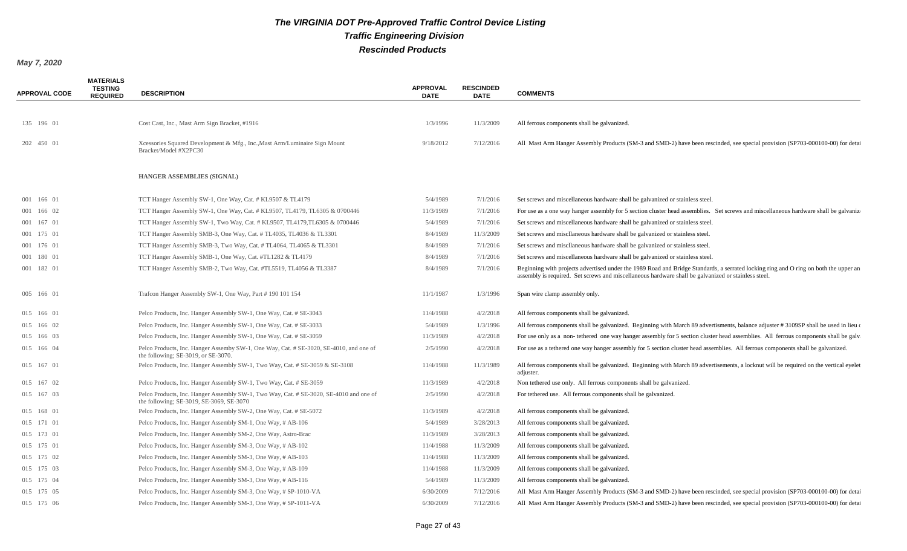| <b>APPROVAL CODE</b> | <b>MATERIALS</b><br><b>TESTING</b><br><b>REQUIRED</b> | <b>DESCRIPTION</b>                                                                                                                 | <b>APPROVAL</b><br><b>DATE</b> | <b>RESCINDED</b><br><b>DATE</b> | <b>COMMENTS</b>                                                                                                                                                                                                                             |
|----------------------|-------------------------------------------------------|------------------------------------------------------------------------------------------------------------------------------------|--------------------------------|---------------------------------|---------------------------------------------------------------------------------------------------------------------------------------------------------------------------------------------------------------------------------------------|
|                      |                                                       |                                                                                                                                    |                                |                                 |                                                                                                                                                                                                                                             |
| 135 196 01           |                                                       | Cost Cast, Inc., Mast Arm Sign Bracket, #1916                                                                                      | 1/3/1996                       | 11/3/2009                       | All ferrous components shall be galvanized.                                                                                                                                                                                                 |
| 202 450 01           |                                                       | Xcessories Squared Development & Mfg., Inc., Mast Arm/Luminaire Sign Mount<br>Bracket/Model #X2PC30                                | 9/18/2012                      | 7/12/2016                       | All Mast Arm Hanger Assembly Products (SM-3 and SMD-2) have been rescinded, see special provision (SP703-000100-00) for detain                                                                                                              |
|                      |                                                       | <b>HANGER ASSEMBLIES (SIGNAL)</b>                                                                                                  |                                |                                 |                                                                                                                                                                                                                                             |
| 001 166 01           |                                                       | TCT Hanger Assembly SW-1, One Way, Cat. # KL9507 & TL4179                                                                          | 5/4/1989                       | 7/1/2016                        | Set screws and miscellaneous hardware shall be galvanized or stainless steel.                                                                                                                                                               |
| 001 166 02           |                                                       | TCT Hanger Assembly SW-1, One Way, Cat. # KL9507, TL4179, TL6305 & 0700446                                                         | 11/3/1989                      | 7/1/2016                        | For use as a one way hanger assembly for 5 section cluster head assemblies. Set screws and miscellaneous hardware shall be galvanized                                                                                                       |
| 001 167 01           |                                                       | TCT Hanger Assembly SW-1, Two Way, Cat. # KL9507, TL4179, TL6305 & 0700446                                                         | 5/4/1989                       | 7/1/2016                        | Set screws and miscellaneous hardware shall be galvanized or stainless steel.                                                                                                                                                               |
| 001 175 01           |                                                       | TCT Hanger Assembly SMB-3, One Way, Cat. #TL4035, TL4036 & TL3301                                                                  | 8/4/1989                       | 11/3/2009                       | Set screws and miscllaneous hardware shall be galvanized or stainless steel.                                                                                                                                                                |
| 001 176 01           |                                                       | TCT Hanger Assembly SMB-3, Two Way, Cat. #TL4064, TL4065 & TL3301                                                                  | 8/4/1989                       | 7/1/2016                        | Set screws and miscllaneous hardware shall be galvanized or stainless steel.                                                                                                                                                                |
| 001 180 01           |                                                       | TCT Hanger Assembly SMB-1, One Way, Cat. #TL1282 & TL4179                                                                          | 8/4/1989                       | 7/1/2016                        | Set screws and miscellaneous hardware shall be galvanized or stainless steel.                                                                                                                                                               |
| 001 182 01           |                                                       | TCT Hanger Assembly SMB-2, Two Way, Cat. #TL5519, TL4056 & TL3387                                                                  | 8/4/1989                       | 7/1/2016                        | Beginning with projects advertised under the 1989 Road and Bridge Standards, a serrated locking ring and O ring on both the upper an<br>assembly is required. Set screws and miscellaneous hardware shall be galvanized or stainless steel. |
| 005 166 01           |                                                       | Trafcon Hanger Assembly SW-1, One Way, Part #190 101 154                                                                           | 11/1/1987                      | 1/3/1996                        | Span wire clamp assembly only.                                                                                                                                                                                                              |
| 015 166 01           |                                                       | Pelco Products, Inc. Hanger Assembly SW-1, One Way, Cat. # SE-3043                                                                 | 11/4/1988                      | 4/2/2018                        | All ferrous components shall be galvanized.                                                                                                                                                                                                 |
| 015 166 02           |                                                       | Pelco Products, Inc. Hanger Assembly SW-1, One Way, Cat. # SE-3033                                                                 | 5/4/1989                       | 1/3/1996                        | All ferrous components shall be galvanized. Beginning with March 89 advertisments, balance adjuster #3109SP shall be used in lieu of                                                                                                        |
| 015 166 03           |                                                       | Pelco Products, Inc. Hanger Assembly SW-1, One Way, Cat. # SE-3059                                                                 | 11/3/1989                      | 4/2/2018                        | For use only as a non-tethered one way hanger assembly for 5 section cluster head assemblies. All ferrous components shall be galveed                                                                                                       |
| 015 166 04           |                                                       | Pelco Products, Inc. Hanger Assemby SW-1, One Way, Cat. # SE-3020, SE-4010, and one of<br>the following; SE-3019, or SE-3070.      | 2/5/1990                       | 4/2/2018                        | For use as a tethered one way hanger assembly for 5 section cluster head assemblies. All ferrous components shall be galvanized.                                                                                                            |
| 015 167 01           |                                                       | Pelco Products, Inc. Hanger Assembly SW-1, Two Way, Cat. # SE-3059 & SE-3108                                                       | 11/4/1988                      | 11/3/1989                       | All ferrous components shall be galvanized. Beginning with March 89 advertisements, a locknut will be required on the vertical eyelet<br>adjuster.                                                                                          |
| 015 167 02           |                                                       | Pelco Products, Inc. Hanger Assembly SW-1, Two Way, Cat. # SE-3059                                                                 | 11/3/1989                      | 4/2/2018                        | Non tethered use only. All ferrous components shall be galvanized.                                                                                                                                                                          |
| 015 167 03           |                                                       | Pelco Products, Inc. Hanger Assembly SW-1, Two Way, Cat. # SE-3020, SE-4010 and one of<br>the following; SE-3019, SE-3069, SE-3070 | 2/5/1990                       | 4/2/2018                        | For tethered use. All ferrous components shall be galvanized.                                                                                                                                                                               |
| 015 168 01           |                                                       | Pelco Products, Inc. Hanger Assembly SW-2, One Way, Cat. # SE-5072                                                                 | 11/3/1989                      | 4/2/2018                        | All ferrous components shall be galvanized.                                                                                                                                                                                                 |
| 015 171 01           |                                                       | Pelco Products, Inc. Hanger Assembly SM-1, One Way, # AB-106                                                                       | 5/4/1989                       | 3/28/2013                       | All ferrous components shall be galvanized.                                                                                                                                                                                                 |
| 015 173 01           |                                                       | Pelco Products, Inc. Hanger Assembly SM-2, One Way, Astro-Brac                                                                     | 11/3/1989                      | 3/28/2013                       | All ferrous components shall be galvanized.                                                                                                                                                                                                 |
| 015 175 01           |                                                       | Pelco Products, Inc. Hanger Assembly SM-3, One Way, # AB-102                                                                       | 11/4/1988                      | 11/3/2009                       | All ferrous components shall be galvanized.                                                                                                                                                                                                 |
| 015 175 02           |                                                       | Pelco Products, Inc. Hanger Assembly SM-3, One Way, # AB-103                                                                       | 11/4/1988                      | 11/3/2009                       | All ferrous components shall be galvanized.                                                                                                                                                                                                 |
| 015 175 03           |                                                       | Pelco Products, Inc. Hanger Assembly SM-3, One Way, # AB-109                                                                       | 11/4/1988                      | 11/3/2009                       | All ferrous components shall be galvanized.                                                                                                                                                                                                 |
| 015 175 04           |                                                       | Pelco Products, Inc. Hanger Assembly SM-3, One Way, # AB-116                                                                       | 5/4/1989                       | 11/3/2009                       | All ferrous components shall be galvanized.                                                                                                                                                                                                 |
| 015 175 05           |                                                       | Pelco Products, Inc. Hanger Assembly SM-3, One Way, # SP-1010-VA                                                                   | 6/30/2009                      | 7/12/2016                       | All Mast Arm Hanger Assembly Products (SM-3 and SMD-2) have been rescinded, see special provision (SP703-000100-00) for detai                                                                                                               |
| 015 175 06           |                                                       | Pelco Products, Inc. Hanger Assembly SM-3, One Way, # SP-1011-VA                                                                   | 6/30/2009                      | 7/12/2016                       | All Mast Arm Hanger Assembly Products (SM-3 and SMD-2) have been rescinded, see special provision (SP703-000100-00) for detai                                                                                                               |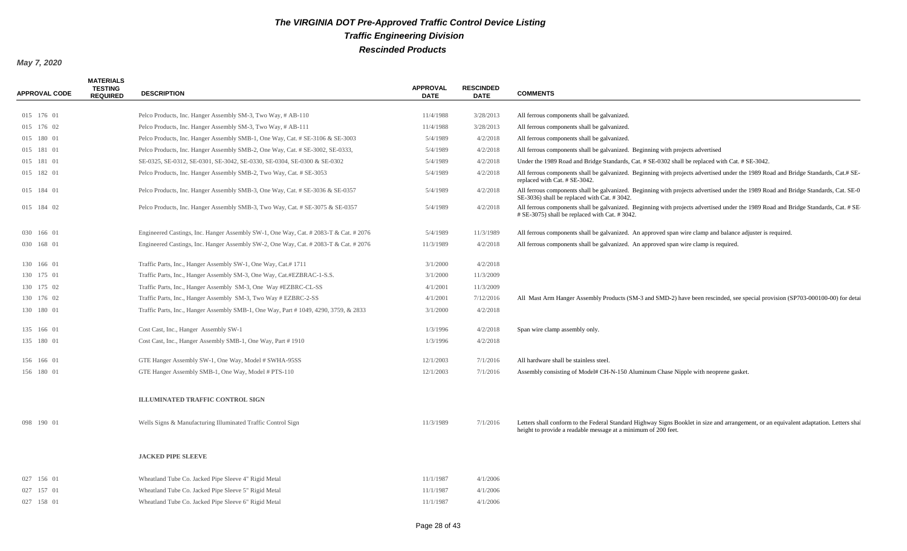| <b>APPROVAL CODE</b> | <b>MATERIALS</b><br><b>TESTING</b><br><b>REQUIRED</b> | <b>DESCRIPTION</b>                                                                   | <b>APPROVAL</b><br><b>DATE</b> | <b>RESCINDED</b><br><b>DATE</b> | <b>COMMENTS</b>                                                                                                                                                                                           |
|----------------------|-------------------------------------------------------|--------------------------------------------------------------------------------------|--------------------------------|---------------------------------|-----------------------------------------------------------------------------------------------------------------------------------------------------------------------------------------------------------|
| 015 176 01           |                                                       | Pelco Products, Inc. Hanger Assembly SM-3, Two Way, # AB-110                         | 11/4/1988                      | 3/28/2013                       | All ferrous components shall be galvanized.                                                                                                                                                               |
| 015 176 02           |                                                       | Pelco Products, Inc. Hanger Assembly SM-3, Two Way, # AB-111                         | 11/4/1988                      | 3/28/2013                       | All ferrous components shall be galvanized.                                                                                                                                                               |
| 015 180 01           |                                                       | Pelco Products, Inc. Hanger Assembly SMB-1, One Way, Cat. # SE-3106 & SE-3003        | 5/4/1989                       | 4/2/2018                        | All ferrous components shall be galvanized.                                                                                                                                                               |
| 015 181 01           |                                                       | Pelco Products, Inc. Hanger Assembly SMB-2, One Way, Cat. # SE-3002, SE-0333,        | 5/4/1989                       | 4/2/2018                        | All ferrous components shall be galvanized. Beginning with projects advertised                                                                                                                            |
| 015 181 01           |                                                       | SE-0325, SE-0312, SE-0301, SE-3042, SE-0330, SE-0304, SE-0300 & SE-0302              | 5/4/1989                       | 4/2/2018                        | Under the 1989 Road and Bridge Standards, Cat. # SE-0302 shall be replaced with Cat. # SE-3042.                                                                                                           |
| 015 182 01           |                                                       | Pelco Products, Inc. Hanger Assembly SMB-2, Two Way, Cat. # SE-3053                  | 5/4/1989                       | 4/2/2018                        | All ferrous components shall be galvanized. Beginning with projects advertised under the 1989 Road and Bridge Standards, Cat.# SE-<br>replaced with Cat. # SE-3042.                                       |
| 015 184 01           |                                                       | Pelco Products, Inc. Hanger Assembly SMB-3, One Way, Cat. # SE-3036 & SE-0357        | 5/4/1989                       | 4/2/2018                        | All ferrous components shall be galvanized. Beginning with projects advertised under the 1989 Road and Bridge Standards, Cat. SE-0<br>SE-3036) shall be replaced with Cat. # 3042.                        |
| 015 184 02           |                                                       | Pelco Products, Inc. Hanger Assembly SMB-3, Two Way, Cat. # SE-3075 & SE-0357        | 5/4/1989                       | 4/2/2018                        | All ferrous components shall be galvanized. Beginning with projects advertised under the 1989 Road and Bridge Standards, Cat. # SE<br># SE-3075) shall be replaced with Cat. # 3042.                      |
| 030 166 01           |                                                       | Engineered Castings, Inc. Hanger Assembly SW-1, One Way, Cat. # 2083-T & Cat. # 2076 | 5/4/1989                       | 11/3/1989                       | All ferrous components shall be galvanized. An approved span wire clamp and balance adjuster is required.                                                                                                 |
| 030 168 01           |                                                       | Engineered Castings, Inc. Hanger Assembly SW-2, One Way, Cat. # 2083-T & Cat. # 2076 | 11/3/1989                      | 4/2/2018                        | All ferrous components shall be galvanized. An approved span wire clamp is required.                                                                                                                      |
| 130 166 01           |                                                       | Traffic Parts, Inc., Hanger Assembly SW-1, One Way, Cat.# 1711                       | 3/1/2000                       | 4/2/2018                        |                                                                                                                                                                                                           |
| 130 175 01           |                                                       | Traffic Parts, Inc., Hanger Assembly SM-3, One Way, Cat.#EZBRAC-1-S.S.               | 3/1/2000                       | 11/3/2009                       |                                                                                                                                                                                                           |
| 130 175 02           |                                                       | Traffic Parts, Inc., Hanger Assembly SM-3, One Way #EZBRC-CL-SS                      | 4/1/2001                       | 11/3/2009                       |                                                                                                                                                                                                           |
| 130 176 02           |                                                       | Traffic Parts, Inc., Hanger Assembly SM-3, Two Way # EZBRC-2-SS                      | 4/1/2001                       | 7/12/2016                       | All Mast Arm Hanger Assembly Products (SM-3 and SMD-2) have been rescinded, see special provision (SP703-000100-00) for detai                                                                             |
| 130 180 01           |                                                       | Traffic Parts, Inc., Hanger Assembly SMB-1, One Way, Part #1049, 4290, 3759, & 2833  | 3/1/2000                       | 4/2/2018                        |                                                                                                                                                                                                           |
| 135 166 01           |                                                       | Cost Cast, Inc., Hanger Assembly SW-1                                                | 1/3/1996                       | 4/2/2018                        | Span wire clamp assembly only.                                                                                                                                                                            |
| 135 180 01           |                                                       | Cost Cast, Inc., Hanger Assembly SMB-1, One Way, Part #1910                          | 1/3/1996                       | 4/2/2018                        |                                                                                                                                                                                                           |
| 156 166 01           |                                                       | GTE Hanger Assembly SW-1, One Way, Model # SWHA-95SS                                 | 12/1/2003                      | 7/1/2016                        | All hardware shall be stainless steel.                                                                                                                                                                    |
| 156 180 01           |                                                       | GTE Hanger Assembly SMB-1, One Way, Model # PTS-110                                  | 12/1/2003                      | 7/1/2016                        | Assembly consisting of Model# CH-N-150 Aluminum Chase Nipple with neoprene gasket.                                                                                                                        |
|                      |                                                       | ILLUMINATED TRAFFIC CONTROL SIGN                                                     |                                |                                 |                                                                                                                                                                                                           |
| 098 190 01           |                                                       | Wells Signs & Manufacturing Illuminated Traffic Control Sign                         | 11/3/1989                      | 7/1/2016                        | Letters shall conform to the Federal Standard Highway Signs Booklet in size and arrangement, or an equivalent adaptation. Letters shall<br>height to provide a readable message at a minimum of 200 feet. |
|                      |                                                       | <b>JACKED PIPE SLEEVE</b>                                                            |                                |                                 |                                                                                                                                                                                                           |
| 027 156 01           |                                                       | Wheatland Tube Co. Jacked Pipe Sleeve 4" Rigid Metal                                 | 11/1/1987                      | 4/1/2006                        |                                                                                                                                                                                                           |
| 027 157 01           |                                                       | Wheatland Tube Co. Jacked Pipe Sleeve 5" Rigid Metal                                 | 11/1/1987                      | 4/1/2006                        |                                                                                                                                                                                                           |
| 027 158 01           |                                                       | Wheatland Tube Co. Jacked Pipe Sleeve 6" Rigid Metal                                 | 11/1/1987                      | 4/1/2006                        |                                                                                                                                                                                                           |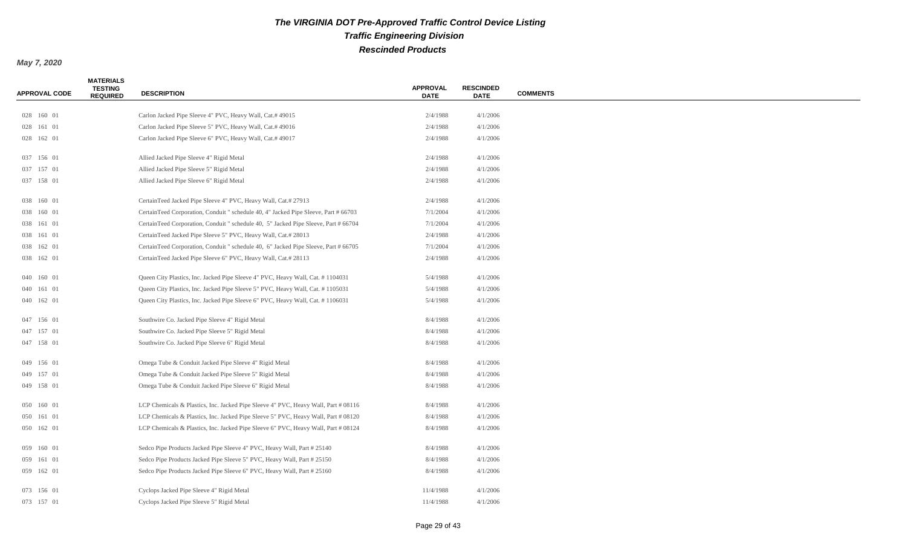| <b>APPROVAL CODE</b> | <b>MATERIALS</b><br><b>TESTING</b><br><b>REQUIRED</b> | <b>DESCRIPTION</b>                                                                  | <b>APPROVAL</b><br><b>DATE</b> | <b>RESCINDED</b><br><b>DATE</b> | <b>COMMENTS</b> |
|----------------------|-------------------------------------------------------|-------------------------------------------------------------------------------------|--------------------------------|---------------------------------|-----------------|
|                      |                                                       |                                                                                     |                                |                                 |                 |
| 028 160 01           |                                                       | Carlon Jacked Pipe Sleeve 4" PVC, Heavy Wall, Cat.# 49015                           | 2/4/1988                       | 4/1/2006                        |                 |
| 028 161 01           |                                                       | Carlon Jacked Pipe Sleeve 5" PVC, Heavy Wall, Cat.# 49016                           | 2/4/1988                       | 4/1/2006                        |                 |
| 028 162 01           |                                                       | Carlon Jacked Pipe Sleeve 6" PVC, Heavy Wall, Cat.# 49017                           | 2/4/1988                       | 4/1/2006                        |                 |
| 037 156 01           |                                                       | Allied Jacked Pipe Sleeve 4" Rigid Metal                                            | 2/4/1988                       | 4/1/2006                        |                 |
| 037 157 01           |                                                       | Allied Jacked Pipe Sleeve 5" Rigid Metal                                            | 2/4/1988                       | 4/1/2006                        |                 |
| 037 158 01           |                                                       | Allied Jacked Pipe Sleeve 6" Rigid Metal                                            | 2/4/1988                       | 4/1/2006                        |                 |
| 038 160 01           |                                                       | CertainTeed Jacked Pipe Sleeve 4" PVC, Heavy Wall, Cat.# 27913                      | 2/4/1988                       | 4/1/2006                        |                 |
| 038 160 01           |                                                       | CertainTeed Corporation, Conduit " schedule 40, 4" Jacked Pipe Sleeve, Part # 66703 | 7/1/2004                       | 4/1/2006                        |                 |
| 038 161 01           |                                                       | CertainTeed Corporation, Conduit " schedule 40, 5" Jacked Pipe Sleeve, Part # 66704 | 7/1/2004                       | 4/1/2006                        |                 |
| 038 161 01           |                                                       | CertainTeed Jacked Pipe Sleeve 5" PVC, Heavy Wall, Cat.# 28013                      | 2/4/1988                       | 4/1/2006                        |                 |
| 038 162 01           |                                                       | CertainTeed Corporation, Conduit " schedule 40, 6" Jacked Pipe Sleeve, Part # 66705 | 7/1/2004                       | 4/1/2006                        |                 |
| 038 162 01           |                                                       | CertainTeed Jacked Pipe Sleeve 6" PVC, Heavy Wall, Cat.# 28113                      | 2/4/1988                       | 4/1/2006                        |                 |
| 040 160 01           |                                                       | Queen City Plastics, Inc. Jacked Pipe Sleeve 4" PVC, Heavy Wall, Cat. # 1104031     | 5/4/1988                       | 4/1/2006                        |                 |
| 040 161 01           |                                                       | Queen City Plastics, Inc. Jacked Pipe Sleeve 5" PVC, Heavy Wall, Cat. #1105031      | 5/4/1988                       | 4/1/2006                        |                 |
| 040 162 01           |                                                       | Queen City Plastics, Inc. Jacked Pipe Sleeve 6" PVC, Heavy Wall, Cat. #1106031      | 5/4/1988                       | 4/1/2006                        |                 |
| 047 156 01           |                                                       | Southwire Co. Jacked Pipe Sleeve 4" Rigid Metal                                     | 8/4/1988                       | 4/1/2006                        |                 |
| 047 157 01           |                                                       | Southwire Co. Jacked Pipe Sleeve 5" Rigid Metal                                     | 8/4/1988                       | 4/1/2006                        |                 |
| 047 158 01           |                                                       | Southwire Co. Jacked Pipe Sleeve 6" Rigid Metal                                     | 8/4/1988                       | 4/1/2006                        |                 |
| 049 156 01           |                                                       | Omega Tube & Conduit Jacked Pipe Sleeve 4" Rigid Metal                              | 8/4/1988                       | 4/1/2006                        |                 |
| 049 157 01           |                                                       | Omega Tube & Conduit Jacked Pipe Sleeve 5" Rigid Metal                              | 8/4/1988                       | 4/1/2006                        |                 |
| 049 158 01           |                                                       | Omega Tube & Conduit Jacked Pipe Sleeve 6" Rigid Metal                              | 8/4/1988                       | 4/1/2006                        |                 |
| 050 160 01           |                                                       | LCP Chemicals & Plastics, Inc. Jacked Pipe Sleeve 4" PVC, Heavy Wall, Part # 08116  | 8/4/1988                       | 4/1/2006                        |                 |
| 050 161 01           |                                                       | LCP Chemicals & Plastics, Inc. Jacked Pipe Sleeve 5" PVC, Heavy Wall, Part # 08120  | 8/4/1988                       | 4/1/2006                        |                 |
| 050 162 01           |                                                       | LCP Chemicals & Plastics, Inc. Jacked Pipe Sleeve 6" PVC, Heavy Wall, Part # 08124  | 8/4/1988                       | 4/1/2006                        |                 |
| 059 160 01           |                                                       | Sedco Pipe Products Jacked Pipe Sleeve 4" PVC, Heavy Wall, Part # 25140             | 8/4/1988                       | 4/1/2006                        |                 |
| 059 161 01           |                                                       | Sedco Pipe Products Jacked Pipe Sleeve 5" PVC, Heavy Wall, Part # 25150             | 8/4/1988                       | 4/1/2006                        |                 |
| 059 162 01           |                                                       | Sedco Pipe Products Jacked Pipe Sleeve 6" PVC, Heavy Wall, Part # 25160             | 8/4/1988                       | 4/1/2006                        |                 |
| 073 156 01           |                                                       | Cyclops Jacked Pipe Sleeve 4" Rigid Metal                                           | 11/4/1988                      | 4/1/2006                        |                 |
| 073 157 01           |                                                       | Cyclops Jacked Pipe Sleeve 5" Rigid Metal                                           | 11/4/1988                      | 4/1/2006                        |                 |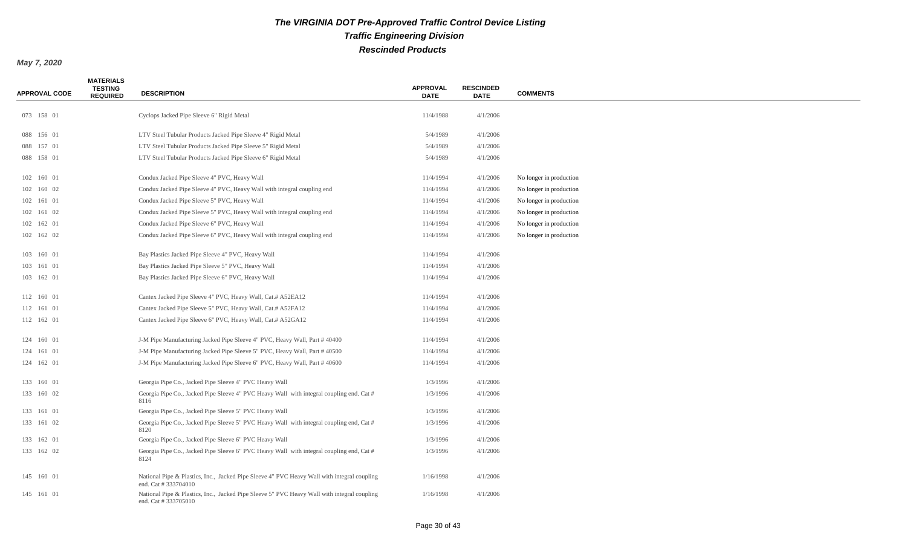| <b>APPROVAL CODE</b> | <b>MATERIALS</b><br><b>TESTING</b><br><b>REQUIRED</b> | <b>DESCRIPTION</b>                                                                                                 | <b>APPROVAL</b><br><b>DATE</b> | <b>RESCINDED</b><br><b>DATE</b> | <b>COMMENTS</b>         |
|----------------------|-------------------------------------------------------|--------------------------------------------------------------------------------------------------------------------|--------------------------------|---------------------------------|-------------------------|
|                      |                                                       |                                                                                                                    |                                |                                 |                         |
| 073 158 01           |                                                       | Cyclops Jacked Pipe Sleeve 6" Rigid Metal                                                                          | 11/4/1988                      | 4/1/2006                        |                         |
| 088 156 01           |                                                       | LTV Steel Tubular Products Jacked Pipe Sleeve 4" Rigid Metal                                                       | 5/4/1989                       | 4/1/2006                        |                         |
| 088 157 01           |                                                       | LTV Steel Tubular Products Jacked Pipe Sleeve 5" Rigid Metal                                                       | 5/4/1989                       | 4/1/2006                        |                         |
| 088 158 01           |                                                       | LTV Steel Tubular Products Jacked Pipe Sleeve 6" Rigid Metal                                                       | 5/4/1989                       | 4/1/2006                        |                         |
| 102 160 01           |                                                       | Condux Jacked Pipe Sleeve 4" PVC, Heavy Wall                                                                       | 11/4/1994                      | 4/1/2006                        | No longer in production |
| 102 160 02           |                                                       | Condux Jacked Pipe Sleeve 4" PVC, Heavy Wall with integral coupling end                                            | 11/4/1994                      | 4/1/2006                        | No longer in production |
| 102 161 01           |                                                       | Condux Jacked Pipe Sleeve 5" PVC, Heavy Wall                                                                       | 11/4/1994                      | 4/1/2006                        | No longer in production |
| 102 161 02           |                                                       | Condux Jacked Pipe Sleeve 5" PVC, Heavy Wall with integral coupling end                                            | 11/4/1994                      | 4/1/2006                        | No longer in production |
| 102 162 01           |                                                       | Condux Jacked Pipe Sleeve 6" PVC, Heavy Wall                                                                       | 11/4/1994                      | 4/1/2006                        | No longer in production |
| 102 162 02           |                                                       | Condux Jacked Pipe Sleeve 6" PVC, Heavy Wall with integral coupling end                                            | 11/4/1994                      | 4/1/2006                        | No longer in production |
| 103 160 01           |                                                       | Bay Plastics Jacked Pipe Sleeve 4" PVC, Heavy Wall                                                                 | 11/4/1994                      | 4/1/2006                        |                         |
| 103 161 01           |                                                       | Bay Plastics Jacked Pipe Sleeve 5" PVC, Heavy Wall                                                                 | 11/4/1994                      | 4/1/2006                        |                         |
| 103 162 01           |                                                       | Bay Plastics Jacked Pipe Sleeve 6" PVC, Heavy Wall                                                                 | 11/4/1994                      | 4/1/2006                        |                         |
| 112 160 01           |                                                       | Cantex Jacked Pipe Sleeve 4" PVC, Heavy Wall, Cat.# A52EA12                                                        | 11/4/1994                      | 4/1/2006                        |                         |
| 112 161 01           |                                                       | Cantex Jacked Pipe Sleeve 5" PVC, Heavy Wall, Cat.# A52FA12                                                        | 11/4/1994                      | 4/1/2006                        |                         |
| 112 162 01           |                                                       | Cantex Jacked Pipe Sleeve 6" PVC, Heavy Wall, Cat.# A52GA12                                                        | 11/4/1994                      | 4/1/2006                        |                         |
| 124 160 01           |                                                       | J-M Pipe Manufacturing Jacked Pipe Sleeve 4" PVC, Heavy Wall, Part #40400                                          | 11/4/1994                      | 4/1/2006                        |                         |
| 124 161 01           |                                                       | J-M Pipe Manufacturing Jacked Pipe Sleeve 5" PVC, Heavy Wall, Part #40500                                          | 11/4/1994                      | 4/1/2006                        |                         |
| 124 162 01           |                                                       | J-M Pipe Manufacturing Jacked Pipe Sleeve 6" PVC, Heavy Wall, Part #40600                                          | 11/4/1994                      | 4/1/2006                        |                         |
| 133 160 01           |                                                       | Georgia Pipe Co., Jacked Pipe Sleeve 4" PVC Heavy Wall                                                             | 1/3/1996                       | 4/1/2006                        |                         |
| 133 160 02           |                                                       | Georgia Pipe Co., Jacked Pipe Sleeve 4" PVC Heavy Wall with integral coupling end. Cat #<br>8116                   | 1/3/1996                       | 4/1/2006                        |                         |
| 133 161 01           |                                                       | Georgia Pipe Co., Jacked Pipe Sleeve 5" PVC Heavy Wall                                                             | 1/3/1996                       | 4/1/2006                        |                         |
| 133 161 02           |                                                       | Georgia Pipe Co., Jacked Pipe Sleeve 5" PVC Heavy Wall with integral coupling end, Cat #<br>8120                   | 1/3/1996                       | 4/1/2006                        |                         |
| 133 162 01           |                                                       | Georgia Pipe Co., Jacked Pipe Sleeve 6" PVC Heavy Wall                                                             | 1/3/1996                       | 4/1/2006                        |                         |
| 133 162 02           |                                                       | Georgia Pipe Co., Jacked Pipe Sleeve 6" PVC Heavy Wall with integral coupling end, Cat #<br>8124                   | 1/3/1996                       | 4/1/2006                        |                         |
| 145 160 01           |                                                       | National Pipe & Plastics, Inc., Jacked Pipe Sleeve 4" PVC Heavy Wall with integral coupling<br>end. Cat #333704010 | 1/16/1998                      | 4/1/2006                        |                         |
| 145 161 01           |                                                       | National Pipe & Plastics, Inc., Jacked Pipe Sleeve 5" PVC Heavy Wall with integral coupling<br>end. Cat #333705010 | 1/16/1998                      | 4/1/2006                        |                         |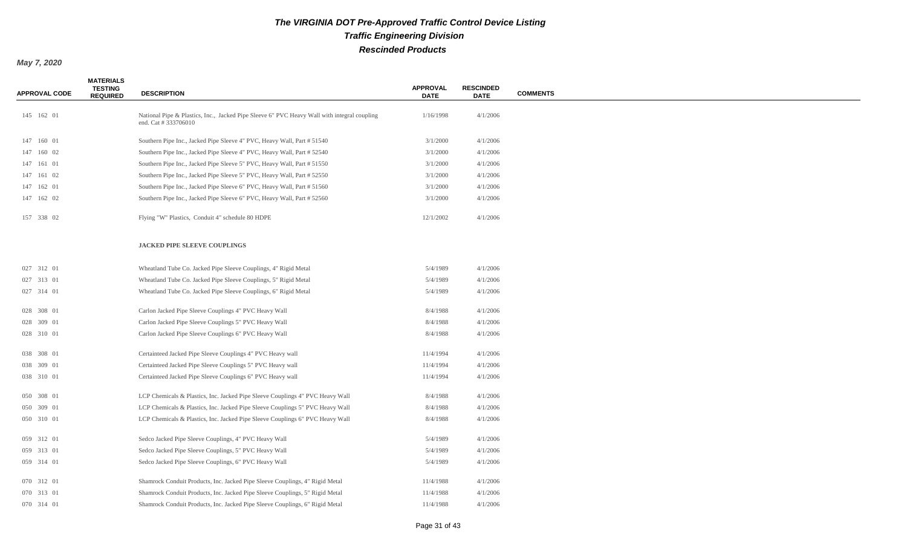| <b>APPROVAL CODE</b> | <b>MATERIALS</b><br><b>TESTING</b><br><b>REQUIRED</b> | <b>DESCRIPTION</b>                                                                                                 | <b>APPROVAL</b><br><b>DATE</b> | <b>RESCINDED</b><br><b>DATE</b> | <b>COMMENTS</b> |
|----------------------|-------------------------------------------------------|--------------------------------------------------------------------------------------------------------------------|--------------------------------|---------------------------------|-----------------|
|                      |                                                       |                                                                                                                    |                                |                                 |                 |
| 145 162 01           |                                                       | National Pipe & Plastics, Inc., Jacked Pipe Sleeve 6" PVC Heavy Wall with integral coupling<br>end. Cat #333706010 | 1/16/1998                      | 4/1/2006                        |                 |
| 147 160 01           |                                                       | Southern Pipe Inc., Jacked Pipe Sleeve 4" PVC, Heavy Wall, Part # 51540                                            | 3/1/2000                       | 4/1/2006                        |                 |
| 147 160 02           |                                                       | Southern Pipe Inc., Jacked Pipe Sleeve 4" PVC, Heavy Wall, Part # 52540                                            | 3/1/2000                       | 4/1/2006                        |                 |
| 147 161 01           |                                                       | Southern Pipe Inc., Jacked Pipe Sleeve 5" PVC, Heavy Wall, Part # 51550                                            | 3/1/2000                       | 4/1/2006                        |                 |
| 147 161 02           |                                                       | Southern Pipe Inc., Jacked Pipe Sleeve 5" PVC, Heavy Wall, Part # 52550                                            | 3/1/2000                       | 4/1/2006                        |                 |
| 147 162 01           |                                                       | Southern Pipe Inc., Jacked Pipe Sleeve 6" PVC, Heavy Wall, Part # 51560                                            | 3/1/2000                       | 4/1/2006                        |                 |
| 147 162 02           |                                                       | Southern Pipe Inc., Jacked Pipe Sleeve 6" PVC, Heavy Wall, Part # 52560                                            | 3/1/2000                       | 4/1/2006                        |                 |
| 157 338 02           |                                                       | Flying "W" Plastics, Conduit 4" schedule 80 HDPE                                                                   | 12/1/2002                      | 4/1/2006                        |                 |
|                      |                                                       | JACKED PIPE SLEEVE COUPLINGS                                                                                       |                                |                                 |                 |
| 027 312 01           |                                                       | Wheatland Tube Co. Jacked Pipe Sleeve Couplings, 4" Rigid Metal                                                    | 5/4/1989                       | 4/1/2006                        |                 |
| 027 313 01           |                                                       | Wheatland Tube Co. Jacked Pipe Sleeve Couplings, 5" Rigid Metal                                                    | 5/4/1989                       | 4/1/2006                        |                 |
| 027 314 01           |                                                       | Wheatland Tube Co. Jacked Pipe Sleeve Couplings, 6" Rigid Metal                                                    | 5/4/1989                       | 4/1/2006                        |                 |
| 028 308 01           |                                                       | Carlon Jacked Pipe Sleeve Couplings 4" PVC Heavy Wall                                                              | 8/4/1988                       | 4/1/2006                        |                 |
| 028 309 01           |                                                       | Carlon Jacked Pipe Sleeve Couplings 5" PVC Heavy Wall                                                              | 8/4/1988                       | 4/1/2006                        |                 |
| 028 310 01           |                                                       | Carlon Jacked Pipe Sleeve Couplings 6" PVC Heavy Wall                                                              | 8/4/1988                       | 4/1/2006                        |                 |
| 038 308 01           |                                                       | Certainteed Jacked Pipe Sleeve Couplings 4" PVC Heavy wall                                                         | 11/4/1994                      | 4/1/2006                        |                 |
| 038 309 01           |                                                       | Certainteed Jacked Pipe Sleeve Couplings 5" PVC Heavy wall                                                         | 11/4/1994                      | 4/1/2006                        |                 |
| 038 310 01           |                                                       | Certainteed Jacked Pipe Sleeve Couplings 6" PVC Heavy wall                                                         | 11/4/1994                      | 4/1/2006                        |                 |
| 050 308 01           |                                                       | LCP Chemicals & Plastics, Inc. Jacked Pipe Sleeve Couplings 4" PVC Heavy Wall                                      | 8/4/1988                       | 4/1/2006                        |                 |
| 050 309 01           |                                                       | LCP Chemicals & Plastics, Inc. Jacked Pipe Sleeve Couplings 5" PVC Heavy Wall                                      | 8/4/1988                       | 4/1/2006                        |                 |
| 050 310 01           |                                                       | LCP Chemicals & Plastics, Inc. Jacked Pipe Sleeve Couplings 6" PVC Heavy Wall                                      | 8/4/1988                       | 4/1/2006                        |                 |
| 059 312 01           |                                                       | Sedco Jacked Pipe Sleeve Couplings, 4" PVC Heavy Wall                                                              | 5/4/1989                       | 4/1/2006                        |                 |
| 059 313 01           |                                                       | Sedco Jacked Pipe Sleeve Couplings, 5" PVC Heavy Wall                                                              | 5/4/1989                       | 4/1/2006                        |                 |
| 059 314 01           |                                                       | Sedco Jacked Pipe Sleeve Couplings, 6" PVC Heavy Wall                                                              | 5/4/1989                       | 4/1/2006                        |                 |
| 070 312 01           |                                                       | Shamrock Conduit Products, Inc. Jacked Pipe Sleeve Couplings, 4" Rigid Metal                                       | 11/4/1988                      | 4/1/2006                        |                 |
| 070 313 01           |                                                       | Shamrock Conduit Products, Inc. Jacked Pipe Sleeve Couplings, 5" Rigid Metal                                       | 11/4/1988                      | 4/1/2006                        |                 |
| 070 314 01           |                                                       | Shamrock Conduit Products, Inc. Jacked Pipe Sleeve Couplings, 6" Rigid Metal                                       | 11/4/1988                      | 4/1/2006                        |                 |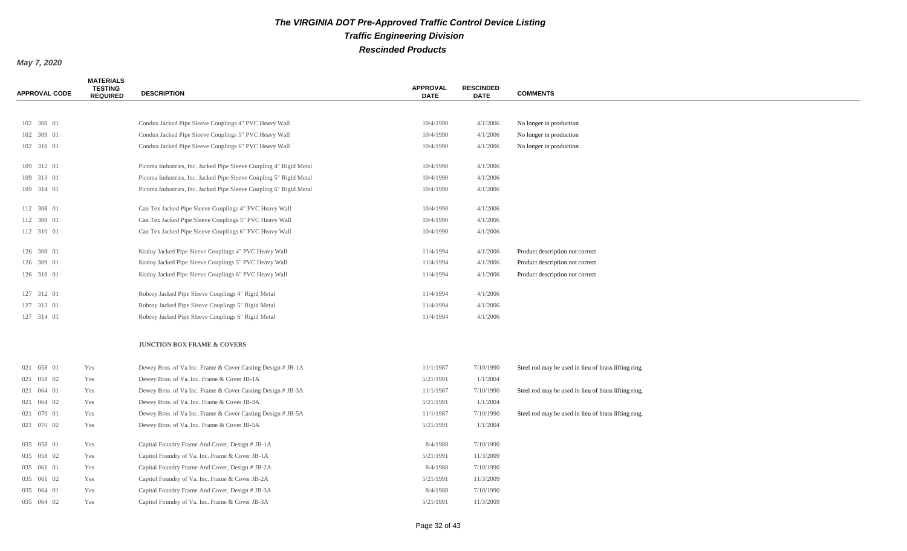| <b>APPROVAL CODE</b> | <b>MATERIALS</b><br><b>TESTING</b><br><b>REQUIRED</b> | <b>DESCRIPTION</b>                                                 | <b>APPROVAL</b><br><b>DATE</b> | <b>RESCINDED</b><br><b>DATE</b> | <b>COMMENTS</b>                                      |
|----------------------|-------------------------------------------------------|--------------------------------------------------------------------|--------------------------------|---------------------------------|------------------------------------------------------|
|                      |                                                       |                                                                    |                                |                                 |                                                      |
| 102 308 01           |                                                       | Condux Jacked Pipe Sleeve Couplings 4" PVC Heavy Wall              | 10/4/1990                      | 4/1/2006                        | No longer in production                              |
| 102 309 01           |                                                       | Condux Jacked Pipe Sleeve Couplings 5" PVC Heavy Wall              | 10/4/1990                      | 4/1/2006                        | No longer in production                              |
| 102 310 01           |                                                       | Condux Jacked Pipe Sleeve Couplings 6" PVC Heavy Wall              | 10/4/1990                      | 4/1/2006                        | No longer in production                              |
| 109 312 01           |                                                       | Picoma Industries, Inc. Jacked Pipe Sleeve Coupling 4" Rigid Metal | 10/4/1990                      | 4/1/2006                        |                                                      |
| 109 313 01           |                                                       | Picoma Industries, Inc. Jacked Pipe Sleeve Coupling 5" Rigid Metal | 10/4/1990                      | 4/1/2006                        |                                                      |
| 109 314 01           |                                                       | Picoma Industries, Inc. Jacked Pipe Sleeve Coupling 6" Rigid Metal | 10/4/1990                      | 4/1/2006                        |                                                      |
| 112 308 01           |                                                       | Can Tex Jacked Pipe Sleeve Couplings 4" PVC Heavy Wall             | 10/4/1990                      | 4/1/2006                        |                                                      |
| 112 309 01           |                                                       | Can Tex Jacked Pipe Sleeve Couplings 5" PVC Heavy Wall             | 10/4/1990                      | 4/1/2006                        |                                                      |
| 112 310 01           |                                                       | Can Tex Jacked Pipe Sleeve Couplings 6" PVC Heavy Wall             | 10/4/1990                      | 4/1/2006                        |                                                      |
| 126 308 01           |                                                       | Kraloy Jacked Pipe Sleeve Couplings 4" PVC Heavy Wall              | 11/4/1994                      | 4/1/2006                        | Product description not correct                      |
| 126 309 01           |                                                       | Kraloy Jacked Pipe Sleeve Couplings 5" PVC Heavy Wall              | 11/4/1994                      | 4/1/2006                        | Product description not correct                      |
| 126 310 01           |                                                       | Kraloy Jacked Pipe Sleeve Couplings 6" PVC Heavy Wall              | 11/4/1994                      | 4/1/2006                        | Product description not correct                      |
| 127 312 01           |                                                       | Robroy Jacked Pipe Sleeve Couplings 4" Rigid Metal                 | 11/4/1994                      | 4/1/2006                        |                                                      |
| 127 313 01           |                                                       | Robroy Jacked Pipe Sleeve Couplings 5" Rigid Metal                 | 11/4/1994                      | 4/1/2006                        |                                                      |
| 127 314 01           |                                                       | Robroy Jacked Pipe Sleeve Couplings 6" Rigid Metal                 | 11/4/1994                      | 4/1/2006                        |                                                      |
|                      |                                                       | <b>JUNCTION BOX FRAME &amp; COVERS</b>                             |                                |                                 |                                                      |
| 021 058 01           | Yes                                                   | Dewey Bros. of Va Inc. Frame & Cover Casting Design # JB-1A        | 11/1/1987                      | 7/10/1990                       | Steel rod may be used in lieu of brass lifting ring. |
| 021 058 02           | Yes                                                   | Dewey Bros. of Va. Inc. Frame & Cover JB-1A                        | 5/21/1991                      | 1/1/2004                        |                                                      |
| 021 064 01           | Yes                                                   | Dewey Bros. of Va Inc. Frame & Cover Casting Design # JB-3A        | 11/1/1987                      | 7/10/1990                       | Steel rod may be used in lieu of brass lifting ring. |
| 021 064 02           | Yes                                                   | Dewey Bros. of Va. Inc. Frame & Cover JB-3A                        | 5/21/1991                      | 1/1/2004                        |                                                      |
| 021 070 01           | Yes                                                   | Dewey Bros. of Va Inc. Frame & Cover Casting Design # JB-5A        | 11/1/1987                      | 7/10/1990                       | Steel rod may be used in lieu of brass lifting ring. |
| 021 070 02           | Yes                                                   | Dewey Bros. of Va. Inc. Frame & Cover JB-5A                        | 5/21/1991                      | 1/1/2004                        |                                                      |
| 035 058 01           | Yes                                                   | Capital Foundry Frame And Cover, Design # JB-1A                    | 8/4/1988                       | 7/10/1990                       |                                                      |
| 035 058 02           | Yes                                                   | Capitol Foundry of Va. Inc. Frame & Cover JB-1A                    | 5/21/1991                      | 11/3/2009                       |                                                      |
| 035 061 01           | Yes                                                   | Capital Foundry Frame And Cover, Design # JB-2A                    | 8/4/1988                       | 7/10/1990                       |                                                      |
| 035 061 02           | Yes                                                   | Capitol Foundry of Va. Inc. Frame & Cover JB-2A                    | 5/21/1991                      | 11/3/2009                       |                                                      |
| 035 064 01           | Yes                                                   | Capital Foundry Frame And Cover, Design # JB-3A                    | 8/4/1988                       | 7/10/1990                       |                                                      |
| 035 064 02           | Yes                                                   | Capitol Foundry of Va. Inc. Frame & Cover JB-3A                    | 5/21/1991                      | 11/3/2009                       |                                                      |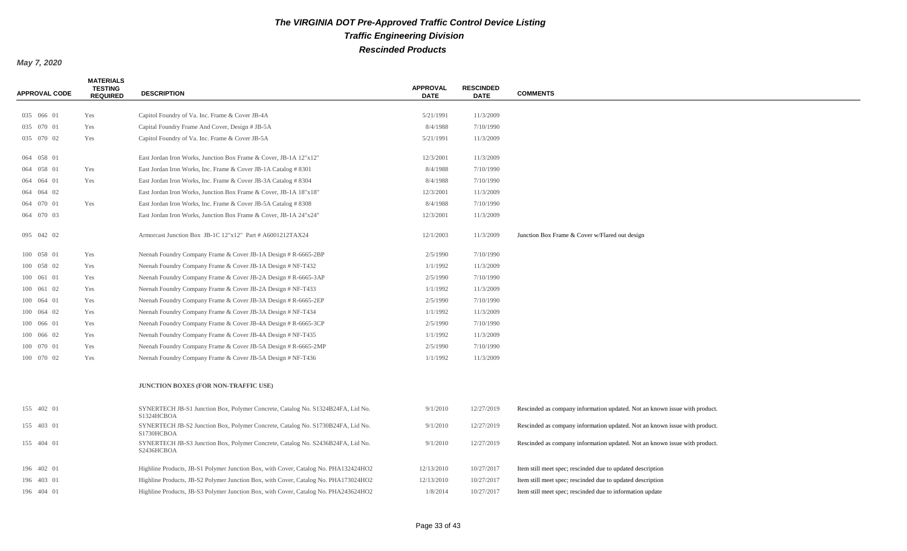#### *May 7, 2020*

**MATERIALS** 

| <b>APPROVAL CODE</b> | .<br><b>TESTING</b><br><b>REQUIRED</b> | <b>DESCRIPTION</b>                                                                            | <b>APPROVAL</b><br><b>DATE</b> | <b>RESCINDED</b><br><b>DATE</b> | <b>COMMENTS</b>                                                            |
|----------------------|----------------------------------------|-----------------------------------------------------------------------------------------------|--------------------------------|---------------------------------|----------------------------------------------------------------------------|
| 035 066 01           | Yes                                    | Capitol Foundry of Va. Inc. Frame & Cover JB-4A                                               | 5/21/1991                      | 11/3/2009                       |                                                                            |
| 035 070 01           | Yes                                    | Capital Foundry Frame And Cover, Design # JB-5A                                               | 8/4/1988                       | 7/10/1990                       |                                                                            |
| 035 070 02           | Yes                                    | Capitol Foundry of Va. Inc. Frame & Cover JB-5A                                               | 5/21/1991                      | 11/3/2009                       |                                                                            |
|                      |                                        |                                                                                               |                                |                                 |                                                                            |
| 064 058 01           |                                        | East Jordan Iron Works, Junction Box Frame & Cover, JB-1A 12"x12"                             | 12/3/2001                      | 11/3/2009                       |                                                                            |
| 064 058 01           | Yes                                    | East Jordan Iron Works, Inc. Frame & Cover JB-1A Catalog # 8301                               | 8/4/1988                       | 7/10/1990                       |                                                                            |
| 064 064 01           | Yes                                    | East Jordan Iron Works, Inc. Frame & Cover JB-3A Catalog #8304                                | 8/4/1988                       | 7/10/1990                       |                                                                            |
| 064 064 02           |                                        | East Jordan Iron Works, Junction Box Frame & Cover, JB-1A 18"x18"                             | 12/3/2001                      | 11/3/2009                       |                                                                            |
| 064 070 01           | Yes                                    | East Jordan Iron Works, Inc. Frame & Cover JB-5A Catalog # 8308                               | 8/4/1988                       | 7/10/1990                       |                                                                            |
| 064 070 03           |                                        | East Jordan Iron Works, Junction Box Frame & Cover, JB-1A 24"x24"                             | 12/3/2001                      | 11/3/2009                       |                                                                            |
| 095 042 02           |                                        | Armorcast Junction Box JB-1C 12"x12" Part # A6001212TAX24                                     | 12/1/2003                      | 11/3/2009                       | Junction Box Frame & Cover w/Flared out design                             |
| 100 058 01           | Yes                                    | Neenah Foundry Company Frame & Cover JB-1A Design # R-6665-2BP                                | 2/5/1990                       | 7/10/1990                       |                                                                            |
| 100 058 02           | Yes                                    | Neenah Foundry Company Frame & Cover JB-1A Design # NF-T432                                   | 1/1/1992                       | 11/3/2009                       |                                                                            |
| 100 061 01           | Yes                                    | Neenah Foundry Company Frame & Cover JB-2A Design # R-6665-3AP                                | 2/5/1990                       | 7/10/1990                       |                                                                            |
| 100 061 02           | Yes                                    | Neenah Foundry Company Frame & Cover JB-2A Design # NF-T433                                   | 1/1/1992                       | 11/3/2009                       |                                                                            |
| 100 064 01           | Yes                                    | Neenah Foundry Company Frame & Cover JB-3A Design # R-6665-2EP                                | 2/5/1990                       | 7/10/1990                       |                                                                            |
| 100 064 02           | Yes                                    | Neenah Foundry Company Frame & Cover JB-3A Design # NF-T434                                   | 1/1/1992                       | 11/3/2009                       |                                                                            |
| 100 066 01           | Yes                                    | Neenah Foundry Company Frame & Cover JB-4A Design # R-6665-3CP                                | 2/5/1990                       | 7/10/1990                       |                                                                            |
| 100 066 02           | Yes                                    | Neenah Foundry Company Frame & Cover JB-4A Design # NF-T435                                   | 1/1/1992                       | 11/3/2009                       |                                                                            |
| 100 070 01           | Yes                                    | Neenah Foundry Company Frame & Cover JB-5A Design # R-6665-2MP                                | 2/5/1990                       | 7/10/1990                       |                                                                            |
| 100 070 02           | Yes                                    | Neenah Foundry Company Frame & Cover JB-5A Design # NF-T436                                   | 1/1/1992                       | 11/3/2009                       |                                                                            |
|                      |                                        | <b>JUNCTION BOXES (FOR NON-TRAFFIC USE)</b>                                                   |                                |                                 |                                                                            |
| 155 402 01           |                                        | SYNERTECH JB-S1 Junction Box, Polymer Concrete, Catalog No. S1324B24FA, Lid No.<br>S1324HCBOA | 9/1/2010                       | 12/27/2019                      | Rescinded as company information updated. Not an known issue with product. |
| 155 403 01           |                                        | SYNERTECH JB-S2 Junction Box, Polymer Concrete, Catalog No. S1730B24FA, Lid No.<br>S1730HCBOA | 9/1/2010                       | 12/27/2019                      | Rescinded as company information updated. Not an known issue with product. |
| 155 404 01           |                                        | SYNERTECH JB-S3 Junction Box, Polymer Concrete, Catalog No. S2436B24FA, Lid No.<br>S2436HCBOA | 9/1/2010                       | 12/27/2019                      | Rescinded as company information updated. Not an known issue with product. |
| 196 402 01           |                                        | Highline Products, JB-S1 Polymer Junction Box, with Cover, Catalog No. PHA132424HO2           | 12/13/2010                     | 10/27/2017                      | Item still meet spec; rescinded due to updated description                 |
| 196 403 01           |                                        | Highline Products, JB-S2 Polymer Junction Box, with Cover, Catalog No. PHA173024HO2           | 12/13/2010                     | 10/27/2017                      | Item still meet spec; rescinded due to updated description                 |
| 196 404 01           |                                        | Highline Products, JB-S3 Polymer Junction Box, with Cover, Catalog No. PHA243624HO2           | 1/8/2014                       | 10/27/2017                      | Item still meet spec; rescinded due to information update                  |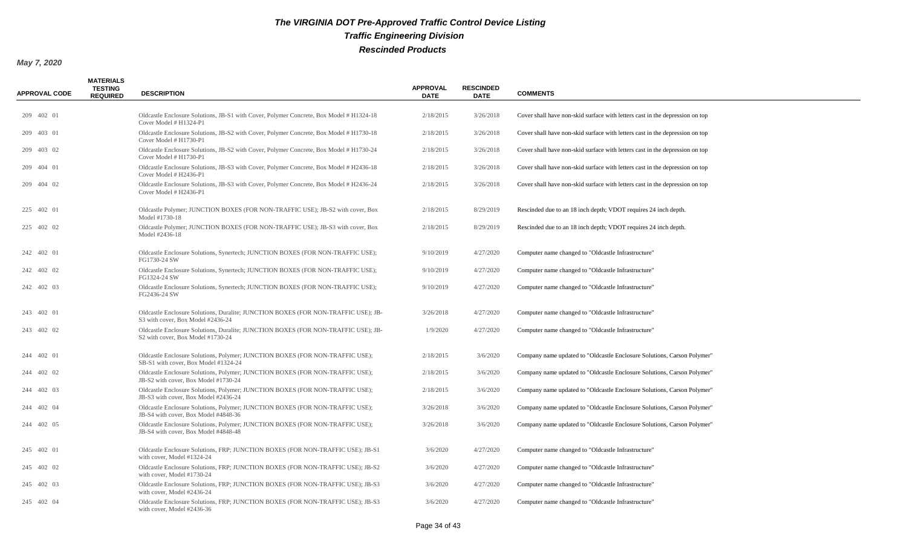| <b>APPROVAL CODE</b> | <b>MATERIALS</b><br><b>TESTING</b><br><b>REQUIRED</b> | <b>DESCRIPTION</b>                                                                                                      | <b>APPROVAL</b><br><b>DATE</b> | <b>RESCINDED</b><br><b>DATE</b> | <b>COMMENTS</b>                                                              |
|----------------------|-------------------------------------------------------|-------------------------------------------------------------------------------------------------------------------------|--------------------------------|---------------------------------|------------------------------------------------------------------------------|
| 209 402 01           |                                                       | Oldcastle Enclosure Solutions, JB-S1 with Cover, Polymer Concrete, Box Model # H1324-18<br>Cover Model # H1324-P1       | 2/18/2015                      | 3/26/2018                       | Cover shall have non-skid surface with letters cast in the depression on top |
| 209 403 01           |                                                       | Oldcastle Enclosure Solutions, JB-S2 with Cover, Polymer Concrete, Box Model # H1730-18<br>Cover Model # H1730-P1       | 2/18/2015                      | 3/26/2018                       | Cover shall have non-skid surface with letters cast in the depression on top |
| 209 403 02           |                                                       | Oldcastle Enclosure Solutions, JB-S2 with Cover, Polymer Concrete, Box Model # H1730-24<br>Cover Model # H1730-P1       | 2/18/2015                      | 3/26/2018                       | Cover shall have non-skid surface with letters cast in the depression on top |
| 209 404 01           |                                                       | Oldcastle Enclosure Solutions, JB-S3 with Cover, Polymer Concrete, Box Model # H2436-18<br>Cover Model # H2436-P1       | 2/18/2015                      | 3/26/2018                       | Cover shall have non-skid surface with letters cast in the depression on top |
| 209 404 02           |                                                       | Oldcastle Enclosure Solutions, JB-S3 with Cover, Polymer Concrete, Box Model # H2436-24<br>Cover Model # H2436-P1       | 2/18/2015                      | 3/26/2018                       | Cover shall have non-skid surface with letters cast in the depression on top |
| 225 402 01           |                                                       | Oldcastle Polymer; JUNCTION BOXES (FOR NON-TRAFFIC USE); JB-S2 with cover, Box<br>Model #1730-18                        | 2/18/2015                      | 8/29/2019                       | Rescinded due to an 18 inch depth; VDOT requires 24 inch depth.              |
| 225 402 02           |                                                       | Oldcastle Polymer; JUNCTION BOXES (FOR NON-TRAFFIC USE); JB-S3 with cover, Box<br>Model #2436-18                        | 2/18/2015                      | 8/29/2019                       | Rescinded due to an 18 inch depth; VDOT requires 24 inch depth.              |
| 242 402 01           |                                                       | Oldcastle Enclosure Solutions, Synertech; JUNCTION BOXES (FOR NON-TRAFFIC USE);<br>FG1730-24 SW                         | 9/10/2019                      | 4/27/2020                       | Computer name changed to "Oldcastle Infrastructure"                          |
| 242 402 02           |                                                       | Oldcastle Enclosure Solutions, Synertech; JUNCTION BOXES (FOR NON-TRAFFIC USE);<br>FG1324-24 SW                         | 9/10/2019                      | 4/27/2020                       | Computer name changed to "Oldcastle Infrastructure"                          |
| 242 402 03           |                                                       | Oldcastle Enclosure Solutions, Synertech; JUNCTION BOXES (FOR NON-TRAFFIC USE);<br>FG2436-24 SW                         | 9/10/2019                      | 4/27/2020                       | Computer name changed to "Oldcastle Infrastructure"                          |
| 243 402 01           |                                                       | Oldcastle Enclosure Solutions, Duralite; JUNCTION BOXES (FOR NON-TRAFFIC USE); JB-<br>S3 with cover, Box Model #2436-24 | 3/26/2018                      | 4/27/2020                       | Computer name changed to "Oldcastle Infrastructure"                          |
| 243 402 02           |                                                       | Oldcastle Enclosure Solutions, Duralite; JUNCTION BOXES (FOR NON-TRAFFIC USE); JB-<br>S2 with cover, Box Model #1730-24 | 1/9/2020                       | 4/27/2020                       | Computer name changed to "Oldcastle Infrastructure"                          |
| 244 402 01           |                                                       | Oldcastle Enclosure Solutions, Polymer; JUNCTION BOXES (FOR NON-TRAFFIC USE);<br>SB-S1 with cover, Box Model #1324-24   | 2/18/2015                      | 3/6/2020                        | Company name updated to "Oldcastle Enclosure Solutions, Carson Polymer"      |
| 244 402 02           |                                                       | Oldcastle Enclosure Solutions, Polymer; JUNCTION BOXES (FOR NON-TRAFFIC USE);<br>JB-S2 with cover, Box Model #1730-24   | 2/18/2015                      | 3/6/2020                        | Company name updated to "Oldcastle Enclosure Solutions, Carson Polymer"      |
| 244 402 03           |                                                       | Oldcastle Enclosure Solutions, Polymer; JUNCTION BOXES (FOR NON-TRAFFIC USE);<br>JB-S3 with cover, Box Model #2436-24   | 2/18/2015                      | 3/6/2020                        | Company name updated to "Oldcastle Enclosure Solutions, Carson Polymer"      |
| 244 402 04           |                                                       | Oldcastle Enclosure Solutions, Polymer; JUNCTION BOXES (FOR NON-TRAFFIC USE);<br>JB-S4 with cover, Box Model #4848-36   | 3/26/2018                      | 3/6/2020                        | Company name updated to "Oldcastle Enclosure Solutions, Carson Polymer"      |
| 244 402 05           |                                                       | Oldcastle Enclosure Solutions, Polymer; JUNCTION BOXES (FOR NON-TRAFFIC USE);<br>JB-S4 with cover, Box Model #4848-48   | 3/26/2018                      | 3/6/2020                        | Company name updated to "Oldcastle Enclosure Solutions, Carson Polymer"      |
| 245 402 01           |                                                       | Oldcastle Enclosure Solutions, FRP; JUNCTION BOXES (FOR NON-TRAFFIC USE); JB-S1<br>with cover, Model #1324-24           | 3/6/2020                       | 4/27/2020                       | Computer name changed to "Oldcastle Infrastructure"                          |
| 245 402 02           |                                                       | Oldcastle Enclosure Solutions, FRP; JUNCTION BOXES (FOR NON-TRAFFIC USE); JB-S2<br>with cover, Model #1730-24           | 3/6/2020                       | 4/27/2020                       | Computer name changed to "Oldcastle Infrastructure"                          |
| 245 402 03           |                                                       | Oldcastle Enclosure Solutions, FRP; JUNCTION BOXES (FOR NON-TRAFFIC USE); JB-S3<br>with cover, Model #2436-24           | 3/6/2020                       | 4/27/2020                       | Computer name changed to "Oldcastle Infrastructure"                          |
| 245 402 04           |                                                       | Oldcastle Enclosure Solutions, FRP; JUNCTION BOXES (FOR NON-TRAFFIC USE); JB-S3<br>with cover, Model #2436-36           | 3/6/2020                       | 4/27/2020                       | Computer name changed to "Oldcastle Infrastructure"                          |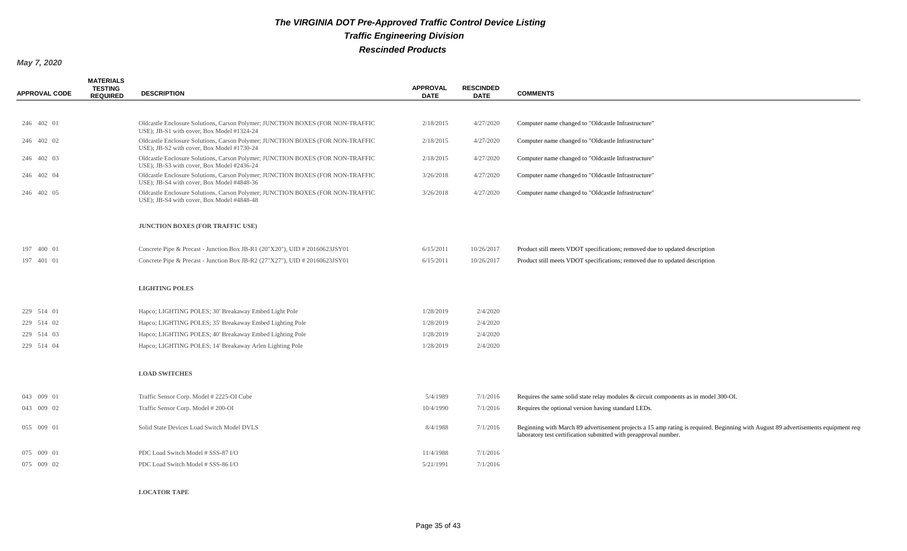#### *May 7, 2020*

| <b>APPROVAL CODE</b> | <b>MATERIALS</b><br><b>TESTING</b><br><b>REQUIRED</b> | <b>DESCRIPTION</b>                                                                                                           | <b>APPROVAL</b><br><b>DATE</b> | <b>RESCINDED</b><br><b>DATE</b> | <b>COMMENTS</b>                                                                                                                                                                                        |
|----------------------|-------------------------------------------------------|------------------------------------------------------------------------------------------------------------------------------|--------------------------------|---------------------------------|--------------------------------------------------------------------------------------------------------------------------------------------------------------------------------------------------------|
|                      |                                                       |                                                                                                                              |                                |                                 |                                                                                                                                                                                                        |
| 246 402 01           |                                                       | Oldcastle Enclosure Solutions, Carson Polymer; JUNCTION BOXES (FOR NON-TRAFFIC<br>USE); JB-S1 with cover, Box Model #1324-24 | 2/18/2015                      | 4/27/2020                       | Computer name changed to "Oldcastle Infrastructure"                                                                                                                                                    |
| 246 402 02           |                                                       | Oldcastle Enclosure Solutions, Carson Polymer; JUNCTION BOXES (FOR NON-TRAFFIC<br>USE); JB-S2 with cover, Box Model #1730-24 | 2/18/2015                      | 4/27/2020                       | Computer name changed to "Oldcastle Infrastructure"                                                                                                                                                    |
| 246 402 03           |                                                       | Oldcastle Enclosure Solutions, Carson Polymer; JUNCTION BOXES (FOR NON-TRAFFIC<br>USE); JB-S3 with cover, Box Model #2436-24 | 2/18/2015                      | 4/27/2020                       | Computer name changed to "Oldcastle Infrastructure"                                                                                                                                                    |
| 246 402 04           |                                                       | Oldcastle Enclosure Solutions, Carson Polymer; JUNCTION BOXES (FOR NON-TRAFFIC<br>USE); JB-S4 with cover, Box Model #4848-36 | 3/26/2018                      | 4/27/2020                       | Computer name changed to "Oldcastle Infrastructure"                                                                                                                                                    |
| 246 402 05           |                                                       | Oldcastle Enclosure Solutions, Carson Polymer; JUNCTION BOXES (FOR NON-TRAFFIC<br>USE); JB-S4 with cover, Box Model #4848-48 | 3/26/2018                      | 4/27/2020                       | Computer name changed to "Oldcastle Infrastructure"                                                                                                                                                    |
|                      |                                                       | <b>JUNCTION BOXES (FOR TRAFFIC USE)</b>                                                                                      |                                |                                 |                                                                                                                                                                                                        |
| 197 400 01           |                                                       | Concrete Pipe & Precast - Junction Box JB-R1 (20"X20"), UID # 20160623JSY01                                                  | 6/15/2011                      | 10/26/2017                      | Product still meets VDOT specifications; removed due to updated description                                                                                                                            |
| 197 401 01           |                                                       | Concrete Pipe & Precast - Junction Box JB-R2 $(27"X27")$ , UID # 20160623JSY01                                               | 6/15/2011                      | 10/26/2017                      | Product still meets VDOT specifications; removed due to updated description                                                                                                                            |
|                      |                                                       | <b>LIGHTING POLES</b>                                                                                                        |                                |                                 |                                                                                                                                                                                                        |
| 229 514 01           |                                                       | Hapco; LIGHTING POLES; 30' Breakaway Embed Light Pole                                                                        | 1/28/2019                      | 2/4/2020                        |                                                                                                                                                                                                        |
| 229 514 02           |                                                       | Hapco; LIGHTING POLES; 35' Breakaway Embed Lighting Pole                                                                     | 1/28/2019                      | 2/4/2020                        |                                                                                                                                                                                                        |
| 229 514 03           |                                                       | Hapco; LIGHTING POLES; 40' Breakaway Embed Lighting Pole                                                                     | 1/28/2019                      | 2/4/2020                        |                                                                                                                                                                                                        |
| 229 514 04           |                                                       | Hapco; LIGHTING POLES; 14' Breakaway Arlen Lighting Pole                                                                     | 1/28/2019                      | 2/4/2020                        |                                                                                                                                                                                                        |
|                      |                                                       | <b>LOAD SWITCHES</b>                                                                                                         |                                |                                 |                                                                                                                                                                                                        |
| 043 009 01           |                                                       | Traffic Sensor Corp. Model #2225-OI Cube                                                                                     | 5/4/1989                       | 7/1/2016                        | Requires the same solid state relay modules $\&$ circuit components as in model 300-OI.                                                                                                                |
| 043 009 02           |                                                       | Traffic Sensor Corp. Model # 200-OI                                                                                          | 10/4/1990                      | 7/1/2016                        | Requires the optional version having standard LEDs.                                                                                                                                                    |
| 055 009 01           |                                                       | Solid State Devices Load Switch Model DVLS                                                                                   | 8/4/1988                       | 7/1/2016                        | Beginning with March 89 advertisement projects a 15 amp rating is required. Beginning with August 89 advertisements equipment requ<br>laboratory test certification submitted with preapproval number. |
| 075 009 01           |                                                       | PDC Load Switch Model # SSS-87 I/O                                                                                           | 11/4/1988                      | 7/1/2016                        |                                                                                                                                                                                                        |
| 075 009 02           |                                                       | PDC Load Switch Model # SSS-86 I/O                                                                                           | 5/21/1991                      | 7/1/2016                        |                                                                                                                                                                                                        |
|                      |                                                       |                                                                                                                              |                                |                                 |                                                                                                                                                                                                        |

**LOCATOR TAPE**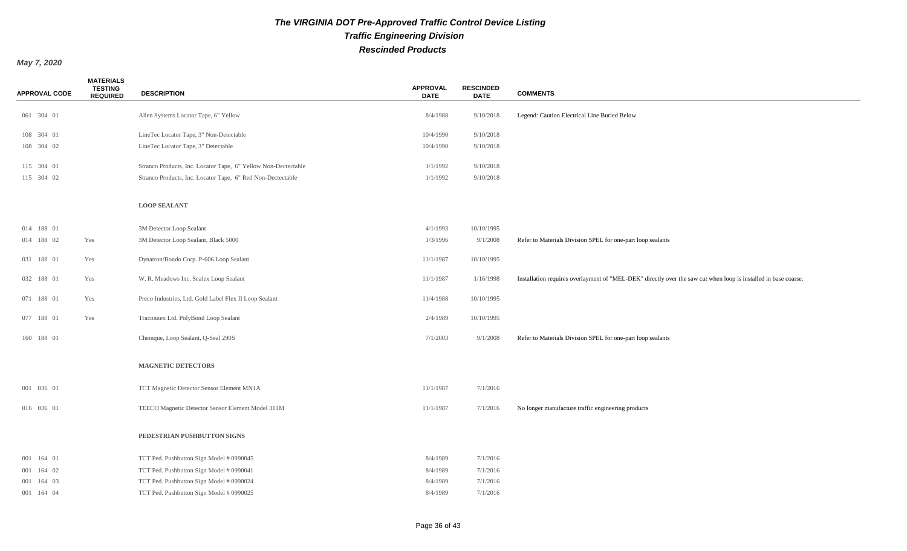| <b>APPROVAL CODE</b> | <b>MATERIALS</b><br><b>TESTING</b><br><b>REQUIRED</b> | <b>DESCRIPTION</b>                                             | <b>APPROVAL</b><br><b>DATE</b> | <b>RESCINDED</b><br><b>DATE</b> | <b>COMMENTS</b>                                                                                                 |
|----------------------|-------------------------------------------------------|----------------------------------------------------------------|--------------------------------|---------------------------------|-----------------------------------------------------------------------------------------------------------------|
|                      |                                                       |                                                                |                                |                                 |                                                                                                                 |
| 061 304 01           |                                                       | Allen Systems Locator Tape, 6" Yellow                          | 8/4/1988                       | 9/10/2018                       | Legend: Caution Electrical Line Buried Below                                                                    |
| 108 304 01           |                                                       | LineTec Locator Tape, 3" Non-Detectable                        | 10/4/1990                      | 9/10/2018                       |                                                                                                                 |
| 108 304 02           |                                                       | LineTec Locator Tape, 3" Detectable                            | 10/4/1990                      | 9/10/2018                       |                                                                                                                 |
| 115 304 01           |                                                       | Stranco Products, Inc. Locator Tape, 6" Yellow Non-Dectectable | 1/1/1992                       | 9/10/2018                       |                                                                                                                 |
| 115 304 02           |                                                       | Stranco Products, Inc. Locator Tape, 6" Red Non-Dectectable    | 1/1/1992                       | 9/10/2018                       |                                                                                                                 |
|                      |                                                       |                                                                |                                |                                 |                                                                                                                 |
|                      |                                                       | <b>LOOP SEALANT</b>                                            |                                |                                 |                                                                                                                 |
|                      |                                                       |                                                                |                                |                                 |                                                                                                                 |
| 014 188 01           |                                                       | 3M Detector Loop Sealant                                       | 4/1/1993                       | 10/10/1995                      |                                                                                                                 |
| 014 188 02           | Yes                                                   | 3M Detector Loop Sealant, Black 5000                           | 1/3/1996                       | 9/1/2008                        | Refer to Materials Division SPEL for one-part loop sealants                                                     |
| 031 188 01           | Yes                                                   | Dynatron/Bondo Corp. P-606 Loop Sealant                        | 11/1/1987                      | 10/10/1995                      |                                                                                                                 |
|                      |                                                       |                                                                |                                |                                 |                                                                                                                 |
| 032 188 01           | Yes                                                   | W. R. Meadows Inc. Sealex Loop Sealant                         | 11/1/1987                      | 1/16/1998                       | Installation requires overlayment of "MEL-DEK" directly over the saw cut when loop is installed in base coarse. |
| 071 188 01           | Yes                                                   | Preco Industries, Ltd. Gold Label Flex II Loop Sealant         | 11/4/1988                      | 10/10/1995                      |                                                                                                                 |
|                      |                                                       |                                                                |                                |                                 |                                                                                                                 |
| 077 188 01           | Yes                                                   | Traconnex Ltd. PolyBond Loop Sealant                           | 2/4/1989                       | 10/10/1995                      |                                                                                                                 |
| 160 188 01           |                                                       | Chemque, Loop Sealant, Q-Seal 290S                             | 7/1/2003                       | 9/1/2008                        | Refer to Materials Division SPEL for one-part loop sealants                                                     |
|                      |                                                       |                                                                |                                |                                 |                                                                                                                 |
|                      |                                                       | <b>MAGNETIC DETECTORS</b>                                      |                                |                                 |                                                                                                                 |
|                      |                                                       |                                                                |                                |                                 |                                                                                                                 |
| 001 036 01           |                                                       | TCT Magnetic Detector Sensor Element MN1A                      | 11/1/1987                      | 7/1/2016                        |                                                                                                                 |
|                      |                                                       |                                                                |                                |                                 |                                                                                                                 |
| 016 036 01           |                                                       | TEECO Magnetic Detector Sensor Element Model 311M              | 11/1/1987                      | 7/1/2016                        | No longer manufacture traffic engineering products                                                              |
|                      |                                                       |                                                                |                                |                                 |                                                                                                                 |
|                      |                                                       | PEDESTRIAN PUSHBUTTON SIGNS                                    |                                |                                 |                                                                                                                 |
| 001 164 01           |                                                       | TCT Ped. Pushbutton Sign Model # 0990045                       | 8/4/1989                       | 7/1/2016                        |                                                                                                                 |
| 001 164 02           |                                                       | TCT Ped. Pushbutton Sign Model # 0990041                       | 8/4/1989                       | 7/1/2016                        |                                                                                                                 |
| 001 164 03           |                                                       | TCT Ped. Pushbutton Sign Model # 0990024                       | 8/4/1989                       | 7/1/2016                        |                                                                                                                 |
| 001 164 04           |                                                       | TCT Ped. Pushbutton Sign Model # 0990025                       | 8/4/1989                       | 7/1/2016                        |                                                                                                                 |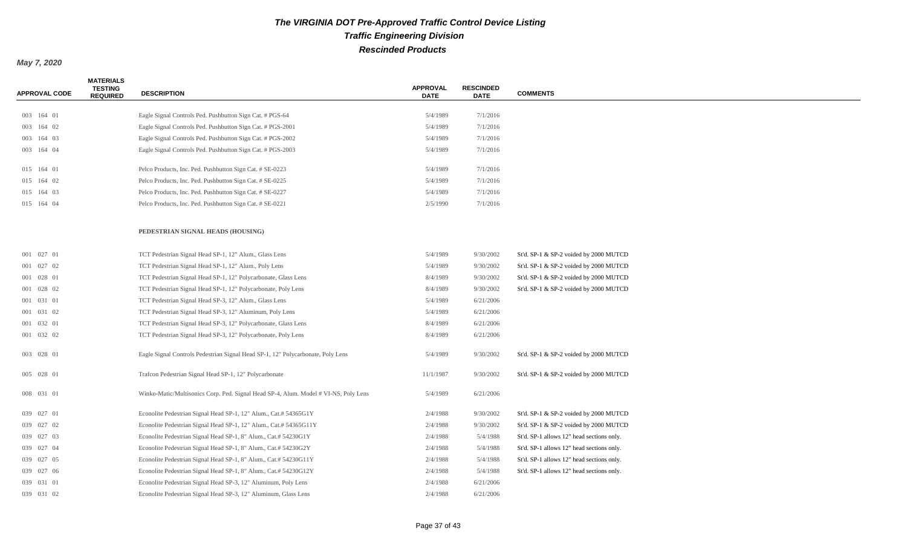| APPROVAL CODE | <b>MATERIALS</b><br><b>TESTING</b><br><b>REQUIRED</b> | <b>DESCRIPTION</b>                                                                  | <b>APPROVAL</b><br><b>DATE</b> | <b>RESCINDED</b><br><b>DATE</b> | <b>COMMENTS</b>                           |
|---------------|-------------------------------------------------------|-------------------------------------------------------------------------------------|--------------------------------|---------------------------------|-------------------------------------------|
|               |                                                       |                                                                                     |                                |                                 |                                           |
| 003 164 01    |                                                       | Eagle Signal Controls Ped. Pushbutton Sign Cat. # PGS-64                            | 5/4/1989                       | 7/1/2016                        |                                           |
| 003 164 02    |                                                       | Eagle Signal Controls Ped. Pushbutton Sign Cat. # PGS-2001                          | 5/4/1989                       | 7/1/2016                        |                                           |
| 003 164 03    |                                                       | Eagle Signal Controls Ped. Pushbutton Sign Cat. # PGS-2002                          | 5/4/1989                       | 7/1/2016                        |                                           |
| 003 164 04    |                                                       | Eagle Signal Controls Ped. Pushbutton Sign Cat. # PGS-2003                          | 5/4/1989                       | 7/1/2016                        |                                           |
| 015 164 01    |                                                       | Pelco Products, Inc. Ped. Pushbutton Sign Cat. # SE-0223                            | 5/4/1989                       | 7/1/2016                        |                                           |
| 015 164 02    |                                                       | Pelco Products, Inc. Ped. Pushbutton Sign Cat. # SE-0225                            | 5/4/1989                       | 7/1/2016                        |                                           |
| 015 164 03    |                                                       | Pelco Products, Inc. Ped. Pushbutton Sign Cat. # SE-0227                            | 5/4/1989                       | 7/1/2016                        |                                           |
| 015 164 04    |                                                       | Pelco Products, Inc. Ped. Pushbutton Sign Cat. # SE-0221                            | 2/5/1990                       | 7/1/2016                        |                                           |
|               |                                                       | PEDESTRIAN SIGNAL HEADS (HOUSING)                                                   |                                |                                 |                                           |
| 001 027 01    |                                                       | TCT Pedestrian Signal Head SP-1, 12" Alum., Glass Lens                              | 5/4/1989                       | 9/30/2002                       | St'd. SP-1 & SP-2 voided by 2000 MUTCD    |
| 001 027 02    |                                                       | TCT Pedestrian Signal Head SP-1, 12" Alum., Poly Lens                               | 5/4/1989                       | 9/30/2002                       | St'd. SP-1 & SP-2 voided by 2000 MUTCD    |
| 001 028 01    |                                                       | TCT Pedestrian Signal Head SP-1, 12" Polycarbonate, Glass Lens                      | 8/4/1989                       | 9/30/2002                       | St'd. SP-1 & SP-2 voided by 2000 MUTCD    |
| 001 028 02    |                                                       | TCT Pedestrian Signal Head SP-1, 12" Polycarbonate, Poly Lens                       | 8/4/1989                       | 9/30/2002                       | St'd. SP-1 & SP-2 voided by 2000 MUTCD    |
| 001 031 01    |                                                       | TCT Pedestrian Signal Head SP-3, 12" Alum., Glass Lens                              | 5/4/1989                       | 6/21/2006                       |                                           |
| 001 031 02    |                                                       | TCT Pedestrian Signal Head SP-3, 12" Aluminum, Poly Lens                            | 5/4/1989                       | 6/21/2006                       |                                           |
| 001 032 01    |                                                       | TCT Pedestrian Signal Head SP-3, 12" Polycarbonate, Glass Lens                      | 8/4/1989                       | 6/21/2006                       |                                           |
| 001 032 02    |                                                       | TCT Pedestrian Signal Head SP-3, 12" Polycarbonate, Poly Lens                       | 8/4/1989                       | 6/21/2006                       |                                           |
| 003 028 01    |                                                       | Eagle Signal Controls Pedestrian Signal Head SP-1, 12" Polycarbonate, Poly Lens     | 5/4/1989                       | 9/30/2002                       | St'd. SP-1 & SP-2 voided by 2000 MUTCD    |
| 005 028 01    |                                                       | Trafcon Pedestrian Signal Head SP-1, 12" Polycarbonate                              | 11/1/1987                      | 9/30/2002                       | St'd. SP-1 & SP-2 voided by 2000 MUTCD    |
| 008 031 01    |                                                       | Winko-Matic/Multisonics Corp. Ped. Signal Head SP-4, Alum. Model # VI-NS, Poly Lens | 5/4/1989                       | 6/21/2006                       |                                           |
| 039 027 01    |                                                       | Econolite Pedestrian Signal Head SP-1, 12" Alum., Cat.# 54365G1Y                    | 2/4/1988                       | 9/30/2002                       | St'd. SP-1 & SP-2 voided by 2000 MUTCD    |
| 039 027 02    |                                                       | Econolite Pedestrian Signal Head SP-1, 12" Alum., Cat.# 54365G11Y                   | 2/4/1988                       | 9/30/2002                       | St'd. SP-1 & SP-2 voided by 2000 MUTCD    |
| 039 027 03    |                                                       | Econolite Pedestrian Signal Head SP-1, 8" Alum., Cat.# 54230G1Y                     | 2/4/1988                       | 5/4/1988                        | St'd. SP-1 allows 12" head sections only. |
| 039 027 04    |                                                       | Econolite Pedestrian Signal Head SP-1, 8" Alum., Cat.# 54230G2Y                     | 2/4/1988                       | 5/4/1988                        | St'd. SP-1 allows 12" head sections only. |
| 039 027 05    |                                                       | Econolite Pedestrian Signal Head SP-1, 8" Alum., Cat.# 54230G11Y                    | 2/4/1988                       | 5/4/1988                        | St'd. SP-1 allows 12" head sections only. |
| 039 027 06    |                                                       | Econolite Pedestrian Signal Head SP-1, 8" Alum., Cat.# 54230G12Y                    | 2/4/1988                       | 5/4/1988                        | St'd. SP-1 allows 12" head sections only. |
| 039 031 01    |                                                       | Econolite Pedestrian Signal Head SP-3, 12" Aluminum, Poly Lens                      | 2/4/1988                       | 6/21/2006                       |                                           |
| 039 031 02    |                                                       | Econolite Pedestrian Signal Head SP-3, 12" Aluminum, Glass Lens                     | 2/4/1988                       | 6/21/2006                       |                                           |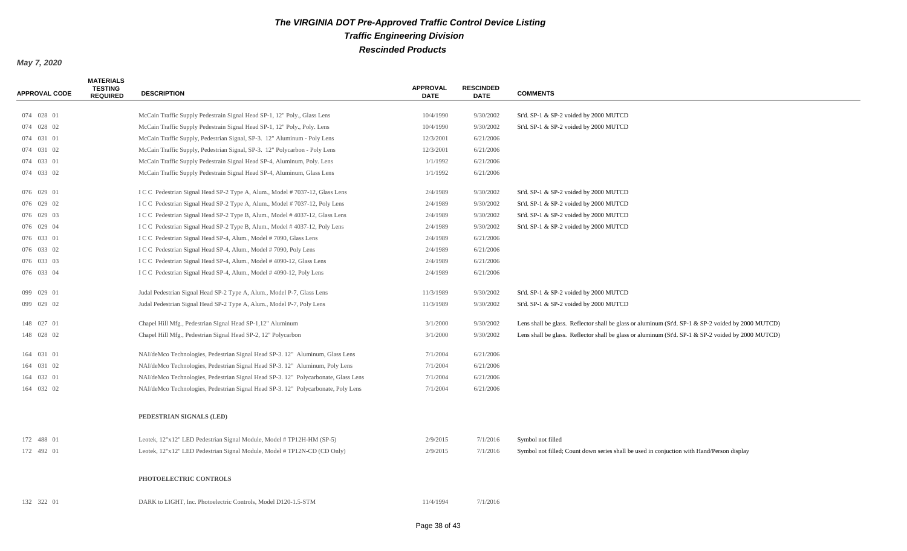| <b>APPROVAL CODE</b> | <b>MATERIALS</b><br><b>TESTING</b><br><b>REQUIRED</b> | <b>DESCRIPTION</b>                                                                 | <b>APPROVAL</b><br><b>DATE</b> | <b>RESCINDED</b><br><b>DATE</b> | <b>COMMENTS</b>                                                                                    |
|----------------------|-------------------------------------------------------|------------------------------------------------------------------------------------|--------------------------------|---------------------------------|----------------------------------------------------------------------------------------------------|
| 074 028 01           |                                                       | McCain Traffic Supply Pedestrain Signal Head SP-1, 12" Poly., Glass Lens           | 10/4/1990                      | 9/30/2002                       | St'd. SP-1 & SP-2 voided by 2000 MUTCD                                                             |
| 074 028 02           |                                                       | McCain Traffic Supply Pedestrain Signal Head SP-1, 12" Poly., Poly. Lens           | 10/4/1990                      | 9/30/2002                       | St'd. SP-1 & SP-2 voided by 2000 MUTCD                                                             |
| 074 031 01           |                                                       | McCain Traffic Supply, Pedestrian Signal, SP-3. 12" Aluminum - Poly Lens           | 12/3/2001                      | 6/21/2006                       |                                                                                                    |
| 074 031 02           |                                                       | McCain Traffic Supply, Pedestrian Signal, SP-3. 12" Polycarbon - Poly Lens         | 12/3/2001                      | 6/21/2006                       |                                                                                                    |
| 074 033 01           |                                                       | McCain Traffic Supply Pedestrain Signal Head SP-4, Aluminum, Poly. Lens            | 1/1/1992                       | 6/21/2006                       |                                                                                                    |
| 074 033 02           |                                                       | McCain Traffic Supply Pedestrain Signal Head SP-4, Aluminum, Glass Lens            | 1/1/1992                       | 6/21/2006                       |                                                                                                    |
| 076 029 01           |                                                       | I C C Pedestrian Signal Head SP-2 Type A, Alum., Model # 7037-12, Glass Lens       | 2/4/1989                       | 9/30/2002                       | St'd. SP-1 & SP-2 voided by 2000 MUTCD                                                             |
| 076 029 02           |                                                       | I C C Pedestrian Signal Head SP-2 Type A, Alum., Model # 7037-12, Poly Lens        | 2/4/1989                       | 9/30/2002                       | St'd. SP-1 & SP-2 voided by 2000 MUTCD                                                             |
| 076 029 03           |                                                       | I C C Pedestrian Signal Head SP-2 Type B, Alum., Model #4037-12, Glass Lens        | 2/4/1989                       | 9/30/2002                       | St'd. SP-1 & SP-2 voided by 2000 MUTCD                                                             |
| 076 029 04           |                                                       | I C C Pedestrian Signal Head SP-2 Type B, Alum., Model #4037-12, Poly Lens         | 2/4/1989                       | 9/30/2002                       | St'd. SP-1 & SP-2 voided by 2000 MUTCD                                                             |
| 076 033 01           |                                                       | I C C Pedestrian Signal Head SP-4, Alum., Model # 7090, Glass Lens                 | 2/4/1989                       | 6/21/2006                       |                                                                                                    |
| 076 033 02           |                                                       | I C C Pedestrian Signal Head SP-4, Alum., Model # 7090, Poly Lens                  | 2/4/1989                       | 6/21/2006                       |                                                                                                    |
| 076 033 03           |                                                       | I C C Pedestrian Signal Head SP-4, Alum., Model # 4090-12, Glass Lens              | 2/4/1989                       | 6/21/2006                       |                                                                                                    |
| 076 033 04           |                                                       | I C C Pedestrian Signal Head SP-4, Alum., Model # 4090-12, Poly Lens               | 2/4/1989                       | 6/21/2006                       |                                                                                                    |
| 099 029 01           |                                                       | Judal Pedestrian Signal Head SP-2 Type A, Alum., Model P-7, Glass Lens             | 11/3/1989                      | 9/30/2002                       | St'd. SP-1 & SP-2 voided by 2000 MUTCD                                                             |
| 099 029 02           |                                                       | Judal Pedestrian Signal Head SP-2 Type A, Alum., Model P-7, Poly Lens              | 11/3/1989                      | 9/30/2002                       | St'd. SP-1 & SP-2 voided by 2000 MUTCD                                                             |
| 148 027 01           |                                                       | Chapel Hill Mfg., Pedestrian Signal Head SP-1,12" Aluminum                         | 3/1/2000                       | 9/30/2002                       | Lens shall be glass. Reflector shall be glass or aluminum (St'd. SP-1 & SP-2 voided by 2000 MUTCD) |
| 148 028 02           |                                                       | Chapel Hill Mfg., Pedestrian Signal Head SP-2, 12" Polycarbon                      | 3/1/2000                       | 9/30/2002                       | Lens shall be glass. Reflector shall be glass or aluminum (St'd. SP-1 & SP-2 voided by 2000 MUTCD) |
| 164 031 01           |                                                       | NAI/deMco Technologies, Pedestrian Signal Head SP-3. 12" Aluminum, Glass Lens      | 7/1/2004                       | 6/21/2006                       |                                                                                                    |
| 164 031 02           |                                                       | NAI/deMco Technologies, Pedestrian Signal Head SP-3. 12" Aluminum, Poly Lens       | 7/1/2004                       | 6/21/2006                       |                                                                                                    |
| 164 032 01           |                                                       | NAI/deMco Technologies, Pedestrian Signal Head SP-3. 12" Polycarbonate, Glass Lens | 7/1/2004                       | 6/21/2006                       |                                                                                                    |
| 164 032 02           |                                                       | NAI/deMco Technologies, Pedestrian Signal Head SP-3. 12" Polycarbonate, Poly Lens  | 7/1/2004                       | 6/21/2006                       |                                                                                                    |
|                      |                                                       | PEDESTRIAN SIGNALS (LED)                                                           |                                |                                 |                                                                                                    |
| 172 488 01           |                                                       | Leotek, 12"x12" LED Pedestrian Signal Module, Model #TP12H-HM (SP-5)               | 2/9/2015                       | 7/1/2016                        | Symbol not filled                                                                                  |
| 172 492 01           |                                                       | Leotek, 12"x12" LED Pedestrian Signal Module, Model #TP12N-CD (CD Only)            | 2/9/2015                       | 7/1/2016                        | Symbol not filled; Count down series shall be used in conjuction with Hand/Person display          |
|                      |                                                       | PHOTOELECTRIC CONTROLS                                                             |                                |                                 |                                                                                                    |
| 132 322 01           |                                                       | DARK to LIGHT, Inc. Photoelectric Controls, Model D120-1.5-STM                     | 11/4/1994                      | 7/1/2016                        |                                                                                                    |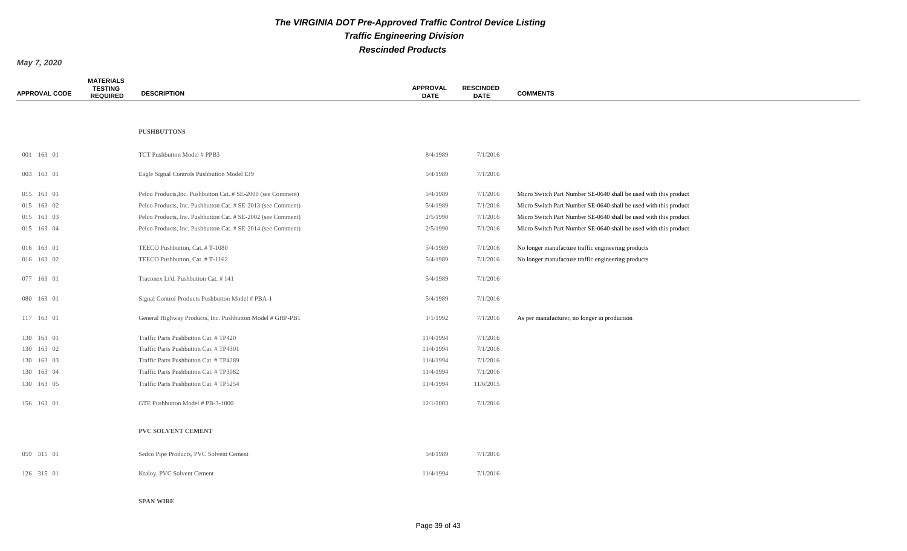*May 7, 2020*

| <b>APPROVAL CODE</b> | <b>MATERIALS</b><br><b>TESTING</b><br><b>REQUIRED</b> | <b>DESCRIPTION</b>                                           | <b>APPROVAL</b><br><b>DATE</b> | <b>RESCINDED</b><br><b>DATE</b> | <b>COMMENTS</b>                                                  |
|----------------------|-------------------------------------------------------|--------------------------------------------------------------|--------------------------------|---------------------------------|------------------------------------------------------------------|
|                      |                                                       |                                                              |                                |                                 |                                                                  |
|                      |                                                       | <b>PUSHBUTTONS</b>                                           |                                |                                 |                                                                  |
| 001 163 01           |                                                       | TCT Pushbutton Model # PPB3                                  | 8/4/1989                       | 7/1/2016                        |                                                                  |
| 003 163 01           |                                                       | Eagle Signal Controls Pushbutton Model EJ9                   | 5/4/1989                       | 7/1/2016                        |                                                                  |
| 015 163 01           |                                                       | Pelco Products, Inc. Pushbutton Cat. # SE-2000 (see Comment) | 5/4/1989                       | 7/1/2016                        | Micro Switch Part Number SE-0640 shall be used with this product |
| 015 163 02           |                                                       | Pelco Products, Inc. Pushbutton Cat. # SE-2013 (see Comment) | 5/4/1989                       | 7/1/2016                        | Micro Switch Part Number SE-0640 shall be used with this product |
| 015 163 03           |                                                       | Pelco Products, Inc. Pushbutton Cat. # SE-2002 (see Comment) | 2/5/1990                       | 7/1/2016                        | Micro Switch Part Number SE-0640 shall be used with this product |
| 015 163 04           |                                                       | Pelco Products, Inc. Pushbutton Cat. # SE-2014 (see Comment) | 2/5/1990                       | 7/1/2016                        | Micro Switch Part Number SE-0640 shall be used with this product |
| 016 163 01           |                                                       | TEECO Pushbutton, Cat. #T-1080                               | 5/4/1989                       | 7/1/2016                        | No longer manufacture traffic engineering products               |
| 016 163 02           |                                                       | TEECO Pushbutton, Cat. #T-1162                               | 5/4/1989                       | 7/1/2016                        | No longer manufacture traffic engineering products               |
| 077 163 01           |                                                       | Traconex Lt'd. Pushbutton Cat. # 141                         | 5/4/1989                       | 7/1/2016                        |                                                                  |
| 080 163 01           |                                                       | Signal Control Products Pushbutton Model # PBA-1             | 5/4/1989                       | 7/1/2016                        |                                                                  |
| 117 163 01           |                                                       | General Highway Products, Inc. Pushbutton Model # GHP-PB1    | 1/1/1992                       | 7/1/2016                        | As per manufacturer, no longer in production                     |
| 130 163 01           |                                                       | Traffic Parts Pushbutton Cat. # TP420                        | 11/4/1994                      | 7/1/2016                        |                                                                  |
| 130 163 02           |                                                       | Traffic Parts Pushbutton Cat. #TP4301                        | 11/4/1994                      | 7/1/2016                        |                                                                  |
| 130 163 03           |                                                       | Traffic Parts Pushbutton Cat. #TP4289                        | 11/4/1994                      | 7/1/2016                        |                                                                  |
| 130 163 04           |                                                       | Traffic Parts Pushbutton Cat. #TP3082                        | 11/4/1994                      | 7/1/2016                        |                                                                  |
| 130 163 05           |                                                       | Traffic Parts Pushbutton Cat. #TP5254                        | 11/4/1994                      | 11/6/2015                       |                                                                  |
| 156 163 01           |                                                       | GTE Pushbutton Model # PB-3-1000                             | 12/1/2003                      | 7/1/2016                        |                                                                  |
|                      |                                                       | PVC SOLVENT CEMENT                                           |                                |                                 |                                                                  |
| 059 315 01           |                                                       | Sedco Pipe Products, PVC Solvent Cement                      | 5/4/1989                       | 7/1/2016                        |                                                                  |
| 126 315 01           |                                                       | Kraloy, PVC Solvent Cement                                   | 11/4/1994                      | 7/1/2016                        |                                                                  |
|                      |                                                       |                                                              |                                |                                 |                                                                  |

**SPAN WIRE**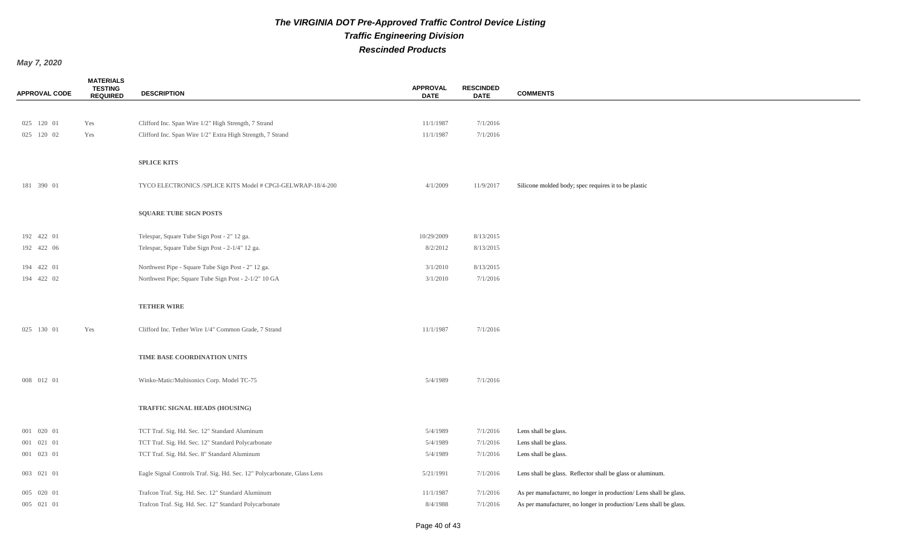| <b>APPROVAL CODE</b> | <b>MATERIALS</b><br><b>TESTING</b><br><b>REQUIRED</b> | <b>DESCRIPTION</b>                                                      | <b>APPROVAL</b><br><b>DATE</b> | <b>RESCINDED</b><br><b>DATE</b> | <b>COMMENTS</b>                                                    |
|----------------------|-------------------------------------------------------|-------------------------------------------------------------------------|--------------------------------|---------------------------------|--------------------------------------------------------------------|
|                      |                                                       |                                                                         |                                |                                 |                                                                    |
| 025 120 01           | Yes                                                   | Clifford Inc. Span Wire 1/2" High Strength, 7 Strand                    | 11/1/1987                      | 7/1/2016                        |                                                                    |
| 025 120 02           | Yes                                                   | Clifford Inc. Span Wire 1/2" Extra High Strength, 7 Strand              | 11/1/1987                      | 7/1/2016                        |                                                                    |
|                      |                                                       | <b>SPLICE KITS</b>                                                      |                                |                                 |                                                                    |
|                      |                                                       |                                                                         |                                |                                 |                                                                    |
| 181 390 01           |                                                       | TYCO ELECTRONICS /SPLICE KITS Model # CPGI-GELWRAP-18/4-200             | 4/1/2009                       | 11/9/2017                       | Silicone molded body; spec requires it to be plastic               |
|                      |                                                       | <b>SQUARE TUBE SIGN POSTS</b>                                           |                                |                                 |                                                                    |
|                      |                                                       |                                                                         |                                |                                 |                                                                    |
| 192 422 01           |                                                       | Telespar, Square Tube Sign Post - 2" 12 ga.                             | 10/29/2009                     | 8/13/2015                       |                                                                    |
| 192 422 06           |                                                       | Telespar, Square Tube Sign Post - 2-1/4" 12 ga.                         | 8/2/2012                       | 8/13/2015                       |                                                                    |
| 194 422 01           |                                                       | Northwest Pipe - Square Tube Sign Post - 2" 12 ga.                      | 3/1/2010                       | 8/13/2015                       |                                                                    |
| 194 422 02           |                                                       | Northwest Pipe; Square Tube Sign Post - 2-1/2" 10 GA                    | 3/1/2010                       | 7/1/2016                        |                                                                    |
|                      |                                                       |                                                                         |                                |                                 |                                                                    |
|                      |                                                       | <b>TETHER WIRE</b>                                                      |                                |                                 |                                                                    |
| 025 130 01           | Yes                                                   | Clifford Inc. Tether Wire 1/4" Common Grade, 7 Strand                   | 11/1/1987                      | 7/1/2016                        |                                                                    |
|                      |                                                       |                                                                         |                                |                                 |                                                                    |
|                      |                                                       | TIME BASE COORDINATION UNITS                                            |                                |                                 |                                                                    |
| 008 012 01           |                                                       | Winko-Matic/Multisonics Corp. Model TC-75                               | 5/4/1989                       | 7/1/2016                        |                                                                    |
|                      |                                                       |                                                                         |                                |                                 |                                                                    |
|                      |                                                       | TRAFFIC SIGNAL HEADS (HOUSING)                                          |                                |                                 |                                                                    |
| 001 020 01           |                                                       | TCT Traf. Sig. Hd. Sec. 12" Standard Aluminum                           | 5/4/1989                       | 7/1/2016                        | Lens shall be glass.                                               |
| 001 021 01           |                                                       | TCT Traf. Sig. Hd. Sec. 12" Standard Polycarbonate                      | 5/4/1989                       | 7/1/2016                        | Lens shall be glass.                                               |
| 001 023 01           |                                                       | TCT Traf. Sig. Hd. Sec. 8" Standard Aluminum                            | 5/4/1989                       | 7/1/2016                        | Lens shall be glass.                                               |
| 003 021 01           |                                                       | Eagle Signal Controls Traf. Sig. Hd. Sec. 12" Polycarbonate, Glass Lens | 5/21/1991                      | 7/1/2016                        | Lens shall be glass. Reflector shall be glass or aluminum.         |
| 005 020 01           |                                                       | Trafcon Traf. Sig. Hd. Sec. 12" Standard Aluminum                       | 11/1/1987                      | 7/1/2016                        | As per manufacturer, no longer in production/ Lens shall be glass. |
| 005 021 01           |                                                       | Trafcon Traf. Sig. Hd. Sec. 12" Standard Polycarbonate                  | 8/4/1988                       | 7/1/2016                        | As per manufacturer, no longer in production/ Lens shall be glass. |
|                      |                                                       |                                                                         |                                |                                 |                                                                    |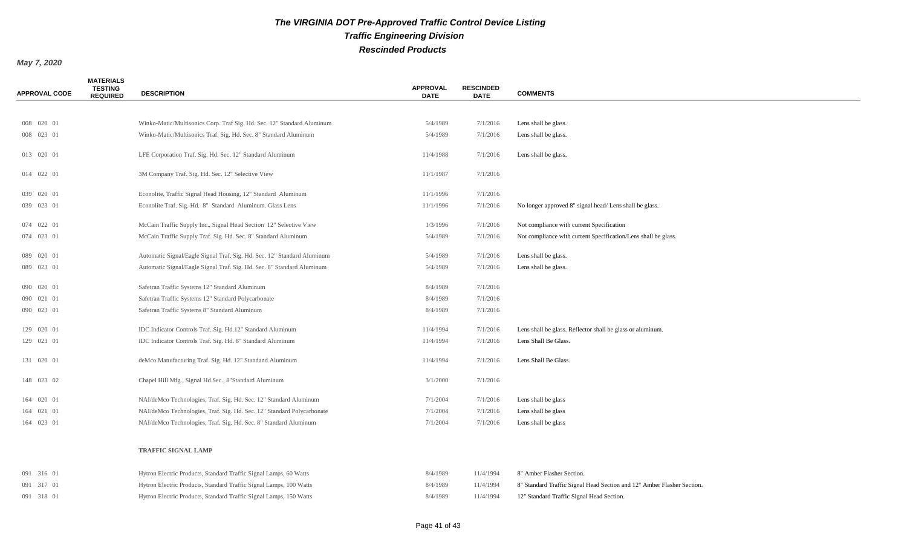| <b>APPROVAL CODE</b> | <b>MATERIALS</b><br><b>TESTING</b><br><b>REQUIRED</b> | <b>DESCRIPTION</b>                                                      | <b>APPROVAL</b><br><b>DATE</b> | <b>RESCINDED</b><br><b>DATE</b> | <b>COMMENTS</b>                                                |
|----------------------|-------------------------------------------------------|-------------------------------------------------------------------------|--------------------------------|---------------------------------|----------------------------------------------------------------|
|                      |                                                       |                                                                         |                                |                                 |                                                                |
| 008 020 01           |                                                       | Winko-Matic/Multisonics Corp. Traf Sig. Hd. Sec. 12" Standard Aluminum  | 5/4/1989                       | 7/1/2016                        | Lens shall be glass.                                           |
| 008 023 01           |                                                       | Winko-Matic/Multisonics Traf. Sig. Hd. Sec. 8" Standard Aluminum        | 5/4/1989                       | 7/1/2016                        | Lens shall be glass.                                           |
| 013 020 01           |                                                       | LFE Corporation Traf. Sig. Hd. Sec. 12" Standard Aluminum               | 11/4/1988                      | 7/1/2016                        | Lens shall be glass.                                           |
| 014 022 01           |                                                       | 3M Company Traf. Sig. Hd. Sec. 12" Selective View                       | 11/1/1987                      | 7/1/2016                        |                                                                |
| 039 020 01           |                                                       | Econolite, Traffic Signal Head Housing, 12" Standard Aluminum           | 11/1/1996                      | 7/1/2016                        |                                                                |
| 039 023 01           |                                                       | Econolite Traf. Sig. Hd. 8" Standard Aluminum. Glass Lens               | 11/1/1996                      | 7/1/2016                        | No longer approved 8" signal head/Lens shall be glass.         |
| 074 022 01           |                                                       | McCain Traffic Supply Inc., Signal Head Section 12" Selective View      | 1/3/1996                       | 7/1/2016                        | Not compliance with current Specification                      |
| 074 023 01           |                                                       | McCain Traffic Supply Traf. Sig. Hd. Sec. 8" Standard Aluminum          | 5/4/1989                       | 7/1/2016                        | Not compliance with current Specification/Lens shall be glass. |
| 089 020 01           |                                                       | Automatic Signal/Eagle Signal Traf. Sig. Hd. Sec. 12" Standard Aluminum | 5/4/1989                       | 7/1/2016                        | Lens shall be glass.                                           |
| 089 023 01           |                                                       | Automatic Signal/Eagle Signal Traf. Sig. Hd. Sec. 8" Standard Aluminum  | 5/4/1989                       | 7/1/2016                        | Lens shall be glass.                                           |
| 090 020 01           |                                                       | Safetran Traffic Systems 12" Standard Aluminum                          | 8/4/1989                       | 7/1/2016                        |                                                                |
| 090 021 01           |                                                       | Safetran Traffic Systems 12" Standard Polycarbonate                     | 8/4/1989                       | 7/1/2016                        |                                                                |
| 090 023 01           |                                                       | Safetran Traffic Systems 8" Standard Aluminum                           | 8/4/1989                       | 7/1/2016                        |                                                                |
|                      |                                                       |                                                                         |                                |                                 |                                                                |
| 129 020 01           |                                                       | IDC Indicator Controls Traf. Sig. Hd.12" Standard Aluminum              | 11/4/1994                      | 7/1/2016                        | Lens shall be glass. Reflector shall be glass or aluminum.     |
| 129 023 01           |                                                       | IDC Indicator Controls Traf. Sig. Hd. 8" Standard Aluminum              | 11/4/1994                      | 7/1/2016                        | Lens Shall Be Glass.                                           |
| 131 020 01           |                                                       | deMco Manufacturing Traf. Sig. Hd. 12" Standand Aluminum                | 11/4/1994                      | 7/1/2016                        | Lens Shall Be Glass.                                           |
| 148 023 02           |                                                       | Chapel Hill Mfg., Signal Hd.Sec., 8"Standard Aluminum                   | 3/1/2000                       | 7/1/2016                        |                                                                |
| 164 020 01           |                                                       | NAI/deMco Technologies, Traf. Sig. Hd. Sec. 12" Standard Aluminum       | 7/1/2004                       | 7/1/2016                        | Lens shall be glass                                            |
| 164 021 01           |                                                       | NAI/deMco Technologies, Traf. Sig. Hd. Sec. 12" Standard Polycarbonate  | 7/1/2004                       | 7/1/2016                        | Lens shall be glass                                            |
| 164 023 01           |                                                       | NAI/deMco Technologies, Traf. Sig. Hd. Sec. 8" Standard Aluminum        | 7/1/2004                       | 7/1/2016                        | Lens shall be glass                                            |
|                      |                                                       | <b>TRAFFIC SIGNAL LAMP</b>                                              |                                |                                 |                                                                |
| 091 316 01           |                                                       | Hytron Electric Products, Standard Traffic Signal Lamps, 60 Watts       | 8/4/1989                       | 11/4/1994                       | 8" Amber Flasher Section.                                      |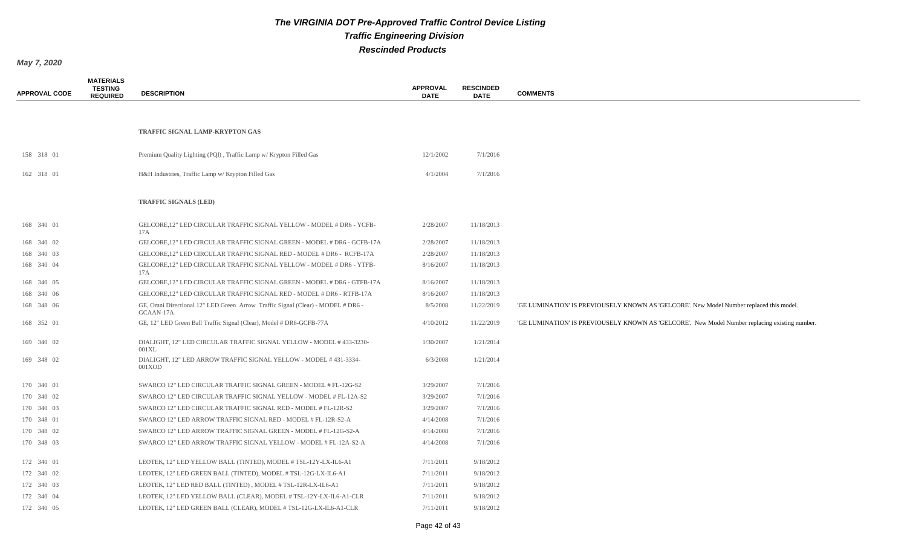| <b>APPROVAL CODE</b> | <b>MATERIALS</b><br><b>TESTING</b><br><b>REQUIRED</b> | <b>DESCRIPTION</b>                                                                           | <b>APPROVAL</b><br><b>DATE</b> | <b>RESCINDED</b><br><b>DATE</b> | <b>COMMENTS</b>                                                                                |
|----------------------|-------------------------------------------------------|----------------------------------------------------------------------------------------------|--------------------------------|---------------------------------|------------------------------------------------------------------------------------------------|
|                      |                                                       |                                                                                              |                                |                                 |                                                                                                |
|                      |                                                       |                                                                                              |                                |                                 |                                                                                                |
|                      |                                                       | TRAFFIC SIGNAL LAMP-KRYPTON GAS                                                              |                                |                                 |                                                                                                |
| 158 318 01           |                                                       | Premium Quality Lighting (PQI), Traffic Lamp w/ Krypton Filled Gas                           | 12/1/2002                      | 7/1/2016                        |                                                                                                |
|                      |                                                       |                                                                                              |                                |                                 |                                                                                                |
| 162 318 01           |                                                       | H&H Industries, Traffic Lamp w/ Krypton Filled Gas                                           | 4/1/2004                       | 7/1/2016                        |                                                                                                |
|                      |                                                       | TRAFFIC SIGNALS (LED)                                                                        |                                |                                 |                                                                                                |
| 168 340 01           |                                                       | GELCORE, 12" LED CIRCULAR TRAFFIC SIGNAL YELLOW - MODEL # DR6 - YCFB-<br>17A                 | 2/28/2007                      | 11/18/2013                      |                                                                                                |
| 168 340 02           |                                                       | GELCORE, 12" LED CIRCULAR TRAFFIC SIGNAL GREEN - MODEL # DR6 - GCFB-17A                      | 2/28/2007                      | 11/18/2013                      |                                                                                                |
| 168 340 03           |                                                       | GELCORE, 12" LED CIRCULAR TRAFFIC SIGNAL RED - MODEL # DR6 - RCFB-17A                        | 2/28/2007                      | 11/18/2013                      |                                                                                                |
| 168 340 04           |                                                       | GELCORE, 12" LED CIRCULAR TRAFFIC SIGNAL YELLOW - MODEL # DR6 - YTFB-<br>17A                 | 8/16/2007                      | 11/18/2013                      |                                                                                                |
| 168 340 05           |                                                       | GELCORE, 12" LED CIRCULAR TRAFFIC SIGNAL GREEN - MODEL # DR6 - GTFB-17A                      | 8/16/2007                      | 11/18/2013                      |                                                                                                |
| 168 340 06           |                                                       | GELCORE, 12" LED CIRCULAR TRAFFIC SIGNAL RED - MODEL # DR6 - RTFB-17A                        | 8/16/2007                      | 11/18/2013                      |                                                                                                |
| 168 348 06           |                                                       | GE, Omni Directional 12" LED Green Arrow Traffic Signal (Clear) - MODEL # DR6 -<br>GCAAN-17A | 8/5/2008                       | 11/22/2019                      | 'GE LUMINATION' IS PREVIOUSELY KNOWN AS 'GELCORE'. New Model Number replaced this model.       |
| 168 352 01           |                                                       | GE, 12" LED Green Ball Traffic Signal (Clear), Model # DR6-GCFB-77A                          | 4/10/2012                      | 11/22/2019                      | 'GE LUMINATION' IS PREVIOUSELY KNOWN AS 'GELCORE'. New Model Number replacing existing number. |
| 169 340 02           |                                                       | DIALIGHT, 12" LED CIRCULAR TRAFFIC SIGNAL YELLOW - MODEL #433-3230-<br>$001\text{XL}$        | 1/30/2007                      | 1/21/2014                       |                                                                                                |
| 169 348 02           |                                                       | DIALIGHT, 12" LED ARROW TRAFFIC SIGNAL YELLOW - MODEL #431-3334-<br>001XOD                   | 6/3/2008                       | 1/21/2014                       |                                                                                                |
| 170 340 01           |                                                       | SWARCO 12" LED CIRCULAR TRAFFIC SIGNAL GREEN - MODEL # FL-12G-S2                             | 3/29/2007                      | 7/1/2016                        |                                                                                                |
| 170 340 02           |                                                       | SWARCO 12" LED CIRCULAR TRAFFIC SIGNAL YELLOW - MODEL # FL-12A-S2                            | 3/29/2007                      | 7/1/2016                        |                                                                                                |
| 170 340 03           |                                                       | SWARCO 12" LED CIRCULAR TRAFFIC SIGNAL RED - MODEL # FL-12R-S2                               | 3/29/2007                      | 7/1/2016                        |                                                                                                |
| 170 348 01           |                                                       | SWARCO 12" LED ARROW TRAFFIC SIGNAL RED - MODEL # FL-12R-S2-A                                | 4/14/2008                      | 7/1/2016                        |                                                                                                |
| 170 348 02           |                                                       | SWARCO 12" LED ARROW TRAFFIC SIGNAL GREEN - MODEL # FL-12G-S2-A                              | 4/14/2008                      | 7/1/2016                        |                                                                                                |
| 170 348 03           |                                                       | SWARCO 12" LED ARROW TRAFFIC SIGNAL YELLOW - MODEL # FL-12A-S2-A                             | 4/14/2008                      | 7/1/2016                        |                                                                                                |
| 172 340 01           |                                                       | LEOTEK, 12" LED YELLOW BALL (TINTED), MODEL # TSL-12Y-LX-IL6-A1                              | 7/11/2011                      | 9/18/2012                       |                                                                                                |
| 172 340 02           |                                                       | LEOTEK, 12" LED GREEN BALL (TINTED), MODEL # TSL-12G-LX-IL6-A1                               | 7/11/2011                      | 9/18/2012                       |                                                                                                |
| 172 340 03           |                                                       | LEOTEK, 12" LED RED BALL (TINTED), MODEL # TSL-12R-LX-IL6-A1                                 | 7/11/2011                      | 9/18/2012                       |                                                                                                |
| 172 340 04           |                                                       | LEOTEK, 12" LED YELLOW BALL (CLEAR), MODEL # TSL-12Y-LX-IL6-A1-CLR                           | 7/11/2011                      | 9/18/2012                       |                                                                                                |
| 172 340 05           |                                                       | LEOTEK, 12" LED GREEN BALL (CLEAR), MODEL #TSL-12G-LX-IL6-A1-CLR                             | 7/11/2011                      | 9/18/2012                       |                                                                                                |